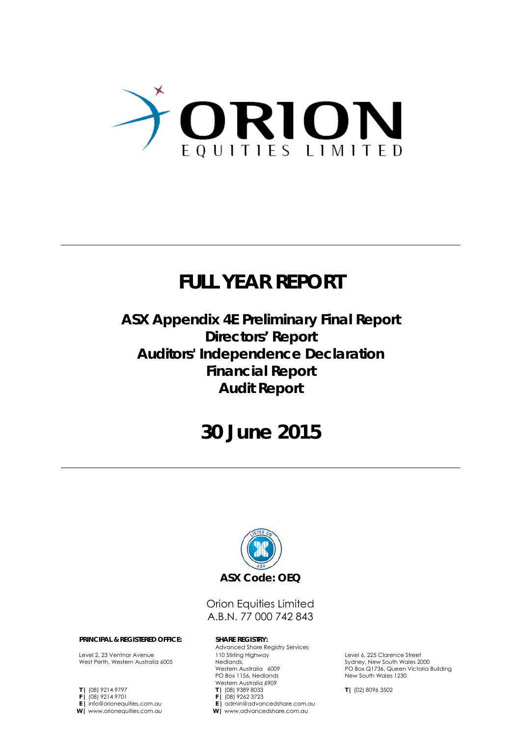

## **FULL YEAR REPORT**

**ASX Appendix 4E Preliminary Final Report Directors' Report Auditors' Independence Declaration Financial Report Audit Report**

## **30 June 2015**



## Orion Equities Limited A.B.N. 77 000 742 843

#### **PRINCIPAL & REGISTERED OFFICE: SHARE REGISTRY:**

Level 2, 23 Ventnor Avenue West Perth, Western Australia 6005

**T |** (08) 9214 9797 **F |** (08) 9214 9701 **E |** info@orionequities.com.au **W |** www.orionequities.com.au

Advanced Share Registry Services 110 Stirling Highway Nedlands, Western Australia 6009 PO Box 1156, Nedlands Western Australia 6909 **T |** (08) 9389 8033 **F |** (08) 9262 3723 **E |** admin@advancedshare.com.au **W |** www.advancedshare.com.au

Level 6, 225 Clarence Street Sydney, New South Wales 2000 PO Box Q1736, Queen Victoria Building New South Wales 1230

**T |** (02) 8096 3502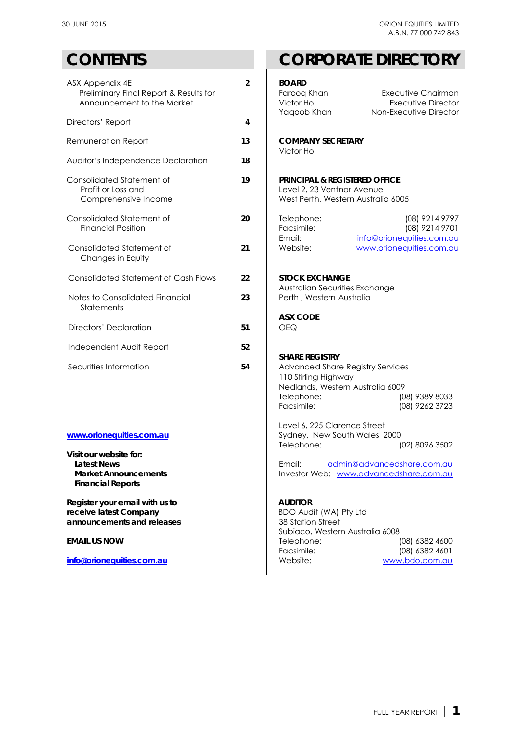| $\overline{2}$ | <b>BOARD</b><br>Faroog Khan<br>Victor Ho<br>Yaqoob Khan                                                                  | <b>Executive Chairman</b><br><b>Executive Director</b><br>Non-Executive Director                  |
|----------------|--------------------------------------------------------------------------------------------------------------------------|---------------------------------------------------------------------------------------------------|
|                |                                                                                                                          |                                                                                                   |
| 13             | <b>COMPANY SECRETARY</b><br>Victor Ho                                                                                    |                                                                                                   |
| 18             |                                                                                                                          |                                                                                                   |
| 19             | <b>PRINCIPAL &amp; REGISTERED OFFICE</b><br>Level 2, 23 Ventnor Avenue<br>West Perth, Western Australia 6005             |                                                                                                   |
| 20             | Telephone:<br>Facsimile:                                                                                                 | (08) 9214 9797<br>(08) 9214 9701<br>info@orionequities.com.au                                     |
| 21             | Website:                                                                                                                 | www.orionequities.com.au                                                                          |
| 22             | <b>STOCK EXCHANGE</b>                                                                                                    |                                                                                                   |
| 23             | Perth, Western Australia                                                                                                 |                                                                                                   |
| 51             | <b>ASX CODE</b><br><b>OEQ</b>                                                                                            |                                                                                                   |
| 52             |                                                                                                                          |                                                                                                   |
| 54             | Advanced Share Registry Services<br>110 Stirling Highway<br>Nedlands, Western Australia 6009<br>Telephone:<br>Facsimile: | (08) 9389 8033<br>(08) 9262 3723                                                                  |
|                | 4                                                                                                                        | Email:<br>Australian Securities Exchange<br><b>SHARE REGISTRY</b><br>Lavel 6, 225 Clarence Street |

## [www.orionequities.com.au](http://orionequities.com.au/)

**Visit our website for: Market Announcements Financial Reports**

**Register your email with us to** receive latest Company announcements and releases

**[info@orionequities.com.au](mailto:info@orionequities.com.au) Mebsite:** Website: [www.bdo.com.au](http://www.bdo.com.au/)

## **CONTENTS CORPORATE DIRECTORY**

| X Appendix 4E<br>Preliminary Final Report & Results for<br>Announcement to the Market                         | $\overline{2}$ | <b>BOARD</b><br>Executive Chairman<br>Faroog Khan<br><b>Executive Director</b><br>Victor Ho<br>Non-Executive Director<br>Yaqoob Khan                                                  |
|---------------------------------------------------------------------------------------------------------------|----------------|---------------------------------------------------------------------------------------------------------------------------------------------------------------------------------------|
| rectors' Report                                                                                               | $\overline{4}$ |                                                                                                                                                                                       |
| emuneration Report                                                                                            | 13             | <b>COMPANY SECRETARY</b><br>Victor Ho                                                                                                                                                 |
| uditor's Independence Declaration                                                                             | 18             |                                                                                                                                                                                       |
| onsolidated Statement of<br>Profit or Loss and<br>Comprehensive Income                                        | 19             | <b>PRINCIPAL &amp; REGISTERED OFFICE</b><br>Level 2, 23 Ventnor Avenue<br>West Perth, Western Australia 6005                                                                          |
| onsolidated Statement of<br><b>Financial Position</b>                                                         | 20             | (08) 9214 9797<br>Telephone:<br>Facsimile:<br>(08) 9214 9701<br>Email:<br>info@orionequities.com.au                                                                                   |
| onsolidated Statement of<br>Changes in Equity                                                                 | 21             | www.orionequities.com.au<br>Website:                                                                                                                                                  |
| onsolidated Statement of Cash Flows                                                                           | 22             | <b>STOCK EXCHANGE</b><br>Australian Securities Exchange                                                                                                                               |
| otes to Consolidated Financial<br>Statements                                                                  | 23             | Perth, Western Australia                                                                                                                                                              |
| irectors' Declaration                                                                                         | 51             | <b>ASX CODE</b><br><b>OEQ</b>                                                                                                                                                         |
| dependent Audit Report                                                                                        | 52             |                                                                                                                                                                                       |
| ecurities Information                                                                                         | 54             | <b>SHARE REGISTRY</b><br>Advanced Share Registry Services<br>110 Stirling Highway<br>Nedlands, Western Australia 6009<br>Telephone:<br>(08) 9389 8033<br>Facsimile:<br>(08) 9262 3723 |
| ww.orionequities.com.au<br>sit our website for:<br>Latest News<br><b>Market Announcements</b>                 |                | Level 6, 225 Clarence Street<br>Sydney, New South Wales 2000<br>Telephone:<br>(02) 8096 3502<br>Email: admin@advancedshare.com.au<br>Investor Web: www.advancedshare.com.au           |
| <b>Financial Reports</b><br>egister your email with us to<br>ceive latest Company<br>nouncements and releases |                | <b>AUDITOR</b><br>BDO Audit (WA) Pty Ltd<br>38 Station Street<br>Subiaco, Western Australia 6008                                                                                      |
|                                                                                                               |                |                                                                                                                                                                                       |

**EMAIL US NOW EMAIL US NOW Telephone:** (08) 6382 4600<br>
Facsimile: (08) 6382 4601 Facsimile: (08) 6382 4601<br>Website: www.bdo.com.au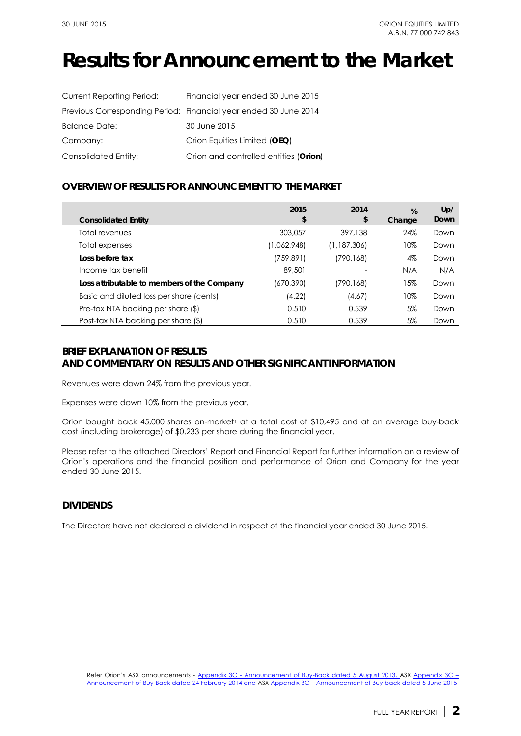## **Results for Announcement to the Market**

| Current Reporting Period: | Financial year ended 30 June 2015                                |
|---------------------------|------------------------------------------------------------------|
|                           | Previous Corresponding Period: Financial year ended 30 June 2014 |
| <b>Balance Date:</b>      | 30 June 2015                                                     |
| Company:                  | Orion Equities Limited (OEQ)                                     |
| Consolidated Entity:      | Orion and controlled entities (Orion)                            |

## **OVERVIEW OF RESULTS FOR ANNOUNCEMENT TO THE MARKET**

| <b>Consolidated Entity</b>                  | 2015<br>\$  | 2014<br>\$  | %<br>Change | Up/<br>Down |
|---------------------------------------------|-------------|-------------|-------------|-------------|
| Total revenues                              | 303,057     | 397,138     | 24%         | Down        |
| Total expenses                              | (1,062,948) | (1,187,306) | 10%         | Down        |
| Loss before tax                             | (759, 891)  | (790,168)   | 4%          | Down        |
| Income tax benefit                          | 89,501      |             | N/A         | N/A         |
| Loss attributable to members of the Company | (670,390)   | 790,168)    | 15%         | Down        |
| Basic and diluted loss per share (cents)    | (4.22)      | (4.67)      | 10%         | Down        |
| Pre-tax NTA backing per share (\$)          | 0.510       | 0.539       | 5%          | Down        |
| Post-tax NTA backing per share (\$)         | 0.510       | 0.539       | 5%          | Down        |

## **BRIEF EXPLANATION OF RESULTS AND COMMENTARY ON RESULTS AND OTHER SIGNIFICANT INFORMATION**

Revenues were down 24% from the previous year.

Expenses were down 10% from the previous year.

Orion bought back 45,000 shares on-market<sup>[1](#page-2-0)</sup> at a total cost of \$10,495 and at an average buy-back cost (including brokerage) of \$0.233 per share during the financial year.

Please refer to the attached Directors' Report and Financial Report for further information on a review of Orion's operations and the financial position and performance of Orion and Company for the year ended 30 June 2015.

## **DIVIDENDS**

-

The Directors have not declared a dividend in respect of the financial year ended 30 June 2015.

<span id="page-2-0"></span><sup>&</sup>lt;sup>1</sup> Refer Orion's ASX announcements - <u>Appendix 3C - Announcement of Buy-Back dated 5 August 2013, ASX Appendix 3C –</u> [Announcement of Buy-Back dated 24 February 2014](http://orionequities.com.au/sites/default/files/20140224%20OEQ%20ASX%20Appendix%203C%20-%20Announcement%20of%20Buy-Back%20-%20Additional%20Buy-Back.pdf) and AS[X Appendix 3C – Announcement of Buy-back dated 5 June 2015](http://orionequities.com.au/sites/default/files/20150605%20OEQ%20ASX%20Appendix%203C%20-%20Announcement%20of%20Buy-Back.pdf)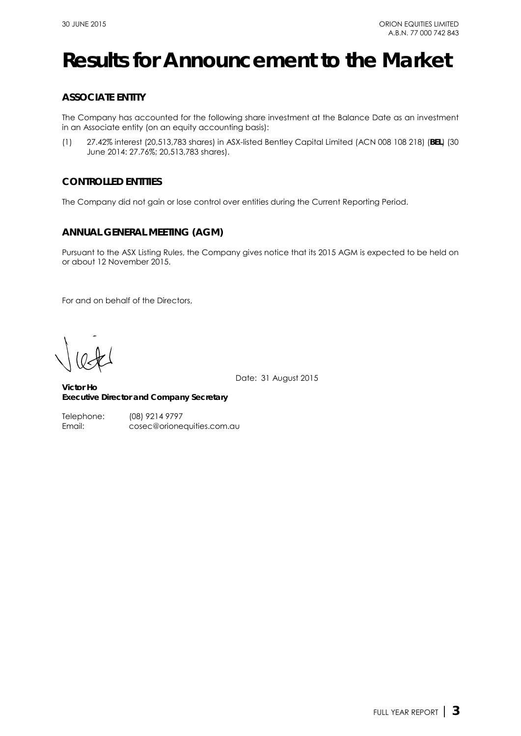## **Results for Announcement to the Market**

## **ASSOCIATE ENTITY**

The Company has accounted for the following share investment at the Balance Date as an investment in an Associate entity (on an equity accounting basis):

(1) 27.42% interest (20,513,783 shares) in ASX-listed Bentley Capital Limited (ACN 008 108 218) (**BEL**) (30 June 2014: 27.76%; 20,513,783 shares).

## **CONTROLLED ENTITIES**

The Company did not gain or lose control over entities during the Current Reporting Period.

## **ANNUAL GENERAL MEETING (AGM)**

Pursuant to the ASX Listing Rules, the Company gives notice that its 2015 AGM is expected to be held on or about 12 November 2015.

For and on behalf of the Directors,

Date: 31 August 2015

**Victor Ho Executive Director and Company Secretary**  Victor Ho

Telephone:

(08) 9214 9797 Email: cosec@orionequities.com.au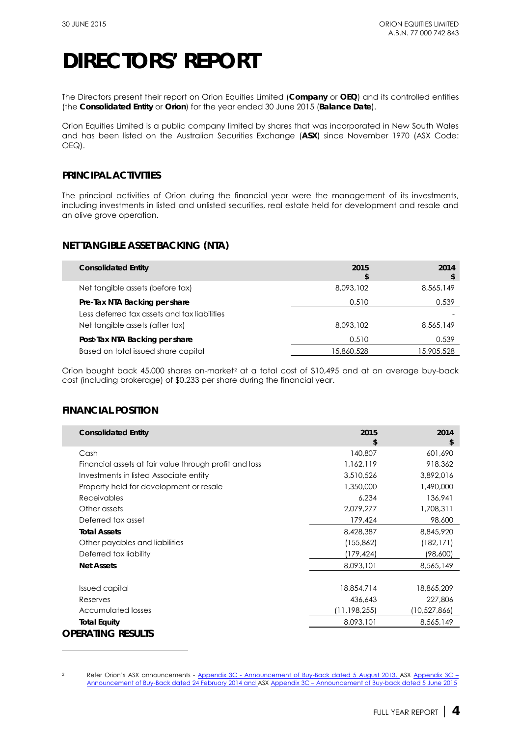The Directors present their report on Orion Equities Limited (**Company** or **OEQ**) and its controlled entities (the **Consolidated Entity** or **Orion**) for the year ended 30 June 2015 (**Balance Date**).

Orion Equities Limited is a public company limited by shares that was incorporated in New South Wales and has been listed on the Australian Securities Exchange (**ASX**) since November 1970 (ASX Code: OEQ).

## **PRINCIPAL ACTIVITIES**

The principal activities of Orion during the financial year were the management of its investments, including investments in listed and unlisted securities, real estate held for development and resale and an olive grove operation.

## **NET TANGIBLE ASSET BACKING (NTA)**

| <b>Consolidated Entity</b>                   | 2015<br>\$ | 2014       |
|----------------------------------------------|------------|------------|
| Net tangible assets (before tax)             | 8,093,102  | 8,565,149  |
| Pre-Tax NTA Backing per share                | 0.510      | 0.539      |
| Less deferred tax assets and tax liabilities |            |            |
| Net tangible assets (after tax)              | 8,093,102  | 8,565,149  |
| Post-Tax NTA Backing per share               | 0.510      | 0.539      |
| Based on total issued share capital          | 15,860,528 | 15,905,528 |

Orion bought back 45,000 shares on-market<sup>[2](#page-4-0)</sup> at a total cost of \$10,495 and at an average buy-back cost (including brokerage) of \$0.233 per share during the financial year.

## **FINANCIAL POSITION**

-

| <b>Consolidated Entity</b>                             | 2015<br>\$   | 2014<br>\$   |
|--------------------------------------------------------|--------------|--------------|
| Cash                                                   | 140,807      | 601,690      |
| Financial assets at fair value through profit and loss | 1,162,119    | 918,362      |
| Investments in listed Associate entity                 | 3,510,526    | 3,892,016    |
| Property held for development or resale                | 1,350,000    | 1,490,000    |
| Receivables                                            | 6,234        | 136,941      |
| Other assets                                           | 2,079,277    | 1,708,311    |
| Deferred tax asset                                     | 179,424      | 98,600       |
| <b>Total Assets</b>                                    | 8,428,387    | 8,845,920    |
| Other payables and liabilities                         | (155, 862)   | (182, 171)   |
| Deferred tax liability                                 | (179,424)    | (98,600)     |
| <b>Net Assets</b>                                      | 8,093,101    | 8,565,149    |
| <b>Issued capital</b>                                  | 18,854,714   | 18,865,209   |
| Reserves                                               | 436,643      | 227,806      |
| Accumulated losses                                     | (11,198,255) | (10,527,866) |
| <b>Total Equity</b>                                    | 8,093,101    | 8,565,149    |
| <b>OPERATING RESULTS</b>                               |              |              |

<span id="page-4-0"></span><sup>&</sup>lt;sup>2</sup> Refer Orion's ASX announcements - <u>Appendix 3C - Announcement of Buy-Back dated 5 August 2013, ASX Appendix 3C –</u> [Announcement of Buy-Back dated 24 February 2014](http://orionequities.com.au/sites/default/files/20140224%20OEQ%20ASX%20Appendix%203C%20-%20Announcement%20of%20Buy-Back%20-%20Additional%20Buy-Back.pdf) and AS[X Appendix 3C – Announcement of Buy-back dated 5 June 2015](http://orionequities.com.au/sites/default/files/20150605%20OEQ%20ASX%20Appendix%203C%20-%20Announcement%20of%20Buy-Back.pdf)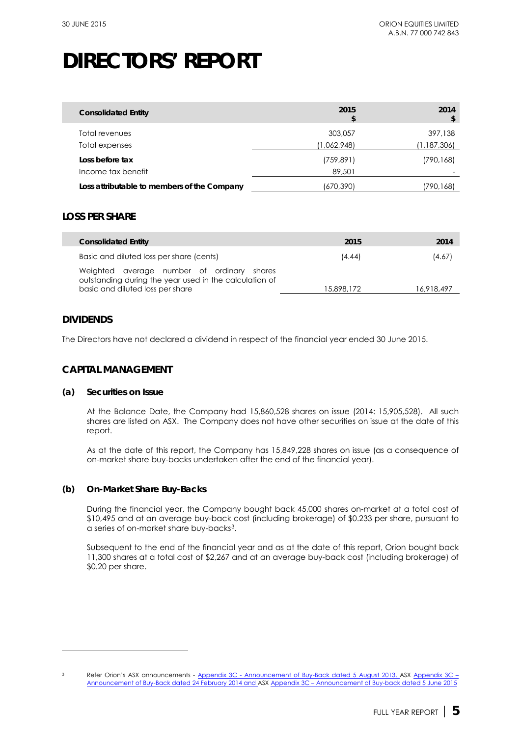| <b>Consolidated Entity</b>                  | 2015<br>\$             | 2014                   |
|---------------------------------------------|------------------------|------------------------|
| Total revenues<br>Total expenses            | 303,057<br>(1,062,948) | 397,138<br>(1,187,306) |
| Loss before tax<br>Income tax benefit       | (759, 891)<br>89,501   | (790,168)              |
| Loss attributable to members of the Company | (670,390)              | (790,168)              |

## **LOSS PER SHARE**

| <b>Consolidated Entity</b>                                                                                                               | 2015       | 2014       |
|------------------------------------------------------------------------------------------------------------------------------------------|------------|------------|
| Basic and diluted loss per share (cents)                                                                                                 | (4.44)     | (4.67)     |
| Weighted average number of ordinary shares<br>outstanding during the year used in the calculation of<br>basic and diluted loss per share | 15,898,172 | 16.918.497 |

## **DIVIDENDS**

-

The Directors have not declared a dividend in respect of the financial year ended 30 June 2015.

## **CAPITAL MANAGEMENT**

### **(a) Securities on Issue**

At the Balance Date, the Company had 15,860,528 shares on issue (2014: 15,905,528). All such shares are listed on ASX. The Company does not have other securities on issue at the date of this report.

As at the date of this report, the Company has 15,849,228 shares on issue (as a consequence of on-market share buy-backs undertaken after the end of the financial year).

## **(b) On-Market Share Buy-Backs**

During the financial year, the Company bought back 45,000 shares on-market at a total cost of \$10,495 and at an average buy-back cost (including brokerage) of \$0.233 per share, pursuant to a series of on-market share buy-backs[3.](#page-5-0)

Subsequent to the end of the financial year and as at the date of this report, Orion bought back 11,300 shares at a total cost of \$2,267 and at an average buy-back cost (including brokerage) of \$0.20 per share.

<span id="page-5-0"></span><sup>&</sup>lt;sup>3</sup> Refer Orion's ASX announcements - <u>Appendix 3C - Announcement of Buy-Back dated 5 August 2013, ASX Appendix 3C –</u> [Announcement of Buy-Back dated 24 February 2014](http://orionequities.com.au/sites/default/files/20140224%20OEQ%20ASX%20Appendix%203C%20-%20Announcement%20of%20Buy-Back%20-%20Additional%20Buy-Back.pdf) and AS[X Appendix 3C – Announcement of Buy-back dated 5 June 2015](http://orionequities.com.au/sites/default/files/20150605%20OEQ%20ASX%20Appendix%203C%20-%20Announcement%20of%20Buy-Back.pdf)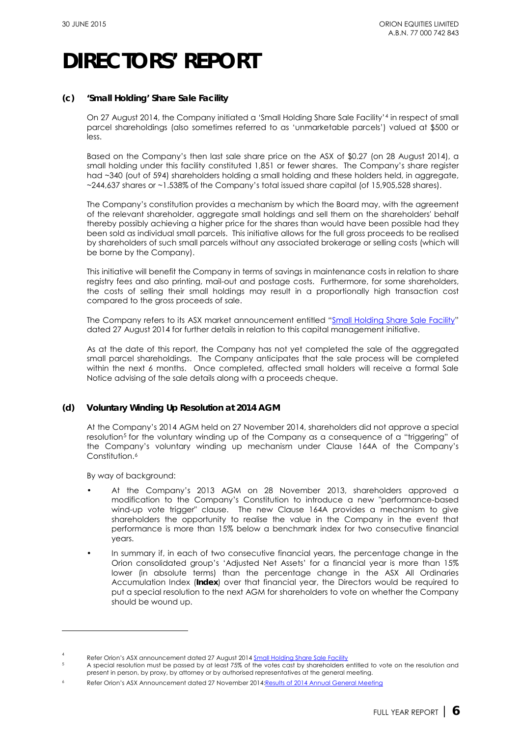## **(c) 'Small Holding' Share Sale Facility**

On 27 August 2014, the Company initiated a 'Small Holding Share Sale Facility'[4](#page-6-0) in respect of small parcel shareholdings (also sometimes referred to as 'unmarketable parcels') valued at \$500 or less.

Based on the Company's then last sale share price on the ASX of \$0.27 (on 28 August 2014), a small holding under this facility constituted 1,851 or fewer shares. The Company's share register had ~340 (out of 594) shareholders holding a small holding and these holders held, in aggregate, ~244,637 shares or ~1.538% of the Company's total issued share capital (of 15,905,528 shares).

The Company's constitution provides a mechanism by which the Board may, with the agreement of the relevant shareholder, aggregate small holdings and sell them on the shareholders' behalf thereby possibly achieving a higher price for the shares than would have been possible had they been sold as individual small parcels. This initiative allows for the full gross proceeds to be realised by shareholders of such small parcels without any associated brokerage or selling costs (which will be borne by the Company).

This initiative will benefit the Company in terms of savings in maintenance costs in relation to share registry fees and also printing, mail-out and postage costs. Furthermore, for some shareholders, the costs of selling their small holdings may result in a proportionally high transaction cost compared to the gross proceeds of sale.

The Company refers to its ASX market announcement entitled ["Small Holding Share Sale Facility"](http://orionequities.com.au/sites/default/files/20140827%20OEQ%20ASX%20Small%20Holding%20%28Unmarketable%20Parcel%29%20Sale%20Facility.pdf) dated 27 August 2014 for further details in relation to this capital management initiative.

As at the date of this report, the Company has not yet completed the sale of the aggregated small parcel shareholdings. The Company anticipates that the sale process will be completed within the next 6 months. Once completed, affected small holders will receive a formal Sale Notice advising of the sale details along with a proceeds cheque.

## **(d) Voluntary Winding Up Resolution at 2014 AGM**

At the Company's 2014 AGM held on 27 November 2014, shareholders did not approve a special resolution<sup>[5](#page-6-1)</sup> for the voluntary winding up of the Company as a consequence of a "triggering" of the Company's voluntary winding up mechanism under Clause 164A of the Company's Constitution.<sup>[6](#page-6-2)</sup>

By way of background:

-

- At the Company's 2013 AGM on 28 November 2013, shareholders approved a modification to the Company's Constitution to introduce a new "performance-based wind-up vote trigger" clause. The new Clause 164A provides a mechanism to give shareholders the opportunity to realise the value in the Company in the event that performance is more than 15% below a benchmark index for two consecutive financial years.
- In summary if, in each of two consecutive financial years, the percentage change in the Orion consolidated group's 'Adjusted Net Assets' for a financial year is more than 15% lower (in absolute terms) than the percentage change in the ASX All Ordinaries Accumulation Index (**Index**) over that financial year, the Directors would be required to put a special resolution to the next AGM for shareholders to vote on whether the Company should be wound up.

<span id="page-6-0"></span><sup>4</sup> Refer Orion's ASX announcement dated 27 August 2014  $\frac{\text{Small} \text{ holding} \text{Share} \text{Sale} \text{Facility}}{n \text{ Research} \text{Bessel} \text{Fessel} \text{Fisen} \text{Fisen} \text{Fisen} \text{Fisen} \text{Fisen} \text{Fisen} \text{Fisen} \text{Fisen} \text{Fisen} \text{Fisen} \text{Fisen} \text{Fisen} \text{Fisen} \text{Fisen} \text{Fisen} \text{Fisen} \text{Fisen} \text{Fisen} \text{Fisen} \text{Fisen}$ 

<span id="page-6-1"></span><sup>5</sup> A special resolution must be passed by at least 75% of the votes cast by shareholders entitled to vote on the resolution and present in person, by proxy, by attorney or by authorised representatives at the general meeting.

<span id="page-6-2"></span><sup>6</sup> Refer Orion's ASX Announcement dated 27 November 201[4:Results of 2014 Annual General Meeting](http://orionequities.com.au/sites/default/files/20141127%20OEQ%20ASX%20Results%20of%202014%20AGM.pdf)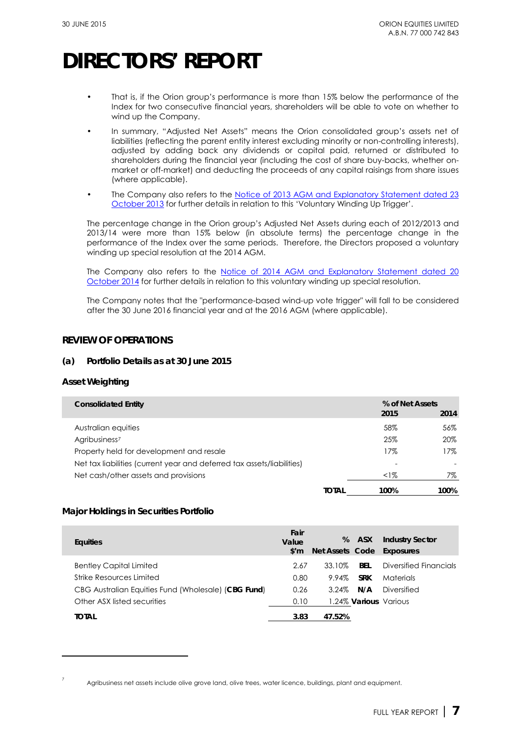- That is, if the Orion group's performance is more than 15% below the performance of the Index for two consecutive financial years, shareholders will be able to vote on whether to wind up the Company.
- In summary, "Adjusted Net Assets" means the Orion consolidated group's assets net of liabilities (reflecting the parent entity interest excluding minority or non-controlling interests), adjusted by adding back any dividends or capital paid, returned or distributed to shareholders during the financial year (including the cost of share buy-backs, whether onmarket or off-market) and deducting the proceeds of any capital raisings from share issues (where applicable).
- The Company also refers to the Notice of 2013 AGM and Explanatory Statement dated 23 [October 2013](http://www.orionequities.com.au/sites/default/files/20131030%20OEQ%20ASX%202013%20Notice%20of%20AGM%20and%20Proxy%20Form.pdf) for further details in relation to this 'Voluntary Winding Up Trigger'.

The percentage change in the Orion group's Adjusted Net Assets during each of 2012/2013 and 2013/14 were more than 15% below (in absolute terms) the percentage change in the performance of the Index over the same periods. Therefore, the Directors proposed a voluntary winding up special resolution at the 2014 AGM.

The Company also refers to the Notice of 2014 AGM and Explanatory Statement dated 20 [October 2014](http://orionequities.com.au/sites/default/files/20141023%20OEQ%20ASX%202014%20Notice%20of%20AGM%20Explanatory%20Statement%20and%20Proxy%20Form.pdf) for further details in relation to this voluntary winding up special resolution.

The Company notes that the "performance-based wind-up vote trigger" will fall to be considered after the 30 June 2016 financial year and at the 2016 AGM (where applicable).

## **REVIEW OF OPERATIONS**

## **(a) Portfolio Details as at 30 June 2015**

## **Asset Weighting**

| <b>Consolidated Entity</b>                                             |       | % of Net Assets |      |
|------------------------------------------------------------------------|-------|-----------------|------|
|                                                                        |       | 2015            | 2014 |
| Australian equities                                                    |       | 58%             | 56%  |
| Agribusiness <sup>7</sup>                                              |       | 25%             | 20%  |
| Property held for development and resale                               |       | 17%             | 17%  |
| Net tax liabilities (current year and deferred tax assets/liabilities) |       | ۰               |      |
| Net cash/other assets and provisions                                   |       | <1%             | 7%   |
|                                                                        | TOTAL | 100%            | 100% |

## **Major Holdings in Securities Portfolio**

| <b>Equities</b>                                     | Fair<br>Value<br>$\sin$ | %        | <b>ASX</b>                   | <b>Industry Sector</b><br>Net Assets Code Exposures |
|-----------------------------------------------------|-------------------------|----------|------------------------------|-----------------------------------------------------|
| <b>Bentley Capital Limited</b>                      | 2.67                    | 33.10%   | <b>BFI</b>                   | Diversified Financials                              |
| Strike Resources Limited                            | 0.80                    | 9.94%    | <b>SRK</b>                   | Materials                                           |
| CBG Australian Equities Fund (Wholesale) (CBG Fund) | 0.26                    | $3.24\%$ | N/A                          | Diversified                                         |
| Other ASX listed securities                         | 0.10                    |          | 1.24% <b>Various</b> Various |                                                     |
| <b>TOTAL</b>                                        | 3.83                    | 47.52%   |                              |                                                     |

-

Agribusiness net assets include olive grove land, olive trees, water licence, buildings, plant and equipment.

<span id="page-7-0"></span><sup>7</sup>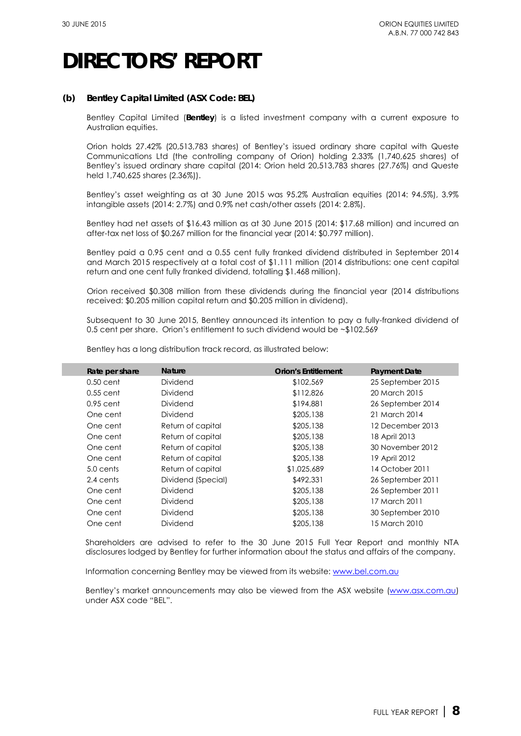## **(b) Bentley Capital Limited (ASX Code: BEL)**

Bentley Capital Limited (**Bentley**) is a listed investment company with a current exposure to Australian equities.

Orion holds 27.42% (20,513,783 shares) of Bentley's issued ordinary share capital with Queste Communications Ltd (the controlling company of Orion) holding 2.33% (1,740,625 shares) of Bentley's issued ordinary share capital (2014: Orion held 20,513,783 shares (27.76%) and Queste held 1,740,625 shares (2.36%)).

Bentley's asset weighting as at 30 June 2015 was 95.2% Australian equities (2014: 94.5%), 3.9% intangible assets (2014: 2.7%) and 0.9% net cash/other assets (2014: 2.8%).

Bentley had net assets of \$16.43 million as at 30 June 2015 (2014: \$17.68 million) and incurred an after-tax net loss of \$0.267 million for the financial year (2014: \$0.797 million).

Bentley paid a 0.95 cent and a 0.55 cent fully franked dividend distributed in September 2014 and March 2015 respectively at a total cost of \$1.111 million (2014 distributions: one cent capital return and one cent fully franked dividend, totalling \$1.468 million).

Orion received \$0.308 million from these dividends during the financial year (2014 distributions received: \$0.205 million capital return and \$0.205 million in dividend).

Subsequent to 30 June 2015, Bentley announced its intention to pay a fully-franked dividend of 0.5 cent per share. Orion's entitlement to such dividend would be ~\$102,569

Bentley has a long distribution track record, as illustrated below:

| Rate per share | <b>Nature</b>      | <b>Orion's Entitlement</b> | <b>Payment Date</b> |
|----------------|--------------------|----------------------------|---------------------|
| $0.50$ cent    | Dividend           | \$102,569                  | 25 September 2015   |
| $0.55$ cent    | Dividend           | \$112,826                  | 20 March 2015       |
| $0.95$ cent    | Dividend           | \$194,881                  | 26 September 2014   |
| One cent       | Dividend           | \$205,138                  | 21 March 2014       |
| One cent       | Return of capital  | \$205,138                  | 12 December 2013    |
| One cent       | Return of capital  | \$205,138                  | 18 April 2013       |
| One cent       | Return of capital  | \$205,138                  | 30 November 2012    |
| One cent       | Return of capital  | \$205,138                  | 19 April 2012       |
| 5.0 cents      | Return of capital  | \$1,025,689                | 14 October 2011     |
| 2.4 cents      | Dividend (Special) | \$492,331                  | 26 September 2011   |
| One cent       | Dividend           | \$205,138                  | 26 September 2011   |
| One cent       | Dividend           | \$205,138                  | 17 March 2011       |
| One cent       | Dividend           | \$205,138                  | 30 September 2010   |
| One cent       | Dividend           | \$205,138                  | 15 March 2010       |

Shareholders are advised to refer to the 30 June 2015 Full Year Report and monthly NTA disclosures lodged by Bentley for further information about the status and affairs of the company.

Information concerning Bentley may be viewed from its website[: www.bel.com.au](http://www.bel.com.au/) 

Bentley's market announcements may also be viewed from the ASX website [\(www.asx.com.au\)](http://www.asx.com.au/) under ASX code "BEL".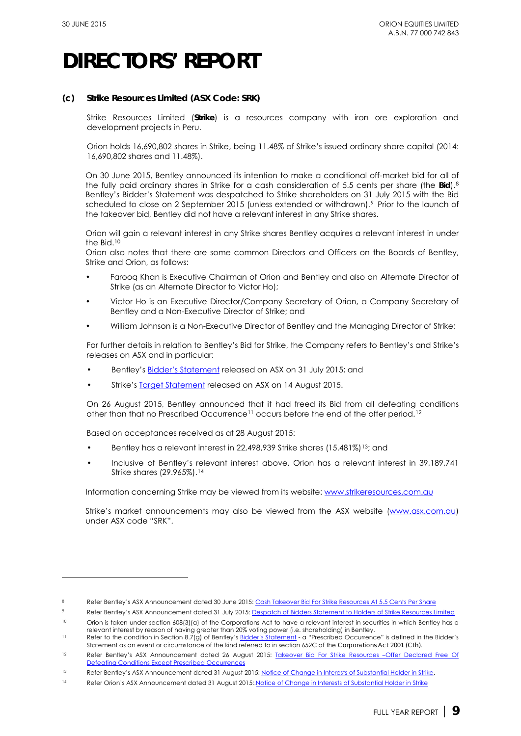-

## **DIRECTORS' REPORT**

## **(c) Strike Resources Limited (ASX Code: SRK)**

Strike Resources Limited (**Strike**) is a resources company with iron ore exploration and development projects in Peru.

Orion holds 16,690,802 shares in Strike, being 11.48% of Strike's issued ordinary share capital (2014: 16,690,802 shares and 11.48%).

On 30 June 2015, Bentley announced its intention to make a conditional off-market bid for all of the fully paid ordinary shares in Strike for a cash consideration of 5.5 cents per share (the **Bid**).[8](#page-9-0) Bentley's Bidder's Statement was despatched to Strike shareholders on 31 July 2015 with the Bid scheduled to close on 2 September 2015 (unless extended or withdrawn).<sup>[9](#page-9-1)</sup> Prior to the launch of the takeover bid, Bentley did not have a relevant interest in any Strike shares.

Orion will gain a relevant interest in any Strike shares Bentley acquires a relevant interest in under the Bid.[10](#page-9-2)

Orion also notes that there are some common Directors and Officers on the Boards of Bentley, Strike and Orion, as follows:

- Farooq Khan is Executive Chairman of Orion and Bentley and also an Alternate Director of Strike (as an Alternate Director to Victor Ho);
- Victor Ho is an Executive Director/Company Secretary of Orion, a Company Secretary of Bentley and a Non-Executive Director of Strike; and
- William Johnson is a Non-Executive Director of Bentley and the Managing Director of Strike;

For further details in relation to Bentley's Bid for Strike, the Company refers to Bentley's and Strike's releases on ASX and in particular:

- Bentley's [Bidder's Statement](http://www.bel.com.au/sites/default/files/20150731%20BEL%20ASX%20Despatch%20of%20Bidders%20Statement%20to%20Holders%20of%20SRK.pdf) released on ASX on 31 July 2015; and
- Strike's [Target Statement](http://www.asx.com.au/asxpdf/20150814/pdf/430hq5zj53p1wc.pdf) released on ASX on 14 August 2015.

On 26 August 2015, Bentley announced that it had freed its Bid from all defeating conditions other than that no Prescribed Occurrence<sup>11</sup> occurs before the end of the offer period.<sup>[12](#page-9-4)</sup>

Based on acceptances received as at 28 August 2015:

- Bentley has a relevant interest in 22,498,939 Strike shares (15.481%)<sup>[13](#page-9-5)</sup>; and
- Inclusive of Bentley's relevant interest above, Orion has a relevant interest in 39,189,741 Strike shares (29.965%).[14](#page-9-6)

Information concerning Strike may be viewed from its website: www.strikeresources.com.au

Strike's market announcements may also be viewed from the ASX website [\(www.asx.com.au\)](http://www.asx.com.au/) under ASX code "SRK".

<span id="page-9-2"></span><span id="page-9-1"></span><span id="page-9-0"></span>Refer Bentley's ASX Announcement dated 30 June 2015: [Cash Takeover Bid For Strike Resources At 5.5 Cents Per Share](http://www.bel.com.au/sites/default/files/20150630%20BEL%20ASX%20Cash%20Bid%20for%20SRK%20at%205.5cents%20per%20share.pdf)

Refer Bentley's ASX Announcement dated 31 July 2015[: Despatch of Bidders Statement to Holders of Strike Resources Limited](http://www.bel.com.au/sites/default/files/20150731%20BEL%20ASX%20Despatch%20of%20Bidders%20Statement%20to%20Holders%20of%20SRK.pdf)

<span id="page-9-3"></span><sup>10</sup> Orion is taken under section 608(3)(a) of the Corporations Act to have a relevant interest in securities in which Bentley has a relevant interest by reason of having greater than 20% voting power (i.e. shareholding) in Bentley.

<span id="page-9-4"></span><sup>11</sup> Refer to the condition in Section 8.7(g) of Bentley'[s Bidder's Statement](http://www.bel.com.au/sites/default/files/20150731%20BEL%20ASX%20Despatch%20of%20Bidders%20Statement%20to%20Holders%20of%20SRK.pdf) - a "Prescribed Occurrence" is defined in the Bidder's Statement as an event or circumstance of the kind referred to in section 652C of the *Corporations Act 2001 (Cth)*.

<span id="page-9-5"></span><sup>12</sup> Refer Bentley's ASX Announcement dated 26 August 2015: Takeover Bid For Strike Resources -Offer Declared Free Of [Defeating Conditions Except Prescribed Occurrences](http://www.bel.com.au/sites/default/files/20150826%20BEL%20ASX%20SRK%20Takeover%20Bid%20Declared%20free%20of%20Certain%20defeating%20conditions.pdf) 

<span id="page-9-6"></span><sup>13</sup> Refer Bentley's ASX Announcement dated 31 August 2015: Notice of Change in Interests of Substantial Holder in Strike.

<sup>14</sup> Refer Orion's ASX Announcement dated 31 August 2015: Notice of Change in Interests of Substantial Holder in Strike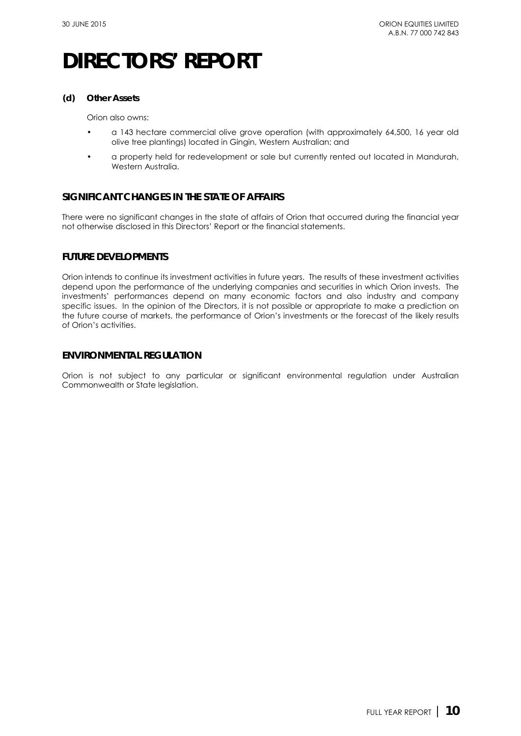### **(d) Other Assets**

Orion also owns:

- a 143 hectare commercial olive grove operation (with approximately 64,500, 16 year old olive tree plantings) located in Gingin, Western Australian; and
- a property held for redevelopment or sale but currently rented out located in Mandurah, Western Australia.

## **SIGNIFICANT CHANGES IN THE STATE OF AFFAIRS**

There were no significant changes in the state of affairs of Orion that occurred during the financial year not otherwise disclosed in this Directors' Report or the financial statements.

## **FUTURE DEVELOPMENTS**

Orion intends to continue its investment activities in future years. The results of these investment activities depend upon the performance of the underlying companies and securities in which Orion invests. The investments' performances depend on many economic factors and also industry and company specific issues. In the opinion of the Directors, it is not possible or appropriate to make a prediction on the future course of markets, the performance of Orion's investments or the forecast of the likely results of Orion's activities.

## **ENVIRONMENTAL REGULATION**

Orion is not subject to any particular or significant environmental regulation under Australian Commonwealth or State legislation.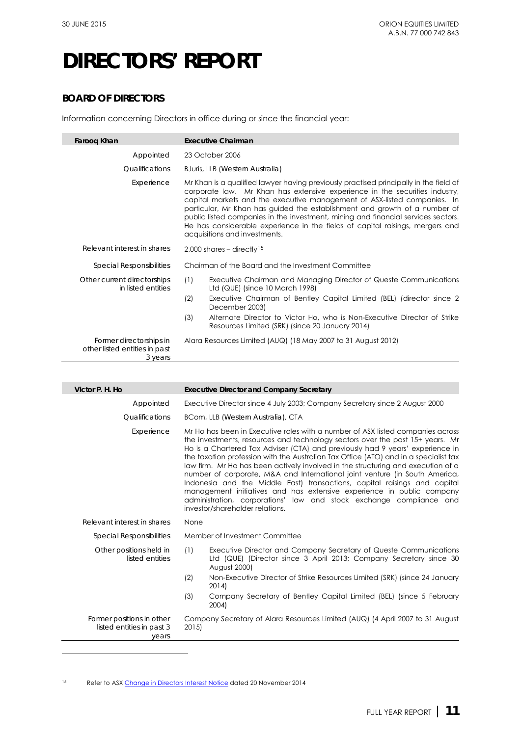$\overline{a}$ 

## **DIRECTORS' REPORT**

## **BOARD OF DIRECTORS**

Information concerning Directors in office during or since the financial year:

| Faroog Khan                                                         | <b>Executive Chairman</b>                                                                                                                                                                                                                                                                                                                                                                                                                                                                                                             |  |
|---------------------------------------------------------------------|---------------------------------------------------------------------------------------------------------------------------------------------------------------------------------------------------------------------------------------------------------------------------------------------------------------------------------------------------------------------------------------------------------------------------------------------------------------------------------------------------------------------------------------|--|
| Appointed                                                           | 23 October 2006                                                                                                                                                                                                                                                                                                                                                                                                                                                                                                                       |  |
| <b>Oualifications</b>                                               | BJuris, LLB (Western Australia)                                                                                                                                                                                                                                                                                                                                                                                                                                                                                                       |  |
| Experience                                                          | Mr Khan is a qualified lawyer having previously practised principally in the field of<br>corporate law. Mr Khan has extensive experience in the securities industry,<br>capital markets and the executive management of ASX-listed companies. In<br>particular, Mr Khan has guided the establishment and growth of a number of<br>public listed companies in the investment, mining and financial services sectors.<br>He has considerable experience in the fields of capital raisings, mergers and<br>acquisitions and investments. |  |
| Relevant interest in shares                                         | 2,000 shares - directly <sup>15</sup>                                                                                                                                                                                                                                                                                                                                                                                                                                                                                                 |  |
| <b>Special Responsibilities</b>                                     | Chairman of the Board and the Investment Committee                                                                                                                                                                                                                                                                                                                                                                                                                                                                                    |  |
| Other current directorships<br>in listed entities                   | Executive Chairman and Managing Director of Queste Communications<br>(1)<br>Ltd (QUE) (since 10 March 1998)                                                                                                                                                                                                                                                                                                                                                                                                                           |  |
|                                                                     | (2)<br>Executive Chairman of Bentley Capital Limited (BEL) (director since 2<br>December 2003)                                                                                                                                                                                                                                                                                                                                                                                                                                        |  |
|                                                                     | Alternate Director to Victor Ho, who is Non-Executive Director of Strike<br>(3)<br>Resources Limited (SRK) (since 20 January 2014)                                                                                                                                                                                                                                                                                                                                                                                                    |  |
| Former directorships in<br>other listed entities in past<br>3 years | Alara Resources Limited (AUQ) (18 May 2007 to 31 August 2012)                                                                                                                                                                                                                                                                                                                                                                                                                                                                         |  |

| Victor P. H. Ho                                        | <b>Executive Director and Company Secretary</b>                                                                                                                                                                                                                                                                                                                                                                                                                                                                                                                                                                                                                                                                                                                             |
|--------------------------------------------------------|-----------------------------------------------------------------------------------------------------------------------------------------------------------------------------------------------------------------------------------------------------------------------------------------------------------------------------------------------------------------------------------------------------------------------------------------------------------------------------------------------------------------------------------------------------------------------------------------------------------------------------------------------------------------------------------------------------------------------------------------------------------------------------|
| Appointed                                              | Executive Director since 4 July 2003; Company Secretary since 2 August 2000                                                                                                                                                                                                                                                                                                                                                                                                                                                                                                                                                                                                                                                                                                 |
|                                                        |                                                                                                                                                                                                                                                                                                                                                                                                                                                                                                                                                                                                                                                                                                                                                                             |
| <i><u><b>Oualifications</b></u></i>                    | BCom, LLB (Western Australia), CTA                                                                                                                                                                                                                                                                                                                                                                                                                                                                                                                                                                                                                                                                                                                                          |
| Experience                                             | Mr Ho has been in Executive roles with a number of ASX listed companies across<br>the investments, resources and technology sectors over the past 15+ years. Mr<br>Ho is a Chartered Tax Adviser (CTA) and previously had 9 years' experience in<br>the taxation profession with the Australian Tax Office (ATO) and in a specialist tax<br>law firm. Mr Ho has been actively involved in the structuring and execution of a<br>number of corporate, M&A and International joint venture (in South America,<br>Indonesia and the Middle East) transactions, capital raisings and capital<br>management initiatives and has extensive experience in public company<br>administration, corporations' law and stock exchange compliance and<br>investor/shareholder relations. |
| Relevant interest in shares                            | None                                                                                                                                                                                                                                                                                                                                                                                                                                                                                                                                                                                                                                                                                                                                                                        |
| <b>Special Responsibilities</b>                        | Member of Investment Committee                                                                                                                                                                                                                                                                                                                                                                                                                                                                                                                                                                                                                                                                                                                                              |
| Other positions held in<br>listed entities             | (1)<br>Executive Director and Company Secretary of Queste Communications<br>Ltd (QUE) (Director since 3 April 2013; Company Secretary since 30<br><b>August 2000)</b>                                                                                                                                                                                                                                                                                                                                                                                                                                                                                                                                                                                                       |
|                                                        | (2)<br>Non-Executive Director of Strike Resources Limited (SRK) (since 24 January<br>2014                                                                                                                                                                                                                                                                                                                                                                                                                                                                                                                                                                                                                                                                                   |
|                                                        | (3)<br>Company Secretary of Bentley Capital Limited (BEL) (since 5 February<br>2004                                                                                                                                                                                                                                                                                                                                                                                                                                                                                                                                                                                                                                                                                         |
| Former positions in other<br>listed entities in past 3 | Company Secretary of Alara Resources Limited (AUQ) (4 April 2007 to 31 August<br>2015)                                                                                                                                                                                                                                                                                                                                                                                                                                                                                                                                                                                                                                                                                      |

15 Refer to AS[X Change in Directors Interest Notice](http://orionequities.com.au/sites/default/files/20141120%20OEQ%20Appendix%203Y%20-%20Change%20of%20Directors%20Interest%20Notice%20-%20F%20Khan.pdf) dated 20 November 2014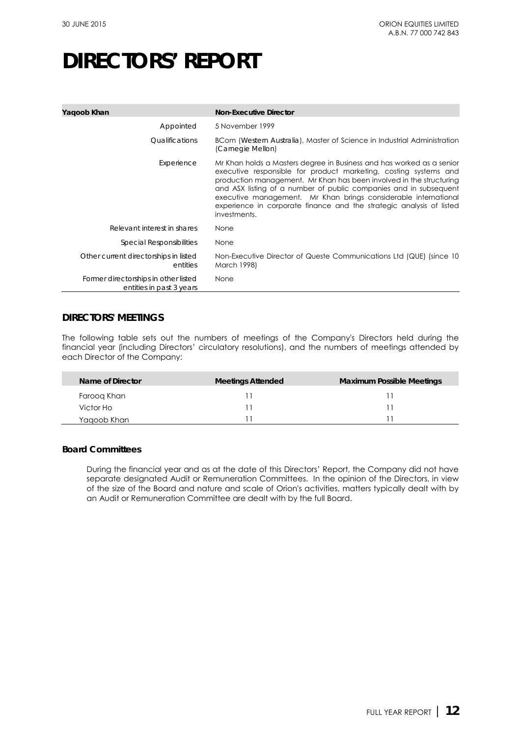| Yagoob Khan                                                      | <b>Non-Executive Director</b>                                                                                                                                                                                                                                                                                                                                                                                                                    |
|------------------------------------------------------------------|--------------------------------------------------------------------------------------------------------------------------------------------------------------------------------------------------------------------------------------------------------------------------------------------------------------------------------------------------------------------------------------------------------------------------------------------------|
| Appointed                                                        | 5 November 1999                                                                                                                                                                                                                                                                                                                                                                                                                                  |
| <i><u><b>Oualifications</b></u></i>                              | BCom (Western Australia), Master of Science in Industrial Administration<br>(Carnegie Mellon)                                                                                                                                                                                                                                                                                                                                                    |
| Experience                                                       | Mr Khan holds a Masters degree in Business and has worked as a senior<br>executive responsible for product marketing, costing systems and<br>production management. Mr Khan has been involved in the structuring<br>and ASX listing of a number of public companies and in subsequent<br>executive management. Mr Khan brings considerable international<br>experience in corporate finance and the strategic analysis of listed<br>investments. |
| Relevant interest in shares                                      | None                                                                                                                                                                                                                                                                                                                                                                                                                                             |
| Special Responsibilities                                         | None                                                                                                                                                                                                                                                                                                                                                                                                                                             |
| Other current directorships in listed<br>entities                | Non-Executive Director of Queste Communications Ltd (QUE) (since 10<br>March 1998)                                                                                                                                                                                                                                                                                                                                                               |
| Former directorships in other listed<br>entities in past 3 years | None                                                                                                                                                                                                                                                                                                                                                                                                                                             |

## **DIRECTORS' MEETINGS**

The following table sets out the numbers of meetings of the Company's Directors held during the financial year (including Directors' circulatory resolutions), and the numbers of meetings attended by each Director of the Company:

| Name of Director | <b>Meetings Attended</b> | <b>Maximum Possible Meetings</b> |
|------------------|--------------------------|----------------------------------|
| Faroog Khan      |                          |                                  |
| Victor Ho        |                          |                                  |
| Yagoob Khan      |                          |                                  |

## **Board Committees**

<span id="page-12-0"></span>During the financial year and as at the date of this Directors' Report, the Company did not have separate designated Audit or Remuneration Committees. In the opinion of the Directors, in view of the size of the Board and nature and scale of Orion's activities, matters typically dealt with by an Audit or Remuneration Committee are dealt with by the full Board.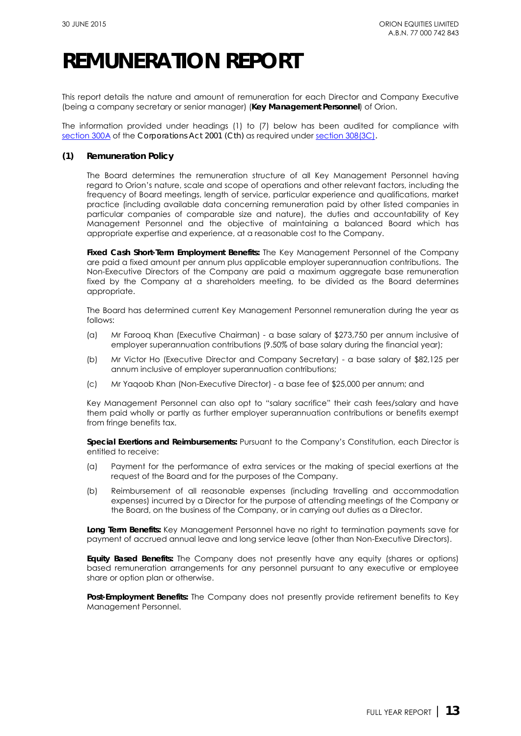## **REMUNERATION REPORT**

This report details the nature and amount of remuneration for each Director and Company Executive (being a company secretary or senior manager) (**Key Management Personnel**) of Orion.

The information provided under headings (1) to (7) below has been audited for compliance with [section 300A](http://www.austlii.edu.au/au/legis/cth/consol_act/ca2001172/s300a.html) of the *Corporations Act 2001 (Cth)* as required under [section 308\(3C\)](http://www.austlii.edu.au/au/legis/cth/consol_act/ca2001172/s308.html)*.*

### **(1) Remuneration Policy**

The Board determines the remuneration structure of all Key Management Personnel having regard to Orion's nature, scale and scope of operations and other relevant factors, including the frequency of Board meetings, length of service, particular experience and qualifications, market practice (including available data concerning remuneration paid by other listed companies in particular companies of comparable size and nature), the duties and accountability of Key Management Personnel and the objective of maintaining a balanced Board which has appropriate expertise and experience, at a reasonable cost to the Company.

**Fixed Cash Short-Term Employment Benefits:** The Key Management Personnel of the Company are paid a fixed amount per annum plus applicable employer superannuation contributions. The Non-Executive Directors of the Company are paid a maximum aggregate base remuneration fixed by the Company at a shareholders meeting, to be divided as the Board determines appropriate.

The Board has determined current Key Management Personnel remuneration during the year as follows:

- (a) Mr Farooq Khan (Executive Chairman) a base salary of \$273,750 per annum inclusive of employer superannuation contributions (9.50% of base salary during the financial year);
- (b) Mr Victor Ho (Executive Director and Company Secretary) a base salary of \$82,125 per annum inclusive of employer superannuation contributions;
- (c) Mr Yaqoob Khan (Non-Executive Director) a base fee of \$25,000 per annum; and

Key Management Personnel can also opt to "salary sacrifice" their cash fees/salary and have them paid wholly or partly as further employer superannuation contributions or benefits exempt from fringe benefits tax.

**Special Exertions and Reimbursements:** Pursuant to the Company's Constitution, each Director is entitled to receive:

- (a) Payment for the performance of extra services or the making of special exertions at the request of the Board and for the purposes of the Company.
- (b) Reimbursement of all reasonable expenses (including travelling and accommodation expenses) incurred by a Director for the purpose of attending meetings of the Company or the Board, on the business of the Company, or in carrying out duties as a Director.

**Long Term Benefits:** Key Management Personnel have no right to termination payments save for payment of accrued annual leave and long service leave (other than Non-Executive Directors).

**Equity Based Benefits:** The Company does not presently have any equity (shares or options) based remuneration arrangements for any personnel pursuant to any executive or employee share or option plan or otherwise.

**Post-Employment Benefits:** The Company does not presently provide retirement benefits to Key Management Personnel.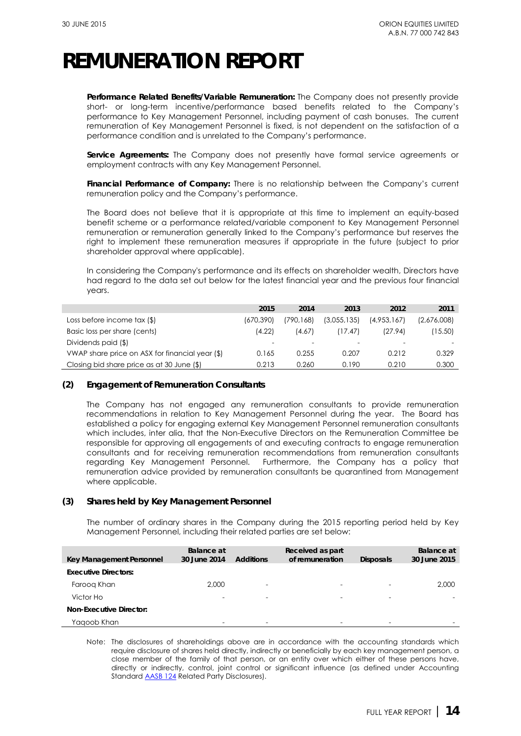## **REMUNERATION REPORT**

**Performance Related Benefits/Variable Remuneration:** The Company does not presently provide short- or long-term incentive/performance based benefits related to the Company's performance to Key Management Personnel, including payment of cash bonuses. The current remuneration of Key Management Personnel is fixed, is not dependent on the satisfaction of a performance condition and is unrelated to the Company's performance.

**Service Agreements:** The Company does not presently have formal service agreements or employment contracts with any Key Management Personnel.

**Financial Performance of Company:** There is no relationship between the Company's current remuneration policy and the Company's performance.

The Board does not believe that it is appropriate at this time to implement an equity-based benefit scheme or a performance related/variable component to Key Management Personnel remuneration or remuneration generally linked to the Company's performance but reserves the right to implement these remuneration measures if appropriate in the future (subject to prior shareholder approval where applicable).

In considering the Company's performance and its effects on shareholder wealth, Directors have had regard to the data set out below for the latest financial year and the previous four financial years.

|                                                 | 2015      | 2014      | 2013        | 2012        | 2011        |
|-------------------------------------------------|-----------|-----------|-------------|-------------|-------------|
| Loss before income $\text{tax}(\$)$             | (670,390) | (790,168) | (3,055,135) | (4.953.167) | (2,676,008) |
| Basic loss per share (cents)                    | (4.22)    | (4.67)    | (17.47)     | (27.94)     | 15.50       |
| Dividends paid (\$)                             |           |           |             |             |             |
| VWAP share price on ASX for financial year (\$) | 0.165     | 0.255     | 0.207       | 0.212       | 0.329       |
| Closing bid share price as at 30 June $(\$)$    | 0.213     | 0.260     | 0.190       | 0.210       | 0.300       |

## **(2) Engagement of Remuneration Consultants**

The Company has not engaged any remuneration consultants to provide remuneration recommendations in relation to Key Management Personnel during the year. The Board has established a policy for engaging external Key Management Personnel remuneration consultants which includes, inter alia, that the Non-Executive Directors on the Remuneration Committee be responsible for approving all engagements of and executing contracts to engage remuneration consultants and for receiving remuneration recommendations from remuneration consultants regarding Key Management Personnel. Furthermore, the Company has a policy that remuneration advice provided by remuneration consultants be quarantined from Management where applicable.

## **(3) Shares held by Key Management Personnel**

The number of ordinary shares in the Company during the 2015 reporting period held by Key Management Personnel, including their related parties are set below:

| Key Management Personnel       | Balance at<br>30 June 2014 | <b>Additions</b>         | Received as part<br>of remuneration | <b>Disposals</b>         | <b>Balance</b> at<br>30 June 2015 |
|--------------------------------|----------------------------|--------------------------|-------------------------------------|--------------------------|-----------------------------------|
| <b>Executive Directors:</b>    |                            |                          |                                     |                          |                                   |
| Faroog Khan                    | 2,000                      | $\overline{\phantom{0}}$ | $\overline{\phantom{0}}$            |                          | 2,000                             |
| Victor Ho                      |                            | $\overline{\phantom{a}}$ | $\overline{\phantom{a}}$            | $\overline{\phantom{0}}$ |                                   |
| <b>Non-Executive Director:</b> |                            |                          |                                     |                          |                                   |
| Yagoob Khan                    |                            | $\overline{\phantom{0}}$ | $\overline{\phantom{0}}$            |                          |                                   |

Note: The disclosures of shareholdings above are in accordance with the accounting standards which require disclosure of shares held directly, indirectly or beneficially by each key management person, a close member of the family of that person, or an entity over which either of these persons have, directly or indirectly, control, joint control or significant influence (as defined under Accounting Standard **AASB 124** Related Party Disclosures).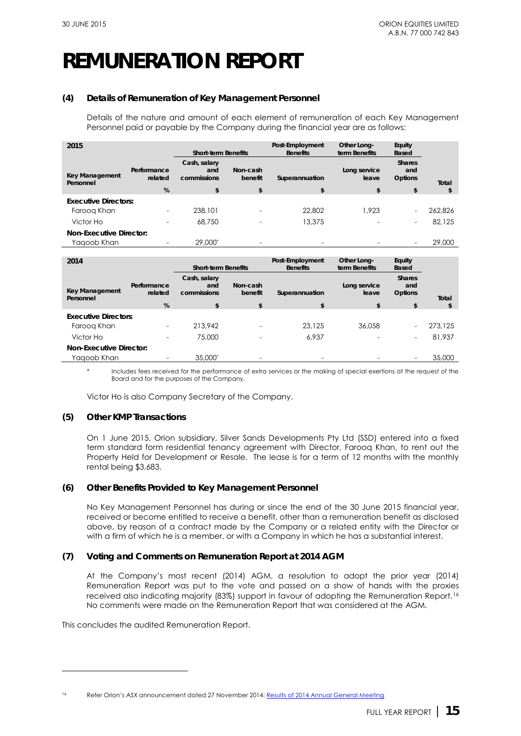# **REMUNERATION REPORT**

### **(4) Details of Remuneration of Key Management Personnel**

Details of the nature and amount of each element of remuneration of each Key Management Personnel paid or payable by the Company during the financial year are as follows:

| 2015                               |                          | <b>Short-term Benefits</b>         |                          | Post-Employment<br><b>Benefits</b> | Other Long-<br>term Benefits | Equity<br><b>Based</b>          |         |
|------------------------------------|--------------------------|------------------------------------|--------------------------|------------------------------------|------------------------------|---------------------------------|---------|
| <b>Key Management</b><br>Personnel | Performance<br>related   | Cash, salary<br>and<br>commissions | Non-cash<br>benefit      | Superannuation                     | Long service<br>leave        | <b>Shares</b><br>and<br>Options | Total   |
|                                    | %                        | \$                                 | \$                       | \$                                 | \$                           | \$                              | \$      |
| <b>Executive Directors:</b>        |                          |                                    |                          |                                    |                              |                                 |         |
| Faroog Khan                        | $\overline{\phantom{0}}$ | 238,101                            | $\overline{\phantom{0}}$ | 22,802                             | 1.923                        | $\qquad \qquad -$               | 262.826 |
| Victor Ho                          |                          | 68,750                             | $\overline{\phantom{0}}$ | 13,375                             |                              | $\overline{\phantom{0}}$        | 82,125  |
| <b>Non-Executive Director:</b>     |                          |                                    |                          |                                    |                              |                                 |         |
| Yaqoob Khan                        |                          | 29,000*                            | $\overline{\phantom{0}}$ |                                    |                              | $\overline{\phantom{a}}$        | 29,000  |

| 2014                               |                        | <b>Short-term Benefits</b>         |                          | Post-Employment<br><b>Benefits</b> | Other Long-<br>term Benefits | Equity<br><b>Based</b>                 |         |
|------------------------------------|------------------------|------------------------------------|--------------------------|------------------------------------|------------------------------|----------------------------------------|---------|
| <b>Key Management</b><br>Personnel | Performance<br>related | Cash, salary<br>and<br>commissions | Non-cash<br>benefit      | Superannuation                     | Long service<br>leave        | <b>Shares</b><br>and<br><b>Options</b> | Total   |
|                                    | %                      | \$                                 | \$                       | \$                                 | \$                           | \$                                     | \$      |
| <b>Executive Directors:</b>        |                        |                                    |                          |                                    |                              |                                        |         |
| Faroog Khan                        |                        | 213.942                            | $\overline{\phantom{0}}$ | 23,125                             | 36.058                       | $\overline{\phantom{0}}$               | 273,125 |
| Victor Ho                          |                        | 75,000                             | $\overline{\phantom{0}}$ | 6.937                              |                              | $\qquad \qquad -$                      | 81,937  |
| <b>Non-Executive Director:</b>     |                        |                                    |                          |                                    |                              |                                        |         |
| Yaqoob Khan                        |                        | 35,000*                            |                          |                                    |                              | ۰                                      | 35,000  |

\* Includes fees received for the performance of extra services or the making of special exertions at the request of the Board and for the purposes of the Company.

Victor Ho is also Company Secretary of the Company.

## **(5) Other KMP Transactions**

On 1 June 2015, Orion subsidiary, Silver Sands Developments Pty Ltd (SSD) entered into a fixed term standard form residential tenancy agreement with Director, Farooq Khan, to rent out the Property Held for Development or Resale. The lease is for a term of 12 months with the monthly rental being \$3,683.

## **(6) Other Benefits Provided to Key Management Personnel**

No Key Management Personnel has during or since the end of the 30 June 2015 financial year, received or become entitled to receive a benefit, other than a remuneration benefit as disclosed above, by reason of a contract made by the Company or a related entity with the Director or with a firm of which he is a member, or with a Company in which he has a substantial interest.

### **(7) Voting and Comments on Remuneration Report at 2014 AGM**

At the Company's most recent (2014) AGM, a resolution to adopt the prior year (2014) Remuneration Report was put to the vote and passed on a show of hands with the proxies received also indicating majority (83%) support in favour of adopting the Remuneration Report.[16](#page-16-0)  No comments were made on the Remuneration Report that was considered at the AGM.

This concludes the audited Remuneration Report.

-

<sup>16</sup> Refer Orion's ASX announcement dated 27 November 2014: [Results of 2014 Annual General Meeting](http://orionequities.com.au/sites/default/files/20141127%20OEQ%20ASX%20Results%20of%202014%20AGM.pdf)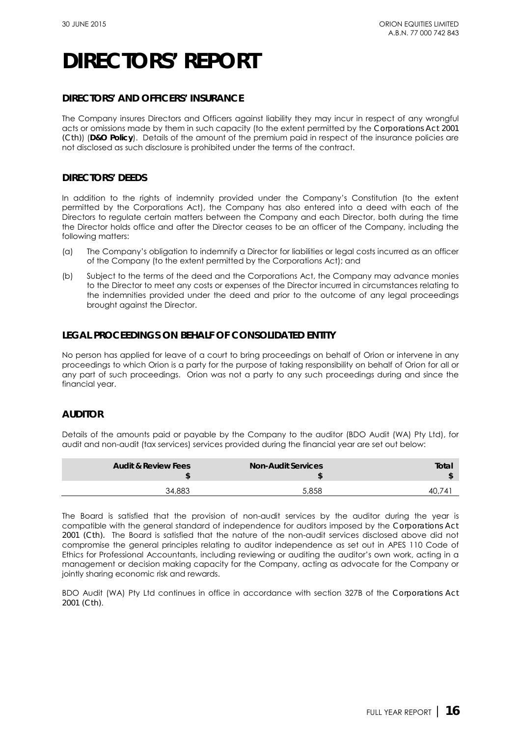## **DIRECTORS' AND OFFICERS' INSURANCE**

The Company insures Directors and Officers against liability they may incur in respect of any wrongful acts or omissions made by them in such capacity (to the extent permitted by the *Corporations Act 2001 (Cth)*) (**D&O Policy**). Details of the amount of the premium paid in respect of the insurance policies are not disclosed as such disclosure is prohibited under the terms of the contract.

## **DIRECTORS' DEEDS**

In addition to the rights of indemnity provided under the Company's Constitution (to the extent permitted by the Corporations Act), the Company has also entered into a deed with each of the Directors to regulate certain matters between the Company and each Director, both during the time the Director holds office and after the Director ceases to be an officer of the Company, including the following matters:

- (a) The Company's obligation to indemnify a Director for liabilities or legal costs incurred as an officer of the Company (to the extent permitted by the Corporations Act); and
- (b) Subject to the terms of the deed and the Corporations Act, the Company may advance monies to the Director to meet any costs or expenses of the Director incurred in circumstances relating to the indemnities provided under the deed and prior to the outcome of any legal proceedings brought against the Director.

## **LEGAL PROCEEDINGS ON BEHALF OF CONSOLIDATED ENTITY**

No person has applied for leave of a court to bring proceedings on behalf of Orion or intervene in any proceedings to which Orion is a party for the purpose of taking responsibility on behalf of Orion for all or any part of such proceedings. Orion was not a party to any such proceedings during and since the financial year.

## **AUDITOR**

Details of the amounts paid or payable by the Company to the auditor (BDO Audit (WA) Pty Ltd), for audit and non-audit (tax services) services provided during the financial year are set out below:

| <b>Audit &amp; Review Fees</b> | <b>Non-Audit Services</b> | Total    |
|--------------------------------|---------------------------|----------|
| 34,883                         | 5.858                     | 74<br>40 |

The Board is satisfied that the provision of non-audit services by the auditor during the year is compatible with the general standard of independence for auditors imposed by the *Corporations Act 2001 (Cth).* The Board is satisfied that the nature of the non-audit services disclosed above did not compromise the general principles relating to auditor independence as set out in APES 110 Code of Ethics for Professional Accountants, including reviewing or auditing the auditor's own work, acting in a management or decision making capacity for the Company, acting as advocate for the Company or jointly sharing economic risk and rewards.

<span id="page-16-0"></span>BDO Audit (WA) Pty Ltd continues in office in accordance with section 327B of the *Corporations Act 2001 (Cth)*.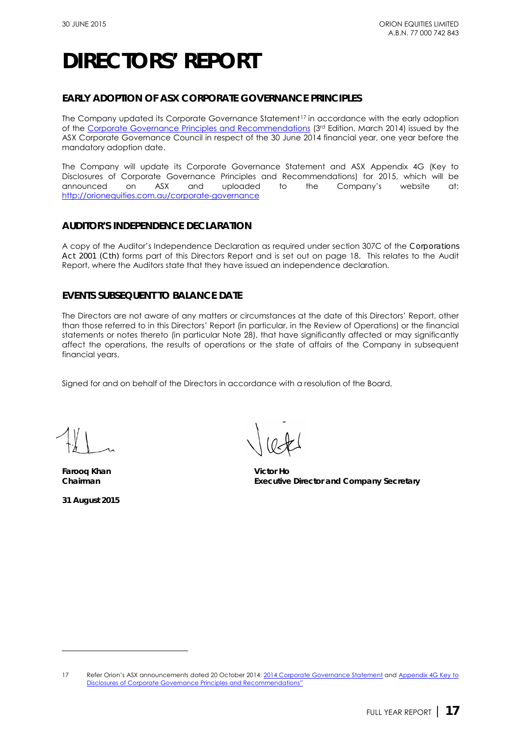## **EARLY ADOPTION OF ASX CORPORATE GOVERNANCE PRINCIPLES**

The Company updated its Corporate Governance Statement<sup>[17](#page-23-0)</sup> in accordance with the early adoption of the [Corporate Governance Principles and Recommendations](http://www.asx.com.au/documents/asx-compliance/cgc-principles-and-recommendations-3rd-edn.pdf) (3rd Edition, March 2014) issued by the ASX Corporate Governance Council in respect of the 30 June 2014 financial year, one year before the mandatory adoption date.

The Company will update its Corporate Governance Statement and ASX Appendix 4G (Key to Disclosures of Corporate Governance Principles and Recommendations) for 2015, which will be announced on ASX and uploaded to the Company's website at: uploaded to <http://orionequities.com.au/corporate-governance>

## **AUDITOR'S INDEPENDENCE DECLARATION**

A copy of the Auditor's Independence Declaration as required under section 307C of the *Corporations Act 2001 (Cth)* forms part of this Directors Report and is set out on page 18. This relates to the Audit Report, where the Auditors state that they have issued an independence declaration.

## **EVENTS SUBSEQUENT TO BALANCE DATE**

The Directors are not aware of any matters or circumstances at the date of this Directors' Report, other than those referred to in this Directors' Report (in particular, in the Review of Operations) or the financial statements or notes thereto (in particular Note 28), that have significantly affected or may significantly affect the operations, the results of operations or the state of affairs of the Company in subsequent financial years.

Signed for and on behalf of the Directors in accordance with a resolution of the Board,

**Farooq Khan Victor Ho**

**31 August 2015** 

-

Chairman **Executive Director and Company Secretary** 

<sup>17</sup> Refer Orion's ASX announcements dated 20 October 2014[: 2014 Corporate Governance Statement](http://orionequities.com.au/sites/default/files/20141024%20OEQ%20Corporate%20Governance%20Statement%20-%202014.pdf) and Appendix 4G Key to [Disclosures of Corporate Governance Principles and Recommendations"](http://orionequities.com.au/sites/default/files/20141024%20OEQ%20ASX%20Appendix%204G%20-%20Key%20to%20Disclosures%20-%20Corporate%20Governance%20Recommendations.pdf)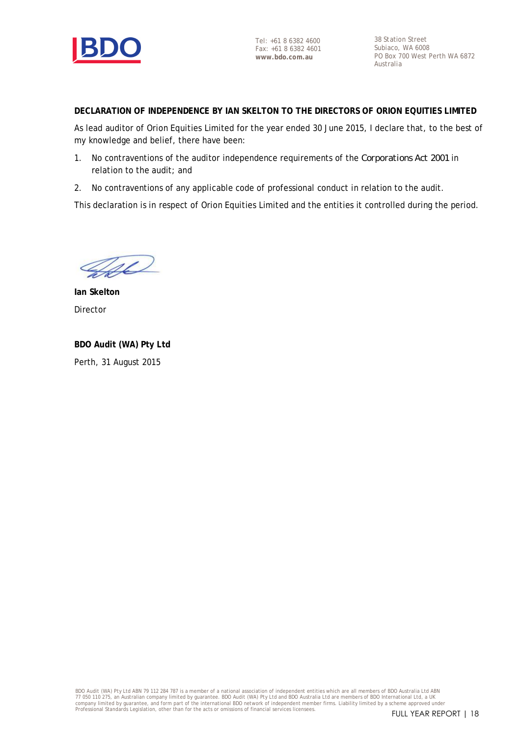

Tel: +61 8 6382 4600 Fax: +61 8 6382 4601 **www.bdo.com.au**

38 Station Street Subiaco, WA 6008 PO Box 700 West Perth WA 6872 Australia

**DECLARATION OF INDEPENDENCE BY IAN SKELTON TO THE DIRECTORS OF ORION EQUITIES LIMITED**

As lead auditor of Orion Equities Limited for the year ended 30 June 2015, I declare that, to the best of my knowledge and belief, there have been:

- 1. No contraventions of the auditor independence requirements of the *Corporations Act 2001* in relation to the audit; and
- 2. No contraventions of any applicable code of professional conduct in relation to the audit.

This declaration is in respect of Orion Equities Limited and the entities it controlled during the period.

Vel

**Ian Skelton** Director

**BDO Audit (WA) Pty Ltd** Perth, 31 August 2015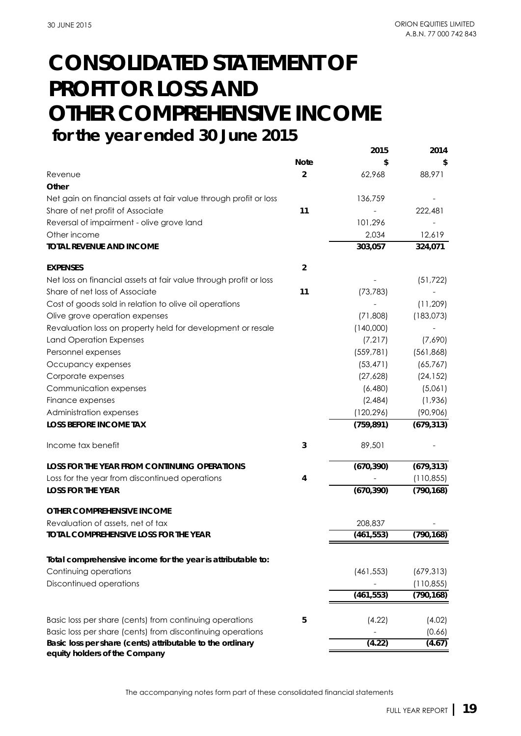## **CONSOLIDATED STATEMENT OF PROFIT OR LOSS AND OTHER COMPREHENSIVE INCOME for the year ended 30 June 2015**

|                                                                                            |                | 2015       | 2014       |
|--------------------------------------------------------------------------------------------|----------------|------------|------------|
|                                                                                            | <b>Note</b>    |            |            |
| Revenue                                                                                    | $\overline{2}$ | 62,968     | 88,971     |
| Other                                                                                      |                |            |            |
| Net gain on financial assets at fair value through profit or loss                          |                | 136,759    |            |
| Share of net profit of Associate                                                           | 11             |            | 222,481    |
| Reversal of impairment - olive grove land                                                  |                | 101,296    |            |
| Other income                                                                               |                | 2,034      | 12,619     |
| <b>TOTAL REVENUE AND INCOME</b>                                                            |                | 303,057    | 324,071    |
| <b>EXPENSES</b>                                                                            | $\overline{2}$ |            |            |
| Net loss on financial assets at fair value through profit or loss                          |                |            | (51, 722)  |
| Share of net loss of Associate                                                             | 11             | (73, 783)  |            |
| Cost of goods sold in relation to olive oil operations                                     |                |            | (11, 209)  |
| Olive grove operation expenses                                                             |                | (71,808)   | (183,073)  |
| Revaluation loss on property held for development or resale                                |                | (140,000)  |            |
| <b>Land Operation Expenses</b>                                                             |                | (7, 217)   | (7,690)    |
| Personnel expenses                                                                         |                | (559, 781) | (561, 868) |
| Occupancy expenses                                                                         |                | (53, 471)  | (65, 767)  |
| Corporate expenses                                                                         |                | (27,628)   | (24, 152)  |
| Communication expenses                                                                     |                | (6,480)    | (5,061)    |
| Finance expenses                                                                           |                | (2,484)    | (1,936)    |
| Administration expenses                                                                    |                | (120, 296) | (90, 906)  |
| <b>LOSS BEFORE INCOME TAX</b>                                                              |                | (759, 891) | (679, 313) |
| Income tax benefit                                                                         | 3              | 89,501     |            |
| LOSS FOR THE YEAR FROM CONTINUING OPERATIONS                                               |                | (670, 390) | (679, 313) |
| Loss for the year from discontinued operations                                             | 4              |            | (110, 855) |
| <b>LOSS FOR THE YEAR</b>                                                                   |                | (670, 390) | (790, 168) |
| OTHER COMPREHENSIVE INCOME                                                                 |                |            |            |
| Revaluation of assets, net of tax                                                          |                | 208,837    |            |
| TOTAL COMPREHENSIVE LOSS FOR THE YEAR                                                      |                | (461, 553) | (790, 168) |
| Total comprehensive income for the year is attributable to:                                |                |            |            |
| Continuing operations                                                                      |                | (461, 553) | (679, 313) |
| Discontinued operations                                                                    |                |            | (110, 855) |
|                                                                                            |                | (461, 553) | (790, 168) |
|                                                                                            |                |            |            |
| Basic loss per share (cents) from continuing operations                                    | 5              | (4.22)     | (4.02)     |
| Basic loss per share (cents) from discontinuing operations                                 |                |            | (0.66)     |
| Basic loss per share (cents) attributable to the ordinary<br>equity holders of the Company |                | (4.22)     | (4.67)     |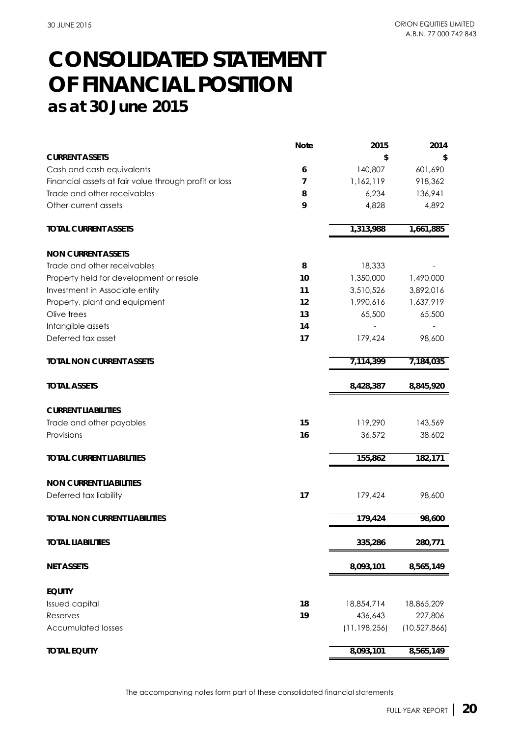## **CONSOLIDATED STATEMENT as at 30 June 2015 OF FINANCIAL POSITION**

|                                                       | <b>Note</b> | 2015           | 2014           |
|-------------------------------------------------------|-------------|----------------|----------------|
| <b>CURRENT ASSETS</b>                                 |             | \$             | S              |
| Cash and cash equivalents                             | 6           | 140,807        | 601,690        |
| Financial assets at fair value through profit or loss | 7           | 1,162,119      | 918,362        |
| Trade and other receivables                           | 8           | 6,234          | 136,941        |
| Other current assets                                  | 9           | 4,828          | 4,892          |
| <b>TOTAL CURRENT ASSETS</b>                           |             | 1,313,988      | 1,661,885      |
| <b>NON CURRENT ASSETS</b>                             |             |                |                |
| Trade and other receivables                           | 8           | 18,333         |                |
| Property held for development or resale               | 10          | 1,350,000      | 1,490,000      |
| Investment in Associate entity                        | 11          | 3,510,526      | 3,892,016      |
| Property, plant and equipment                         | 12          | 1,990,616      | 1,637,919      |
| Olive trees                                           | 13          | 65,500         | 65,500         |
| Intangible assets                                     | 14          |                |                |
| Deferred tax asset                                    | 17          | 179,424        | 98,600         |
| <b>TOTAL NON CURRENT ASSETS</b>                       |             | 7,114,399      | 7,184,035      |
| <b>TOTAL ASSETS</b>                                   |             | 8,428,387      | 8,845,920      |
| <b>CURRENT LIABILITIES</b>                            |             |                |                |
| Trade and other payables                              | 15          | 119,290        | 143,569        |
| Provisions                                            | 16          | 36,572         | 38,602         |
| <b>TOTAL CURRENT LIABILITIES</b>                      |             | 155,862        | 182, 171       |
| <b>NON CURRENT LIABILITIES</b>                        |             |                |                |
| Deferred tax liability                                | 17          | 179,424        | 98,600         |
| <b>TOTAL NON CURRENT LIABILITIES</b>                  |             | 179,424        | 98,600         |
| <b>TOTAL LIABILITIES</b>                              |             | 335,286        | 280,771        |
| <b>NET ASSETS</b>                                     |             | 8,093,101      | 8,565,149      |
| <b>EQUITY</b>                                         |             |                |                |
| <b>Issued capital</b>                                 | 18          | 18,854,714     | 18,865,209     |
| Reserves                                              | 19          | 436,643        | 227,806        |
| <b>Accumulated losses</b>                             |             | (11, 198, 256) | (10, 527, 866) |
| <b>TOTAL EQUITY</b>                                   |             | 8,093,101      | 8,565,149      |

The accompanying notes form part of these consolidated financial statements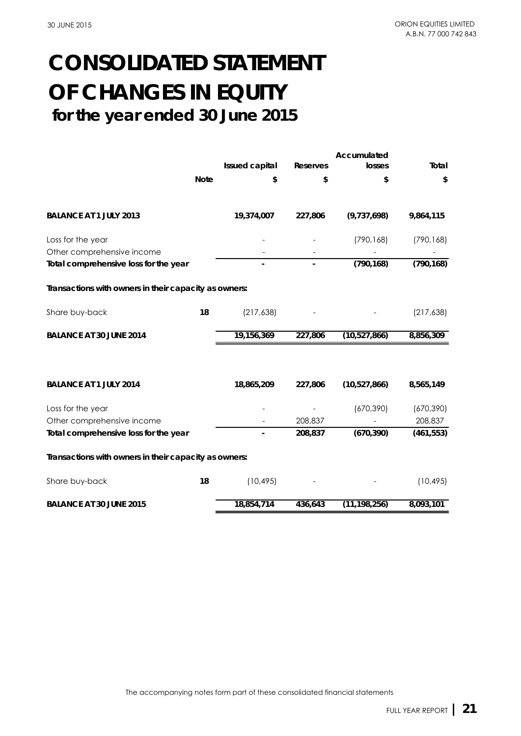## **for the year ended 30 June 2015 CONSOLIDATED STATEMENT OF CHANGES IN EQUITY**

|                                                       |             | <b>Issued capital</b>    | <b>Reserves</b> | Accumulated<br>losses | Total      |
|-------------------------------------------------------|-------------|--------------------------|-----------------|-----------------------|------------|
|                                                       |             |                          |                 |                       |            |
|                                                       | <b>Note</b> | \$                       | \$              | \$                    | \$         |
| <b>BALANCE AT 1 JULY 2013</b>                         |             | 19,374,007               | 227,806         | (9,737,698)           | 9,864,115  |
| Loss for the year                                     |             |                          |                 | (790, 168)            | (790, 168) |
| Other comprehensive income                            |             |                          |                 |                       |            |
| Total comprehensive loss for the year                 |             |                          |                 | (790, 168)            | (790, 168) |
| Transactions with owners in their capacity as owners: |             |                          |                 |                       |            |
| Share buy-back                                        | 18          | (217, 638)               |                 |                       | (217, 638) |
| <b>BALANCE AT 30 JUNE 2014</b>                        |             | 19,156,369               | 227,806         | (10, 527, 866)        | 8,856,309  |
|                                                       |             |                          |                 |                       |            |
| <b>BALANCE AT 1 JULY 2014</b>                         |             | 18,865,209               | 227,806         | (10,527,866)          | 8,565,149  |
| Loss for the year                                     |             |                          |                 | (670, 390)            | (670, 390) |
| Other comprehensive income                            |             |                          | 208,837         |                       | 208,837    |
| Total comprehensive loss for the year                 |             | $\overline{\phantom{a}}$ | 208,837         | (670, 390)            | (461, 553) |
| Transactions with owners in their capacity as owners: |             |                          |                 |                       |            |
| Share buy-back                                        | 18          | (10, 495)                |                 |                       | (10, 495)  |
| <b>BALANCE AT 30 JUNE 2015</b>                        |             | 18,854,714               | 436,643         | (11, 198, 256)        | 8,093,101  |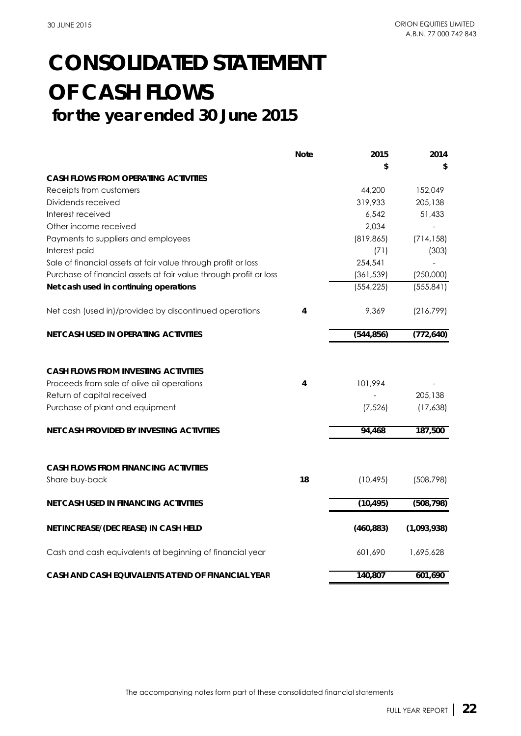## **CONSOLIDATED STATEMENT OF CASH FLOWS for the year ended 30 June 2015**

|                                                                   | <b>Note</b> | 2015       | 2014        |
|-------------------------------------------------------------------|-------------|------------|-------------|
|                                                                   |             | \$         | \$          |
| <b>CASH FLOWS FROM OPERATING ACTIVITIES</b>                       |             |            |             |
| Receipts from customers                                           |             | 44,200     | 152,049     |
| Dividends received                                                |             | 319,933    | 205,138     |
| Interest received                                                 |             | 6,542      | 51,433      |
| Other income received                                             |             | 2,034      |             |
| Payments to suppliers and employees                               |             | (819, 865) | (714, 158)  |
| Interest paid                                                     |             | (71)       | (303)       |
| Sale of financial assets at fair value through profit or loss     |             | 254,541    |             |
| Purchase of financial assets at fair value through profit or loss |             | (361, 539) | (250,000)   |
| Net cash used in continuing operations                            |             | (554, 225) | (555, 841)  |
| Net cash (used in)/provided by discontinued operations            | 4           | 9,369      | (216,799)   |
| <b>NET CASH USED IN OPERATING ACTIVITIES</b>                      |             | (544, 856) | (772, 640)  |
| <b>CASH FLOWS FROM INVESTING ACTIVITIES</b>                       |             |            |             |
| Proceeds from sale of olive oil operations                        | 4           | 101,994    |             |
| Return of capital received                                        |             |            | 205,138     |
| Purchase of plant and equipment                                   |             | (7, 526)   | (17,638)    |
| <b>NET CASH PROVIDED BY INVESTING ACTIVITIES</b>                  |             | 94,468     | 187,500     |
|                                                                   |             |            |             |
| <b>CASH FLOWS FROM FINANCING ACTIVITIES</b>                       |             |            |             |
| Share buy-back                                                    | 18          | (10, 495)  | (508, 798)  |
| NET CASH USED IN FINANCING ACTIVITIES                             |             | (10, 495)  | (508, 798)  |
| NET INCREASE/(DECREASE) IN CASH HELD                              |             | (460, 883) | (1,093,938) |
| Cash and cash equivalents at beginning of financial year          |             | 601,690    | 1,695,628   |
| CASH AND CASH EQUIVALENTS AT END OF FINANCIAL YEAR                |             | 140,807    | 601,690     |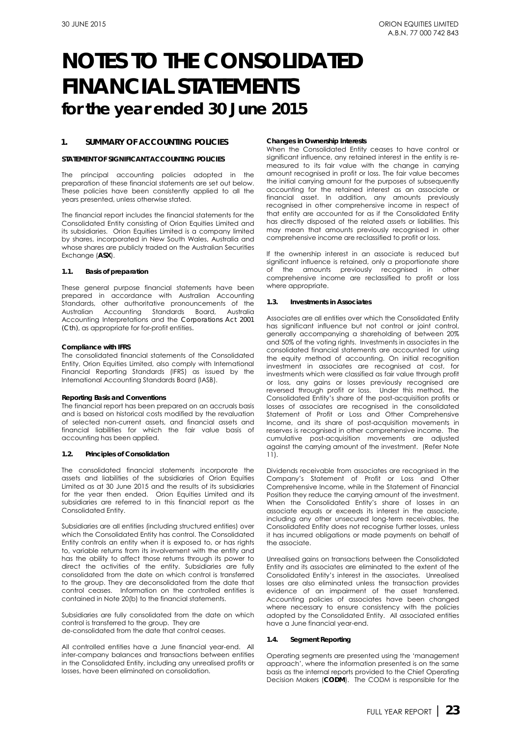### **1. SUMMARY OF ACCOUNTING POLICIES**

#### **STATEMENT OF SIGNIFICANT ACCOUNTING POLICIES**

The principal accounting policies adopted in the preparation of these financial statements are set out below. These policies have been consistently applied to all the years presented, unless otherwise stated.

The financial report includes the financial statements for the Consolidated Entity consisting of Orion Equities Limited and its subsidiaries. Orion Equities Limited is a company limited by shares, incorporated in New South Wales, Australia and whose shares are publicly traded on the Australian Securities Exchange (**ASX**).

#### **1.1. Basis of preparation**

These general purpose financial statements have been prepared in accordance with Australian Accounting Standards, other authoritative pronouncements of the Australian Accounting Standards Board, Australia Accounting Interpretations and the *Corporations Act 2001 (Cth)*, as appropriate for for-profit entities*.* 

#### *Compliance with IFRS*

The consolidated financial statements of the Consolidated Entity, Orion Equities Limited, also comply with International Financial Reporting Standards (IFRS) as issued by the International Accounting Standards Board (IASB).

#### *Reporting Basis and Conventions*

The financial report has been prepared on an accruals basis and is based on historical costs modified by the revaluation of selected non-current assets, and financial assets and financial liabilities for which the fair value basis of accounting has been applied.

#### **1.2. Principles of Consolidation**

The consolidated financial statements incorporate the assets and liabilities of the subsidiaries of Orion Equities Limited as at 30 June 2015 and the results of its subsidiaries for the year then ended. Orion Equities Limited and its subsidiaries are referred to in this financial report as the Consolidated Entity.

Subsidiaries are all entities (including structured entities) over which the Consolidated Entity has control. The Consolidated Entity controls an entity when it is exposed to, or has rights to, variable returns from its involvement with the entity and has the ability to affect those returns through its power to direct the activities of the entity. Subsidiaries are fully consolidated from the date on which control is transferred to the group. They are deconsolidated from the date that control ceases. Information on the controlled entities is contained in Note 20(b) to the financial statements.

Subsidiaries are fully consolidated from the date on which control is transferred to the group. They are de-consolidated from the date that control ceases.

<span id="page-23-0"></span>All controlled entities have a June financial year-end. All inter-company balances and transactions between entities in the Consolidated Entity, including any unrealised profits or losses, have been eliminated on consolidation.

#### *Changes in Ownership Interests*

When the Consolidated Entity ceases to have control or significant influence, any retained interest in the entity is remeasured to its fair value with the change in carrying amount recognised in profit or loss. The fair value becomes the initial carrying amount for the purposes of subsequently accounting for the retained interest as an associate or financial asset. In addition, any amounts previously recognised in other comprehensive income in respect of that entity are accounted for as if the Consolidated Entity has directly disposed of the related assets or liabilities. This may mean that amounts previously recognised in other comprehensive income are reclassified to profit or loss.

If the ownership interest in an associate is reduced but significant influence is retained, only a proportionate share<br>of the amounts previously recognised in other amounts previously recognised in other comprehensive income are reclassified to profit or loss where appropriate.

#### **1.3. Investments in Associates**

Associates are all entities over which the Consolidated Entity has significant influence but not control or joint control, generally accompanying a shareholding of between 20% and 50% of the voting rights. Investments in associates in the consolidated financial statements are accounted for using the equity method of accounting. On initial recognition investment in associates are recognised at cost, for investments which were classified as fair value through profit or loss, any gains or losses previously recognised are reversed through profit or loss. Under this method, the Consolidated Entity's share of the post-acquisition profits or losses of associates are recognised in the consolidated Statement of Profit or Loss and Other Comprehensive Income, and its share of post-acquisition movements in reserves is recognised in other comprehensive income. The cumulative post-acquisition movements are adjusted against the carrying amount of the investment. (Refer Note 11).

Dividends receivable from associates are recognised in the Company's Statement of Profit or Loss and Other Comprehensive Income, while in the Statement of Financial Position they reduce the carrying amount of the investment. When the Consolidated Entity's share of losses in an associate equals or exceeds its interest in the associate, including any other unsecured long-term receivables, the Consolidated Entity does not recognise further losses, unless it has incurred obligations or made payments on behalf of the associate.

Unrealised gains on transactions between the Consolidated Entity and its associates are eliminated to the extent of the Consolidated Entity's interest in the associates. Unrealised losses are also eliminated unless the transaction provides evidence of an impairment of the asset transferred. Accounting policies of associates have been changed where necessary to ensure consistency with the policies adopted by the Consolidated Entity. All associated entities have a June financial year-end.

#### **1.4. Segment Reporting**

Operating segments are presented using the 'management approach', where the information presented is on the same basis as the internal reports provided to the Chief Operating Decision Makers (**CODM**). The CODM is responsible for the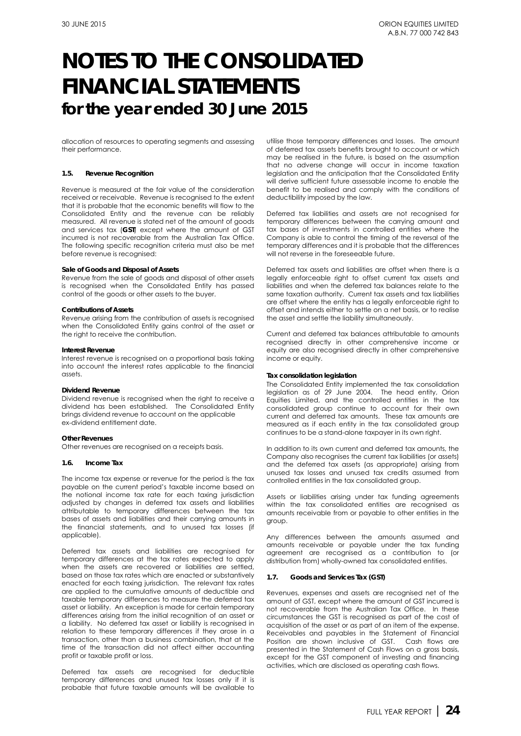allocation of resources to operating segments and assessing their performance.

#### **1.5. Revenue Recognition**

Revenue is measured at the fair value of the consideration received or receivable. Revenue is recognised to the extent that it is probable that the economic benefits will flow to the Consolidated Entity and the revenue can be reliably measured. All revenue is stated net of the amount of goods and services tax (**GST**) except where the amount of GST incurred is not recoverable from the Australian Tax Office. The following specific recognition criteria must also be met before revenue is recognised:

#### *Sale of Goods and Disposal of Assets*

Revenue from the sale of goods and disposal of other assets is recognised when the Consolidated Entity has passed control of the goods or other assets to the buyer.

#### *Contributions of Assets*

Revenue arising from the contribution of assets is recognised when the Consolidated Entity gains control of the asset or the right to receive the contribution.

#### *Interest Revenue*

Interest revenue is recognised on a proportional basis taking into account the interest rates applicable to the financial assets.

#### *Dividend Revenue*

Dividend revenue is recognised when the right to receive a dividend has been established. The Consolidated Entity brings dividend revenue to account on the applicable ex-dividend entitlement date.

#### *Other Revenues*

Other revenues are recognised on a receipts basis.

#### **1.6. Income Tax**

The income tax expense or revenue for the period is the tax payable on the current period's taxable income based on the notional income tax rate for each taxing jurisdiction adjusted by changes in deferred tax assets and liabilities attributable to temporary differences between the tax bases of assets and liabilities and their carrying amounts in the financial statements, and to unused tax losses (if applicable).

Deferred tax assets and liabilities are recognised for temporary differences at the tax rates expected to apply when the assets are recovered or liabilities are settled, based on those tax rates which are enacted or substantively enacted for each taxing jurisdiction. The relevant tax rates are applied to the cumulative amounts of deductible and taxable temporary differences to measure the deferred tax asset or liability. An exception is made for certain temporary differences arising from the initial recognition of an asset or a liability. No deferred tax asset or liability is recognised in relation to these temporary differences if they arose in a transaction, other than a business combination, that at the time of the transaction did not affect either accounting profit or taxable profit or loss.

Deferred tax assets are recognised for deductible temporary differences and unused tax losses only if it is probable that future taxable amounts will be available to

utilise those temporary differences and losses. The amount of deferred tax assets benefits brought to account or which may be realised in the future, is based on the assumption that no adverse change will occur in income taxation legislation and the anticipation that the Consolidated Entity will derive sufficient future assessable income to enable the benefit to be realised and comply with the conditions of deductibility imposed by the law.

Deferred tax liabilities and assets are not recognised for temporary differences between the carrying amount and tax bases of investments in controlled entities where the Company is able to control the timing of the reversal of the temporary differences and it is probable that the differences will not reverse in the foreseeable future.

Deferred tax assets and liabilities are offset when there is a legally enforceable right to offset current tax assets and liabilities and when the deferred tax balances relate to the same taxation authority. Current tax assets and tax liabilities are offset where the entity has a legally enforceable right to offset and intends either to settle on a net basis, or to realise the asset and settle the liability simultaneously.

Current and deferred tax balances attributable to amounts recognised directly in other comprehensive income or equity are also recognised directly in other comprehensive income or equity.

#### *Tax consolidation legislation*

The Consolidated Entity implemented the tax consolidation legislation as of 29 June 2004. The head entity, Orion Equities Limited, and the controlled entities in the tax consolidated group continue to account for their own current and deferred tax amounts. These tax amounts are measured as if each entity in the tax consolidated group continues to be a stand-alone taxpayer in its own right.

In addition to its own current and deferred tax amounts, the Company also recognises the current tax liabilities (or assets) and the deferred tax assets (as appropriate) arising from unused tax losses and unused tax credits assumed from controlled entities in the tax consolidated group.

Assets or liabilities arising under tax funding agreements within the tax consolidated entities are recognised as amounts receivable from or payable to other entities in the group.

Any differences between the amounts assumed and amounts receivable or payable under the tax funding agreement are recognised as a contribution to (or distribution from) wholly-owned tax consolidated entities.

#### **1.7. Goods and Services Tax (GST)**

Revenues, expenses and assets are recognised net of the amount of GST, except where the amount of GST incurred is not recoverable from the Australian Tax Office. In these circumstances the GST is recognised as part of the cost of acquisition of the asset or as part of an item of the expense. Receivables and payables in the Statement of Financial Position are shown inclusive of GST. Cash flows are presented in the Statement of Cash Flows on a gross basis, except for the GST component of investing and financing activities, which are disclosed as operating cash flows.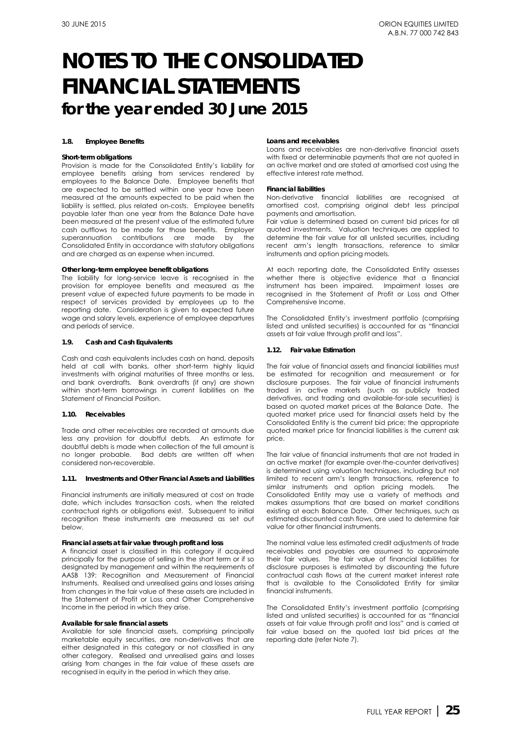#### **1.8. Employee Benefits**

#### *Short-term obligations*

Provision is made for the Consolidated Entity's liability for employee benefits arising from services rendered by employees to the Balance Date. Employee benefits that are expected to be settled within one year have been measured at the amounts expected to be paid when the liability is settled, plus related on-costs. Employee benefits payable later than one year from the Balance Date have been measured at the present value of the estimated future cash outflows to be made for those benefits. Employer superannuation contributions are made by the Consolidated Entity in accordance with statutory obligations and are charged as an expense when incurred.

#### *Other long-term employee benefit obligations*

The liability for long-service leave is recognised in the provision for employee benefits and measured as the present value of expected future payments to be made in respect of services provided by employees up to the reporting date. Consideration is given to expected future wage and salary levels, experience of employee departures and periods of service.

#### **1.9. Cash and Cash Equivalents**

Cash and cash equivalents includes cash on hand, deposits held at call with banks, other short-term highly liquid investments with original maturities of three months or less, and bank overdrafts. Bank overdrafts (if any) are shown within short-term borrowings in current liabilities on the Statement of Financial Position.

#### **1.10. Receivables**

Trade and other receivables are recorded at amounts due less any provision for doubtful debts. An estimate for doubtful debts is made when collection of the full amount is no longer probable. Bad debts are written off when considered non-recoverable.

#### **1.11. Investments and Other Financial Assets and Liabilities**

Financial instruments are initially measured at cost on trade date, which includes transaction costs, when the related contractual rights or obligations exist. Subsequent to initial recognition these instruments are measured as set out below.

#### *Financial assets at fair value through profit and loss*

A financial asset is classified in this category if acquired principally for the purpose of selling in the short term or if so designated by management and within the requirements of AASB 139: Recognition and Measurement of Financial Instruments. Realised and unrealised gains and losses arising from changes in the fair value of these assets are included in the Statement of Profit or Loss and Other Comprehensive Income in the period in which they arise.

#### *Available for sale financial assets*

Available for sale financial assets, comprising principally marketable equity securities, are non-derivatives that are either designated in this category or not classified in any other category. Realised and unrealised gains and losses arising from changes in the fair value of these assets are recognised in equity in the period in which they arise.

#### *Loans and receivables*

Loans and receivables are non-derivative financial assets with fixed or determinable payments that are not quoted in an active market and are stated at amortised cost using the effective interest rate method.

#### *Financial liabilities*

Non-derivative financial liabilities are recognised at amortised cost, comprising original debt less principal payments and amortisation.

Fair value is determined based on current bid prices for all quoted investments. Valuation techniques are applied to determine the fair value for all unlisted securities, including recent arm's length transactions, reference to similar instruments and option pricing models.

At each reporting date, the Consolidated Entity assesses whether there is objective evidence that a financial instrument has been impaired. Impairment losses are recognised in the Statement of Profit or Loss and Other Comprehensive Income.

The Consolidated Entity's investment portfolio (comprising listed and unlisted securities) is accounted for as "financial assets at fair value through profit and loss".

#### **1.12. Fair value Estimation**

The fair value of financial assets and financial liabilities must be estimated for recognition and measurement or for disclosure purposes. The fair value of financial instruments traded in active markets (such as publicly traded derivatives, and trading and available-for-sale securities) is based on quoted market prices at the Balance Date. The quoted market price used for financial assets held by the Consolidated Entity is the current bid price; the appropriate quoted market price for financial liabilities is the current ask price.

The fair value of financial instruments that are not traded in an active market (for example over-the-counter derivatives) is determined using valuation techniques, including but not limited to recent arm's length transactions, reference to similar instruments and option pricing models. The Consolidated Entity may use a variety of methods and makes assumptions that are based on market conditions existing at each Balance Date. Other techniques, such as estimated discounted cash flows, are used to determine fair value for other financial instruments.

The nominal value less estimated credit adjustments of trade receivables and payables are assumed to approximate their fair values. The fair value of financial liabilities for disclosure purposes is estimated by discounting the future contractual cash flows at the current market interest rate that is available to the Consolidated Entity for similar financial instruments.

The Consolidated Entity's investment portfolio (comprising listed and unlisted securities) is accounted for as "financial assets at fair value through profit and loss" and is carried at fair value based on the quoted last bid prices at the reporting date (refer Note 7).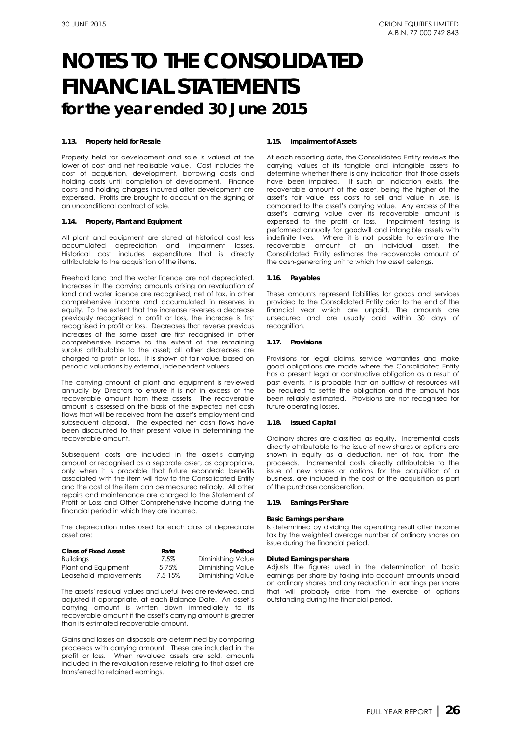#### **1.13. Property held for Resale**

Property held for development and sale is valued at the lower of cost and net realisable value. Cost includes the cost of acquisition, development, borrowing costs and holding costs until completion of development. Finance costs and holding charges incurred after development are expensed. Profits are brought to account on the signing of an unconditional contract of sale.

#### **1.14. Property, Plant and Equipment**

All plant and equipment are stated at historical cost less accumulated depreciation and impairment losses. Historical cost includes expenditure that is directly attributable to the acquisition of the items.

Freehold land and the water licence are not depreciated. Increases in the carrying amounts arising on revaluation of land and water licence are recognised, net of tax, in other comprehensive income and accumulated in reserves in equity. To the extent that the increase reverses a decrease previously recognised in profit or loss, the increase is first recognised in profit or loss. Decreases that reverse previous increases of the same asset are first recognised in other comprehensive income to the extent of the remaining surplus attributable to the asset; all other decreases are charged to profit or loss. It is shown at fair value, based on periodic valuations by external, independent valuers.

The carrying amount of plant and equipment is reviewed annually by Directors to ensure it is not in excess of the recoverable amount from these assets. The recoverable amount is assessed on the basis of the expected net cash flows that will be received from the asset's employment and subsequent disposal. The expected net cash flows have been discounted to their present value in determining the recoverable amount.

Subsequent costs are included in the asset's carrying amount or recognised as a separate asset, as appropriate, only when it is probable that future economic benefits associated with the item will flow to the Consolidated Entity and the cost of the item can be measured reliably. All other repairs and maintenance are charged to the Statement of Profit or Loss and Other Comprehensive Income during the financial period in which they are incurred.

The depreciation rates used for each class of depreciable asset are:

| <b>Class of Fixed Asset</b> | Rate        | Method            |
|-----------------------------|-------------|-------------------|
| <b>Buildinas</b>            | 7.5%        | Diminishing Value |
| Plant and Equipment         | $5 - 75%$   | Diminishing Value |
| Leasehold Improvements      | $7.5 - 15%$ | Diminishing Value |

The assets' residual values and useful lives are reviewed, and adjusted if appropriate, at each Balance Date. An asset's carrying amount is written down immediately to its recoverable amount if the asset's carrying amount is greater than its estimated recoverable amount.

Gains and losses on disposals are determined by comparing proceeds with carrying amount. These are included in the profit or loss. When revalued assets are sold, amounts included in the revaluation reserve relating to that asset are transferred to retained earnings.

#### **1.15. Impairment of Assets**

At each reporting date, the Consolidated Entity reviews the carrying values of its tangible and intangible assets to determine whether there is any indication that those assets have been impaired. If such an indication exists, the recoverable amount of the asset, being the higher of the asset's fair value less costs to sell and value in use, is compared to the asset's carrying value. Any excess of the asset's carrying value over its recoverable amount is expensed to the profit or loss. Impairment testing is performed annually for goodwill and intangible assets with indefinite lives. Where it is not possible to estimate the recoverable amount of an individual asset, the Consolidated Entity estimates the recoverable amount of the cash-generating unit to which the asset belongs.

#### **1.16. Payables**

These amounts represent liabilities for goods and services provided to the Consolidated Entity prior to the end of the financial year which are unpaid. The amounts are unsecured and are usually paid within 30 days of recognition.

#### **1.17. Provisions**

Provisions for legal claims, service warranties and make good obligations are made where the Consolidated Entity has a present legal or constructive obligation as a result of past events, it is probable that an outflow of resources will be required to settle the obligation and the amount has been reliably estimated. Provisions are not recognised for future operating losses.

#### **1.18. Issued Capital**

Ordinary shares are classified as equity. Incremental costs directly attributable to the issue of new shares or options are shown in equity as a deduction, net of tax, from the proceeds. Incremental costs directly attributable to the issue of new shares or options for the acquisition of a business, are included in the cost of the acquisition as part of the purchase consideration.

#### **1.19. Earnings Per Share**

#### *Basic Earnings per share*

Is determined by dividing the operating result after income tax by the weighted average number of ordinary shares on issue during the financial period.

#### *Diluted Earnings per share*

Adjusts the figures used in the determination of basic earnings per share by taking into account amounts unpaid on ordinary shares and any reduction in earnings per share that will probably arise from the exercise of options outstanding during the financial period.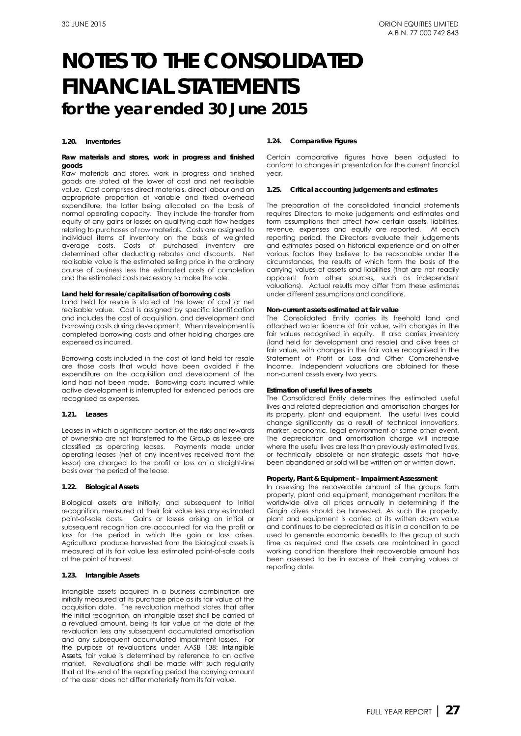#### **1.20. Inventories**

#### *Raw materials and stores, work in progress and finished goods*

Raw materials and stores, work in progress and finished goods are stated at the lower of cost and net realisable value. Cost comprises direct materials, direct labour and an appropriate proportion of variable and fixed overhead expenditure, the latter being allocated on the basis of normal operating capacity. They include the transfer from equity of any gains or losses on qualifying cash flow hedges relating to purchases of raw materials. Costs are assigned to individual items of inventory on the basis of weighted average costs. Costs of purchased inventory are determined after deducting rebates and discounts. Net realisable value is the estimated selling price in the ordinary course of business less the estimated costs of completion and the estimated costs necessary to make the sale.

#### *Land held for resale/capitalisation of borrowing costs*

Land held for resale is stated at the lower of cost or net realisable value. Cost is assigned by specific identification and includes the cost of acquisition, and development and borrowing costs during development. When development is completed borrowing costs and other holding charges are expensed as incurred.

Borrowing costs included in the cost of land held for resale are those costs that would have been avoided if the expenditure on the acquisition and development of the land had not been made. Borrowing costs incurred while active development is interrupted for extended periods are recognised as expenses.

#### **1.21. Leases**

Leases in which a significant portion of the risks and rewards of ownership are not transferred to the Group as lessee are classified as operating leases. Payments made under operating leases (net of any incentives received from the lessor) are charged to the profit or loss on a straight-line basis over the period of the lease.

#### **1.22. Biological Assets**

Biological assets are initially, and subsequent to initial recognition, measured at their fair value less any estimated point-of-sale costs. Gains or losses arising on initial or subsequent recognition are accounted for via the profit or loss for the period in which the gain or loss arises. Agricultural produce harvested from the biological assets is measured at its fair value less estimated point-of-sale costs at the point of harvest.

#### **1.23. Intangible Assets**

Intangible assets acquired in a business combination are initially measured at its purchase price as its fair value at the acquisition date. The revaluation method states that after the initial recognition, an intangible asset shall be carried at a revalued amount, being its fair value at the date of the revaluation less any subsequent accumulated amortisation and any subsequent accumulated impairment losses. For the purpose of revaluations under AASB 138: *Intangible Assets*, fair value is determined by reference to an active market. Revaluations shall be made with such regularity that at the end of the reporting period the carrying amount of the asset does not differ materially from its fair value.

#### **1.24. Comparative Figures**

Certain comparative figures have been adjusted to conform to changes in presentation for the current financial year.

#### **1.25. Critical accounting judgements and estimates**

The preparation of the consolidated financial statements requires Directors to make judgements and estimates and form assumptions that affect how certain assets, liabilities, revenue, expenses and equity are reported. At each reporting period, the Directors evaluate their judgements and estimates based on historical experience and on other various factors they believe to be reasonable under the circumstances, the results of which form the basis of the carrying values of assets and liabilities (that are not readily apparent from other sources, such as independent valuations). Actual results may differ from these estimates under different assumptions and conditions.

#### *Non-current assets estimated at fair value*

The Consolidated Entity carries its freehold land and attached water licence at fair value, with changes in the fair values recognised in equity. It also carries inventory (land held for development and resale) and olive trees at fair value, with changes in the fair value recognised in the Statement of Profit or Loss and Other Comprehensive Income. Independent valuations are obtained for these non-current assets every two years.

#### *Estimation of useful lives of assets*

The Consolidated Entity determines the estimated useful lives and related depreciation and amortisation charges for its property, plant and equipment. The useful lives could change significantly as a result of technical innovations, market, economic, legal environment or some other event. The depreciation and amortisation charge will increase where the useful lives are less than previously estimated lives, or technically obsolete or non-strategic assets that have been abandoned or sold will be written off or written down.

#### *Property, Plant & Equipment – Impairment Assessment*

In assessing the recoverable amount of the groups farm property, plant and equipment, management monitors the worldwide olive oil prices annually in determining if the Gingin olives should be harvested. As such the property, plant and equipment is carried at its written down value and continues to be depreciated as it is in a condition to be used to generate economic benefits to the group at such time as required and the assets are maintained in good working condition therefore their recoverable amount has been assessed to be in excess of their carrying values at reporting date.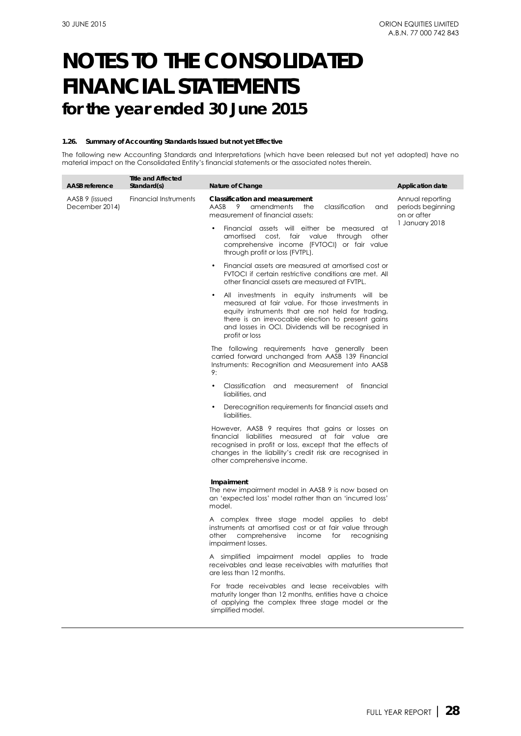#### **1.26. Summary of Accounting Standards Issued but not yet Effective**

The following new Accounting Standards and Interpretations (which have been released but not yet adopted) have no material impact on the Consolidated Entity's financial statements or the associated notes therein.

| <b>AASB</b> reference            | <b>Title and Affected</b><br>Standard(s) | Nature of Change                                                                                                                                                                                                                                                                    | <b>Application date</b>                              |
|----------------------------------|------------------------------------------|-------------------------------------------------------------------------------------------------------------------------------------------------------------------------------------------------------------------------------------------------------------------------------------|------------------------------------------------------|
| AASB 9 (issued<br>December 2014) | Financial Instruments                    | <b>Classification and measurement</b><br>AASB<br>9<br>amendments<br>classification<br>the<br>and<br>measurement of financial assets:                                                                                                                                                | Annual reporting<br>periods beginning<br>on or after |
|                                  |                                          | Financial assets will either be measured at<br>amortised cost, fair value<br>through<br>other<br>comprehensive income (FVTOCI) or fair value<br>through profit or loss (FVTPL).                                                                                                     | 1 January 2018                                       |
|                                  |                                          | Financial assets are measured at amortised cost or<br>FVTOCI if certain restrictive conditions are met. All<br>other financial assets are measured at FVTPL.                                                                                                                        |                                                      |
|                                  |                                          | All investments in equity instruments will be<br>measured at fair value. For those investments in<br>equity instruments that are not held for trading,<br>there is an irrevocable election to present gains<br>and losses in OCI. Dividends will be recognised in<br>profit or loss |                                                      |
|                                  |                                          | The following requirements have generally been<br>carried forward unchanged from AASB 139 Financial<br>Instruments: Recognition and Measurement into AASB<br>9:                                                                                                                     |                                                      |
|                                  |                                          | Classification and measurement of financial<br>liabilities, and                                                                                                                                                                                                                     |                                                      |
|                                  |                                          | Derecognition requirements for financial assets and<br>liabilities.                                                                                                                                                                                                                 |                                                      |
|                                  |                                          | However, AASB 9 requires that gains or losses on<br>financial liabilities measured at fair value are<br>recognised in profit or loss, except that the effects of<br>changes in the liability's credit risk are recognised in<br>other comprehensive income.                         |                                                      |
|                                  |                                          | Impairment<br>The new impairment model in AASB 9 is now based on<br>an 'expected loss' model rather than an 'incurred loss'<br>model.                                                                                                                                               |                                                      |
|                                  |                                          | A complex three stage model applies to debt<br>instruments at amortised cost or at fair value through<br>comprehensive income<br>other<br>for<br>recognising<br>impairment losses.                                                                                                  |                                                      |
|                                  |                                          | A simplified impairment model applies to trade<br>receivables and lease receivables with maturities that<br>are less than 12 months.                                                                                                                                                |                                                      |
|                                  |                                          | For trade receivables and lease receivables with<br>maturity longer than 12 months, entities have a choice<br>of applying the complex three stage model or the<br>simplified model.                                                                                                 |                                                      |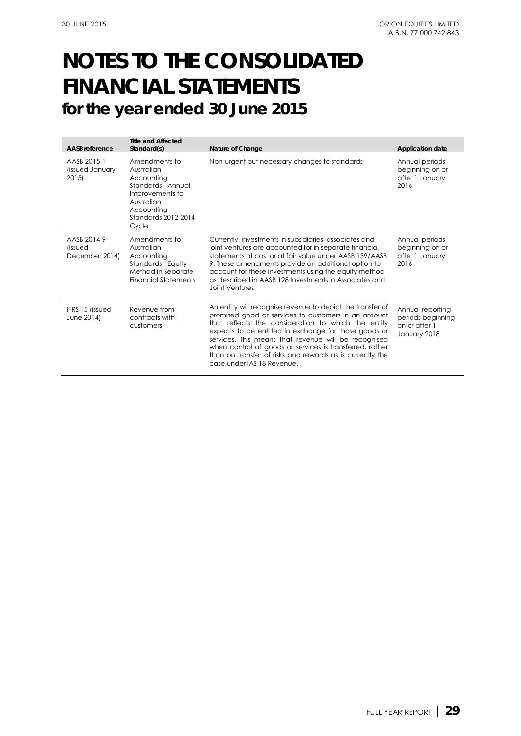| <b>AASB</b> reference                           | <b>Title and Affected</b><br>Standard(s)                                                                                                       | Nature of Change                                                                                                                                                                                                                                                                                                                                                                                                                                 | <b>Application date</b>                                                |
|-------------------------------------------------|------------------------------------------------------------------------------------------------------------------------------------------------|--------------------------------------------------------------------------------------------------------------------------------------------------------------------------------------------------------------------------------------------------------------------------------------------------------------------------------------------------------------------------------------------------------------------------------------------------|------------------------------------------------------------------------|
| AASB 2015-1<br>(issued January<br>2015          | Amendments to<br>Australian<br>Accountina<br>Standards - Annual<br>Improvements to<br>Australian<br>Accountina<br>Standards 2012-2014<br>Cycle | Non-urgent but necessary changes to standards                                                                                                                                                                                                                                                                                                                                                                                                    | Annual periods<br>beginning on or<br>after 1 January<br>2016           |
| AASB 2014-9<br><i>lissued</i><br>December 2014) | Amendments to<br>Australian<br>Accounting<br>Standards - Equity<br>Method in Separate<br><b>Financial Statements</b>                           | Currently, investments in subsidiaries, associates and<br>joint ventures are accounted for in separate financial<br>statements at cost or at fair value under AASB 139/AASB<br>9. These amendments provide an additional option to<br>account for these investments using the equity method<br>as described in AASB 128 Investments in Associates and<br>Joint Ventures.                                                                         | Annual periods<br>beginning on or<br>after 1 January<br>2016           |
| <b>IFRS 15 (issued)</b><br>June 2014)           | Revenue from<br>contracts with<br>customers                                                                                                    | An entity will recognise revenue to depict the transfer of<br>promised good or services to customers in an amount<br>that reflects the consideration to which the entity<br>expects to be entitled in exchange for those goods or<br>services. This means that revenue will be recognised<br>when control of goods or services is transferred, rather<br>than on transfer of risks and rewards as is currently the<br>case under IAS 18 Revenue. | Annual reporting<br>periods beginning<br>on or after 1<br>January 2018 |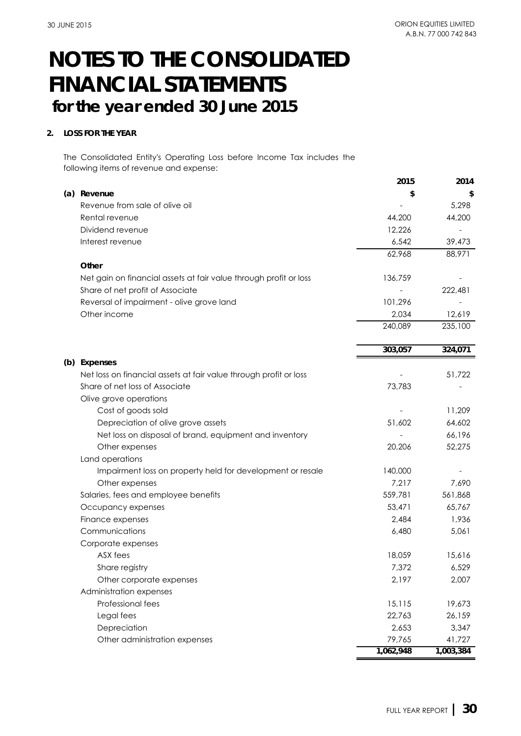### **2. LOSS FOR THE YEAR**

The Consolidated Entity's Operating Loss before Income Tax includes the following items of revenue and expense:

|                                                                   | 2015      | 2014      |
|-------------------------------------------------------------------|-----------|-----------|
| (a) Revenue                                                       | \$        |           |
| Revenue from sale of olive oil                                    |           | 5,298     |
| Rental revenue                                                    | 44,200    | 44,200    |
| Dividend revenue                                                  | 12,226    |           |
| Interest revenue                                                  | 6,542     | 39,473    |
|                                                                   | 62,968    | 88,971    |
| Other                                                             |           |           |
| Net gain on financial assets at fair value through profit or loss | 136,759   |           |
| Share of net profit of Associate                                  |           | 222,481   |
| Reversal of impairment - olive grove land                         | 101,296   |           |
| Other income                                                      | 2,034     | 12,619    |
|                                                                   | 240,089   | 235,100   |
|                                                                   | 303,057   | 324,071   |
| (b) Expenses                                                      |           |           |
| Net loss on financial assets at fair value through profit or loss |           | 51,722    |
| Share of net loss of Associate                                    | 73,783    |           |
| Olive grove operations                                            |           |           |
| Cost of goods sold                                                |           | 11,209    |
| Depreciation of olive grove assets                                | 51,602    | 64,602    |
| Net loss on disposal of brand, equipment and inventory            |           | 66,196    |
| Other expenses                                                    | 20,206    | 52,275    |
| Land operations                                                   |           |           |
| Impairment loss on property held for development or resale        | 140,000   |           |
| Other expenses                                                    | 7,217     | 7,690     |
| Salaries, fees and employee benefits                              | 559,781   | 561,868   |
| Occupancy expenses                                                | 53,471    | 65,767    |
| Finance expenses                                                  | 2,484     | 1,936     |
| Communications                                                    | 6,480     | 5,061     |
| Corporate expenses                                                |           |           |
| ASX fees                                                          | 18,059    | 15,616    |
| Share registry                                                    | 7,372     | 6,529     |
| Other corporate expenses                                          | 2,197     | 2,007     |
| Administration expenses                                           |           |           |
| Professional fees                                                 | 15,115    | 19,673    |
| Legal fees                                                        | 22,763    | 26,159    |
| Depreciation                                                      | 2,653     | 3,347     |
| Other administration expenses                                     | 79,765    | 41,727    |
|                                                                   | 1,062,948 | 1,003,384 |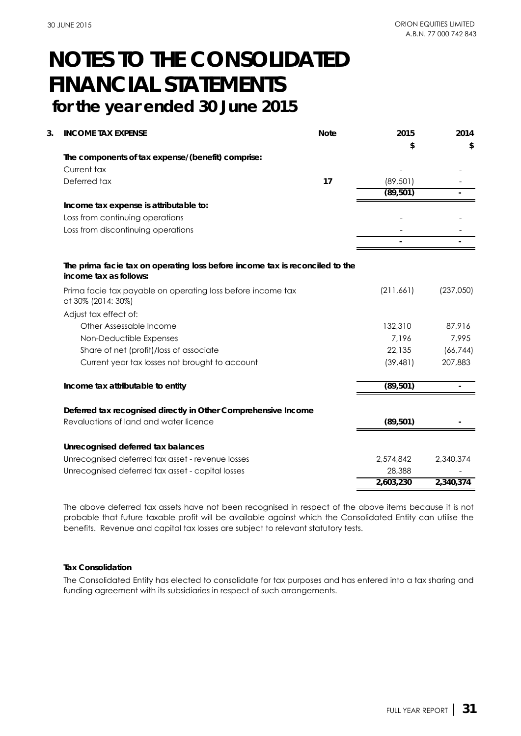| The components of tax expense/(benefit) comprise:<br>Current tax<br>Deferred tax<br>17<br>(89, 501)<br>(89, 501)<br>Income tax expense is attributable to:<br>Loss from continuing operations<br>Loss from discontinuing operations<br>The prima facie tax on operating loss before income tax is reconciled to the<br>income tax as follows:<br>(237,050)<br>(211,661)<br>Prima facie tax payable on operating loss before income tax<br>at 30% (2014: 30%)<br>Adjust tax effect of:<br>Other Assessable Income<br>132,310<br>87,916<br>7,995<br>Non-Deductible Expenses<br>7,196<br>Share of net (profit)/loss of associate<br>22,135<br>(66, 744)<br>207,883<br>Current year tax losses not brought to account<br>(39, 481)<br>(89, 501)<br>Income tax attributable to entity<br>Deferred tax recognised directly in Other Comprehensive Income<br>Revaluations of land and water licence<br>(89, 501)<br>Unrecognised deferred tax balances<br>Unrecognised deferred tax asset - revenue losses<br>2,574,842<br>2,340,374<br>Unrecognised deferred tax asset - capital losses<br>28,388<br>2,603,230<br>2,340,374 | 3. | <b>INCOME TAX EXPENSE</b> | <b>Note</b> | 2015 | 2014 |
|-----------------------------------------------------------------------------------------------------------------------------------------------------------------------------------------------------------------------------------------------------------------------------------------------------------------------------------------------------------------------------------------------------------------------------------------------------------------------------------------------------------------------------------------------------------------------------------------------------------------------------------------------------------------------------------------------------------------------------------------------------------------------------------------------------------------------------------------------------------------------------------------------------------------------------------------------------------------------------------------------------------------------------------------------------------------------------------------------------------------------|----|---------------------------|-------------|------|------|
|                                                                                                                                                                                                                                                                                                                                                                                                                                                                                                                                                                                                                                                                                                                                                                                                                                                                                                                                                                                                                                                                                                                       |    |                           |             | \$   | \$   |
|                                                                                                                                                                                                                                                                                                                                                                                                                                                                                                                                                                                                                                                                                                                                                                                                                                                                                                                                                                                                                                                                                                                       |    |                           |             |      |      |
|                                                                                                                                                                                                                                                                                                                                                                                                                                                                                                                                                                                                                                                                                                                                                                                                                                                                                                                                                                                                                                                                                                                       |    |                           |             |      |      |
|                                                                                                                                                                                                                                                                                                                                                                                                                                                                                                                                                                                                                                                                                                                                                                                                                                                                                                                                                                                                                                                                                                                       |    |                           |             |      |      |
|                                                                                                                                                                                                                                                                                                                                                                                                                                                                                                                                                                                                                                                                                                                                                                                                                                                                                                                                                                                                                                                                                                                       |    |                           |             |      |      |
|                                                                                                                                                                                                                                                                                                                                                                                                                                                                                                                                                                                                                                                                                                                                                                                                                                                                                                                                                                                                                                                                                                                       |    |                           |             |      |      |
|                                                                                                                                                                                                                                                                                                                                                                                                                                                                                                                                                                                                                                                                                                                                                                                                                                                                                                                                                                                                                                                                                                                       |    |                           |             |      |      |
|                                                                                                                                                                                                                                                                                                                                                                                                                                                                                                                                                                                                                                                                                                                                                                                                                                                                                                                                                                                                                                                                                                                       |    |                           |             |      |      |
|                                                                                                                                                                                                                                                                                                                                                                                                                                                                                                                                                                                                                                                                                                                                                                                                                                                                                                                                                                                                                                                                                                                       |    |                           |             |      |      |
|                                                                                                                                                                                                                                                                                                                                                                                                                                                                                                                                                                                                                                                                                                                                                                                                                                                                                                                                                                                                                                                                                                                       |    |                           |             |      |      |
|                                                                                                                                                                                                                                                                                                                                                                                                                                                                                                                                                                                                                                                                                                                                                                                                                                                                                                                                                                                                                                                                                                                       |    |                           |             |      |      |
|                                                                                                                                                                                                                                                                                                                                                                                                                                                                                                                                                                                                                                                                                                                                                                                                                                                                                                                                                                                                                                                                                                                       |    |                           |             |      |      |
|                                                                                                                                                                                                                                                                                                                                                                                                                                                                                                                                                                                                                                                                                                                                                                                                                                                                                                                                                                                                                                                                                                                       |    |                           |             |      |      |
|                                                                                                                                                                                                                                                                                                                                                                                                                                                                                                                                                                                                                                                                                                                                                                                                                                                                                                                                                                                                                                                                                                                       |    |                           |             |      |      |
|                                                                                                                                                                                                                                                                                                                                                                                                                                                                                                                                                                                                                                                                                                                                                                                                                                                                                                                                                                                                                                                                                                                       |    |                           |             |      |      |
|                                                                                                                                                                                                                                                                                                                                                                                                                                                                                                                                                                                                                                                                                                                                                                                                                                                                                                                                                                                                                                                                                                                       |    |                           |             |      |      |
|                                                                                                                                                                                                                                                                                                                                                                                                                                                                                                                                                                                                                                                                                                                                                                                                                                                                                                                                                                                                                                                                                                                       |    |                           |             |      |      |
|                                                                                                                                                                                                                                                                                                                                                                                                                                                                                                                                                                                                                                                                                                                                                                                                                                                                                                                                                                                                                                                                                                                       |    |                           |             |      |      |
|                                                                                                                                                                                                                                                                                                                                                                                                                                                                                                                                                                                                                                                                                                                                                                                                                                                                                                                                                                                                                                                                                                                       |    |                           |             |      |      |
|                                                                                                                                                                                                                                                                                                                                                                                                                                                                                                                                                                                                                                                                                                                                                                                                                                                                                                                                                                                                                                                                                                                       |    |                           |             |      |      |
|                                                                                                                                                                                                                                                                                                                                                                                                                                                                                                                                                                                                                                                                                                                                                                                                                                                                                                                                                                                                                                                                                                                       |    |                           |             |      |      |
|                                                                                                                                                                                                                                                                                                                                                                                                                                                                                                                                                                                                                                                                                                                                                                                                                                                                                                                                                                                                                                                                                                                       |    |                           |             |      |      |
|                                                                                                                                                                                                                                                                                                                                                                                                                                                                                                                                                                                                                                                                                                                                                                                                                                                                                                                                                                                                                                                                                                                       |    |                           |             |      |      |
|                                                                                                                                                                                                                                                                                                                                                                                                                                                                                                                                                                                                                                                                                                                                                                                                                                                                                                                                                                                                                                                                                                                       |    |                           |             |      |      |

The above deferred tax assets have not been recognised in respect of the above items because it is not probable that future taxable profit will be available against which the Consolidated Entity can utilise the benefits. Revenue and capital tax losses are subject to relevant statutory tests.

### **Tax Consolidation**

The Consolidated Entity has elected to consolidate for tax purposes and has entered into a tax sharing and funding agreement with its subsidiaries in respect of such arrangements.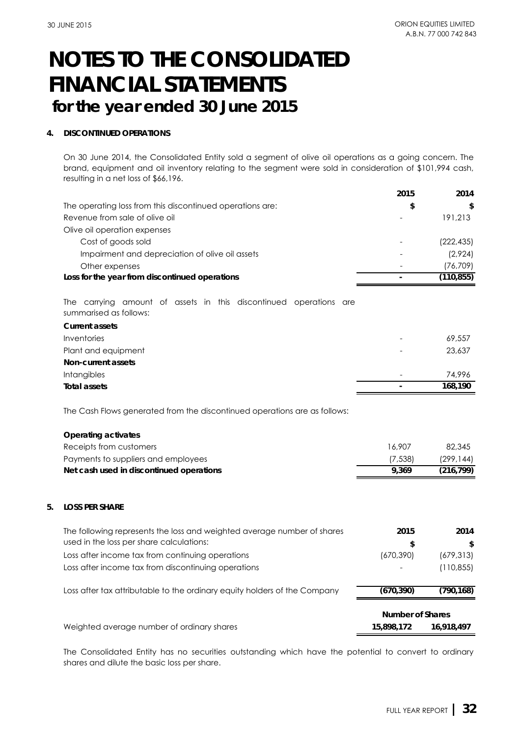### **4. DISCONTINUED OPERATIONS**

On 30 June 2014, the Consolidated Entity sold a segment of olive oil operations as a going concern. The brand, equipment and oil inventory relating to the segment were sold in consideration of \$101,994 cash, resulting in a net loss of \$66,196.

|                                                                                             | 2015                    | 2014       |
|---------------------------------------------------------------------------------------------|-------------------------|------------|
| The operating loss from this discontinued operations are:                                   | \$                      | \$         |
| Revenue from sale of olive oil                                                              |                         | 191,213    |
| Olive oil operation expenses                                                                |                         |            |
| Cost of goods sold                                                                          |                         | (222, 435) |
| Impairment and depreciation of olive oil assets                                             |                         | (2,924)    |
| Other expenses                                                                              |                         | (76, 709)  |
| Loss for the year from discontinued operations                                              |                         | (110, 855) |
| The carrying amount of assets in this discontinued operations are<br>summarised as follows: |                         |            |
| <b>Current assets</b>                                                                       |                         |            |
| Inventories                                                                                 |                         | 69,557     |
| Plant and equipment                                                                         |                         | 23,637     |
| Non-current assets                                                                          |                         |            |
| Intangibles                                                                                 |                         | 74,996     |
| <b>Total assets</b>                                                                         |                         | 168,190    |
| The Cash Flows generated from the discontinued operations are as follows:                   |                         |            |
| <b>Operating activates</b>                                                                  |                         |            |
| Receipts from customers                                                                     | 16,907                  | 82,345     |
| Payments to suppliers and employees                                                         | (7, 538)                | (299, 144) |
| Net cash used in discontinued operations                                                    | 9,369                   | (216, 799) |
|                                                                                             |                         |            |
| 5.<br><b>LOSS PER SHARE</b>                                                                 |                         |            |
| The following represents the loss and weighted average number of shares                     | 2015                    | 2014       |
| used in the loss per share calculations:                                                    | \$                      | \$         |
| Loss after income tax from continuing operations                                            | (670, 390)              | (679, 313) |
| Loss after income tax from discontinuing operations                                         |                         | (110, 855) |
| Loss after tax attributable to the ordinary equity holders of the Company                   | (670, 390)              | (790, 168) |
|                                                                                             | <b>Number of Shares</b> |            |
| Weighted average number of ordinary shares                                                  | 15,898,172              | 16,918,497 |

The Consolidated Entity has no securities outstanding which have the potential to convert to ordinary shares and dilute the basic loss per share.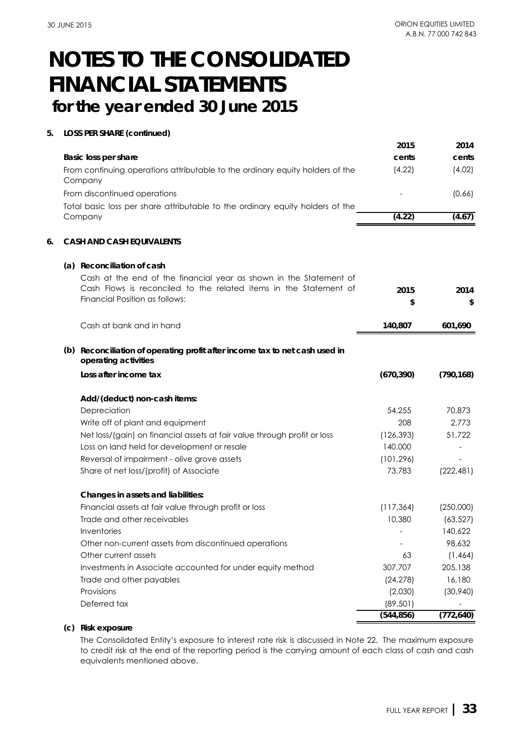### **5. LOSS PER SHARE (continued)**

|                                                                                                                                                                           | 2015       | 2014       |
|---------------------------------------------------------------------------------------------------------------------------------------------------------------------------|------------|------------|
| Basic loss per share                                                                                                                                                      | cents      | cents      |
| From continuing operations attributable to the ordinary equity holders of the<br>Company                                                                                  | (4.22)     | (4.02)     |
| From discontinued operations                                                                                                                                              |            | (0.66)     |
| Total basic loss per share attributable to the ordinary equity holders of the                                                                                             |            |            |
| Company                                                                                                                                                                   | (4.22)     | (4.67)     |
| 6.<br><b>CASH AND CASH EQUIVALENTS</b>                                                                                                                                    |            |            |
| (a) Reconciliation of cash                                                                                                                                                |            |            |
| Cash at the end of the financial year as shown in the Statement of<br>Cash Flows is reconciled to the related items in the Statement of<br>Financial Position as follows: | 2015<br>\$ | 2014<br>\$ |
|                                                                                                                                                                           |            |            |
| Cash at bank and in hand                                                                                                                                                  | 140,807    | 601,690    |
| (b) Reconciliation of operating profit after income tax to net cash used in<br>operating activities                                                                       |            |            |
| Loss after income tax                                                                                                                                                     | (670, 390) | (790, 168) |
| Add/(deduct) non-cash items:                                                                                                                                              |            |            |
| Depreciation                                                                                                                                                              | 54,255     | 70,873     |
| Write off of plant and equipment                                                                                                                                          | 208        | 2,773      |
| Net loss/(gain) on financial assets at fair value through profit or loss                                                                                                  | (126, 393) | 51,722     |
| Loss on land held for development or resale                                                                                                                               | 140,000    |            |
| Reversal of impairment - olive grove assets                                                                                                                               | (101, 296) |            |
| Share of net loss/(profit) of Associate                                                                                                                                   | 73,783     | (222, 481) |
| Changes in assets and liabilities:                                                                                                                                        |            |            |
| Financial assets at fair value through profit or loss                                                                                                                     | (117, 364) | (250,000)  |
| Trade and other receivables                                                                                                                                               | 10,380     | (63, 527)  |
| Inventories                                                                                                                                                               |            | 140,622    |
| Other non-current assets from discontinued operations                                                                                                                     |            | 98,632     |
| Other current assets                                                                                                                                                      | 63         | (1,464)    |
| Investments in Associate accounted for under equity method                                                                                                                | 307,707    | 205,138    |
| Trade and other payables                                                                                                                                                  | (24, 278)  | 16,180     |
| Provisions                                                                                                                                                                | (2,030)    | (30,940)   |
| Deferred tax                                                                                                                                                              | (89, 501)  |            |
|                                                                                                                                                                           | (544, 856) | (772, 640) |

## **(c) Risk exposure**

The Consolidated Entity's exposure to interest rate risk is discussed in Note 22. The maximum exposure to credit risk at the end of the reporting period is the carrying amount of each class of cash and cash equivalents mentioned above.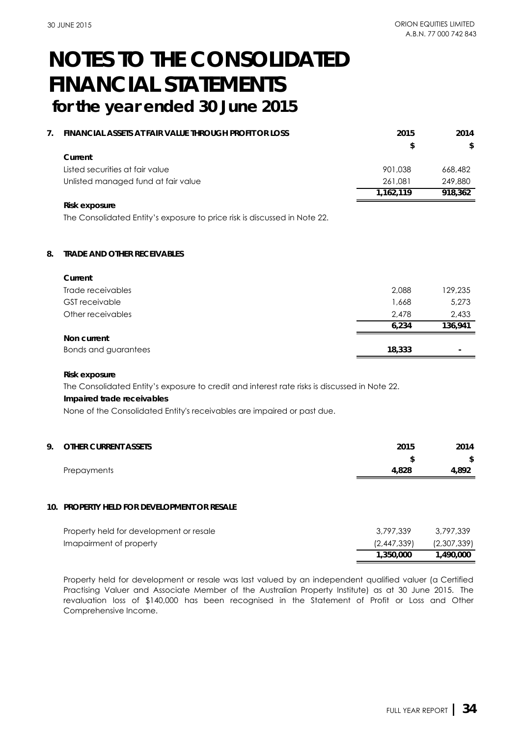| 7 | FINANCIAL ASSETS AT FAIR VALUE THROUGH PROFIT OR LOSS | 2015      | 2014    |
|---|-------------------------------------------------------|-----------|---------|
|   |                                                       | \$        | \$      |
|   | Current                                               |           |         |
|   | Listed securities at fair value                       | 901.038   | 668,482 |
|   | Unlisted managed fund at fair value                   | 261.081   | 249.880 |
|   |                                                       | 1.162.119 | 918.362 |
|   | Risk exposure                                         |           |         |

The Consolidated Entity's exposure to price risk is discussed in Note 22.

## **8. TRADE AND OTHER RECEIVABLES**

| Current               |        |         |
|-----------------------|--------|---------|
| Trade receivables     | 2,088  | 129,235 |
| <b>GST</b> receivable | 1,668  | 5,273   |
| Other receivables     | 2.478  | 2,433   |
|                       | 6.234  | 136,941 |
| Non current           |        |         |
| Bonds and guarantees  | 18,333 |         |

#### **Risk exposure**

The Consolidated Entity's exposure to credit and interest rate risks is discussed in Note 22.

### **Impaired trade receivables**

None of the Consolidated Entity's receivables are impaired or past due.

| 9. OTHER CURRENT ASSETS | 2015  | 2014  |
|-------------------------|-------|-------|
|                         |       | \$    |
| Prepayments             | 4.828 | 4.892 |

### **10. PROPERTY HELD FOR DEVELOPMENT OR RESALE**

| Property held for development or resale | 3,797,339   | 3,797,339   |
|-----------------------------------------|-------------|-------------|
| Imapairment of property                 | (2,447,339) | (2,307,339) |
|                                         | 1,350,000   | 1.490.000   |

Property held for development or resale was last valued by an independent qualified valuer (a Certified Practising Valuer and Associate Member of the Australian Property Institute) as at 30 June 2015. The revaluation loss of \$140,000 has been recognised in the Statement of Profit or Loss and Other Comprehensive Income.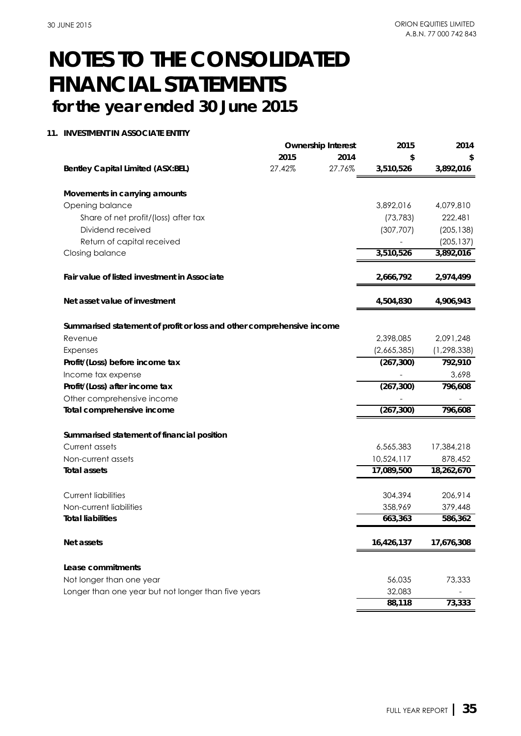## **11. INVESTMENT IN ASSOCIATE ENTITY**

|                                                                       |        | <b>Ownership Interest</b> | 2015        | 2014          |
|-----------------------------------------------------------------------|--------|---------------------------|-------------|---------------|
|                                                                       | 2015   | 2014                      | \$          | \$            |
| <b>Bentley Capital Limited (ASX:BEL)</b>                              | 27.42% | 27.76%                    | 3,510,526   | 3,892,016     |
| Movements in carrying amounts                                         |        |                           |             |               |
| Opening balance                                                       |        |                           | 3,892,016   | 4,079,810     |
| Share of net profit/(loss) after tax                                  |        |                           | (73, 783)   | 222,481       |
| Dividend received                                                     |        |                           | (307, 707)  | (205, 138)    |
| Return of capital received                                            |        |                           |             | (205, 137)    |
| Closing balance                                                       |        |                           | 3,510,526   | 3,892,016     |
| Fair value of listed investment in Associate                          |        |                           | 2,666,792   | 2,974,499     |
| Net asset value of investment                                         |        |                           | 4,504,830   | 4,906,943     |
| Summarised statement of profit or loss and other comprehensive income |        |                           |             |               |
| Revenue                                                               |        |                           | 2,398,085   | 2,091,248     |
| Expenses                                                              |        |                           | (2,665,385) | (1, 298, 338) |
| Profit/(Loss) before income tax                                       |        |                           | (267, 300)  | 792,910       |
| Income tax expense                                                    |        |                           |             | 3,698         |
| Profit/(Loss) after income tax                                        |        |                           | (267, 300)  | 796,608       |
| Other comprehensive income                                            |        |                           |             |               |
| Total comprehensive income                                            |        |                           | (267, 300)  | 796,608       |
| Summarised statement of financial position                            |        |                           |             |               |
| Current assets                                                        |        |                           | 6,565,383   | 17,384,218    |
| Non-current assets                                                    |        |                           | 10,524,117  | 878,452       |
| <b>Total assets</b>                                                   |        |                           | 17,089,500  | 18,262,670    |
| <b>Current liabilities</b>                                            |        |                           | 304,394     | 206,914       |
| Non-current liabilities                                               |        |                           | 358,969     | 379,448       |
| <b>Total liabilities</b>                                              |        |                           | 663,363     | 586,362       |
| Net assets                                                            |        |                           | 16,426,137  | 17,676,308    |
| Lease commitments                                                     |        |                           |             |               |
| Not longer than one year                                              |        |                           | 56,035      | 73,333        |
| Longer than one year but not longer than five years                   |        |                           | 32,083      |               |
|                                                                       |        |                           | 88,118      | 73,333        |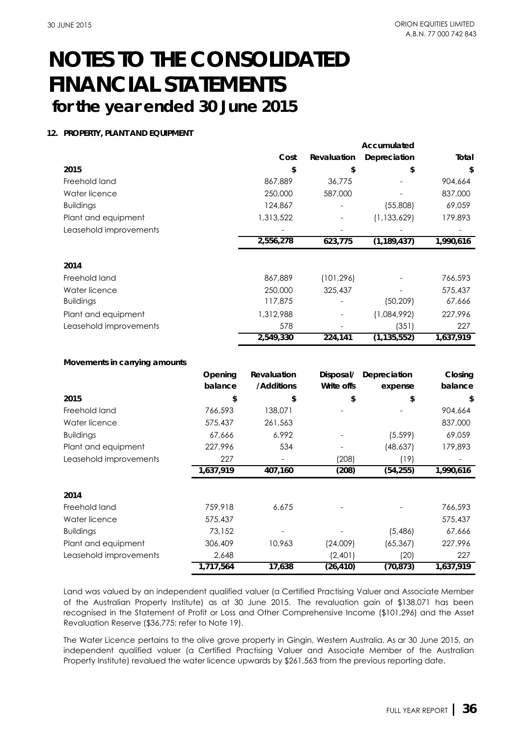### **12. PROPERTY, PLANT AND EQUIPMENT**

|                               |           |             |             | Accumulated   |           |
|-------------------------------|-----------|-------------|-------------|---------------|-----------|
|                               |           | Cost        | Revaluation | Depreciation  | Total     |
| 2015                          |           | \$          | \$          | \$            | \$        |
| Freehold land                 |           | 867,889     | 36,775      |               | 904,664   |
| Water licence                 |           | 250,000     | 587,000     |               | 837,000   |
| <b>Buildings</b>              |           | 124,867     |             | (55,808)      | 69,059    |
| Plant and equipment           |           | 1,313,522   |             | (1, 133, 629) | 179,893   |
| Leasehold improvements        |           |             |             |               |           |
|                               |           | 2,556,278   | 623,775     | (1, 189, 437) | 1,990,616 |
| 2014                          |           |             |             |               |           |
| Freehold land                 |           | 867,889     | (101, 296)  |               | 766,593   |
| Water licence                 |           | 250,000     | 325,437     |               | 575,437   |
| <b>Buildings</b>              |           | 117,875     |             | (50, 209)     | 67,666    |
| Plant and equipment           |           | 1,312,988   |             | (1,084,992)   | 227,996   |
| Leasehold improvements        |           | 578         |             | (351)         | 227       |
|                               |           | 2,549,330   | 224,141     | (1, 135, 552) | 1,637,919 |
| Movements in carrying amounts |           |             |             |               |           |
|                               | Opening   | Revaluation | Disposal/   | Depreciation  | Closing   |
|                               | balance   | /Additions  | Write offs  | expense       | balance   |
| 2015                          | \$        | \$          | \$          | \$            | \$        |
| Freehold land                 | 766,593   | 138,071     |             |               | 904,664   |
| Water licence                 | 575,437   | 261,563     |             |               | 837,000   |
| <b>Buildings</b>              | 67,666    | 6,992       |             | (5, 599)      | 69,059    |
| Plant and equipment           | 227,996   | 534         |             | (48, 637)     | 179,893   |
| Leasehold improvements        | 227       |             | (208)       | (19)          |           |
|                               | 1,637,919 | 407,160     | (208)       | (54, 255)     | 1,990,616 |
| 2014                          |           |             |             |               |           |
| Freehold land                 | 759,918   | 6,675       |             |               | 766,593   |
| Water licence                 | 575,437   |             |             |               | 575,437   |
| <b>Buildings</b>              | 73,152    |             |             | (5,486)       | 67,666    |
| Plant and equipment           | 306,409   | 10,963      | (24,009)    | (65, 367)     | 227,996   |
| Leasehold improvements        | 2,648     |             | (2,401)     | (20)          | 227       |
|                               | 1,717,564 | 17,638      | (26, 410)   | (70, 873)     | 1,637,919 |

Land was valued by an independent qualified valuer (a Certified Practising Valuer and Associate Member of the Australian Property Institute) as at 30 June 2015. The revaluation gain of \$138,071 has been recognised in the Statement of Profit or Loss and Other Comprehensive Income (\$101,296) and the Asset Revaluation Reserve (\$36,775; refer to Note 19).

The Water Licence pertains to the olive grove property in Gingin, Western Australia. As ar 30 June 2015, an independent qualified valuer (a Certified Practising Valuer and Associate Member of the Australian Property Institute) revalued the water licence upwards by \$261,563 from the previous reporting date.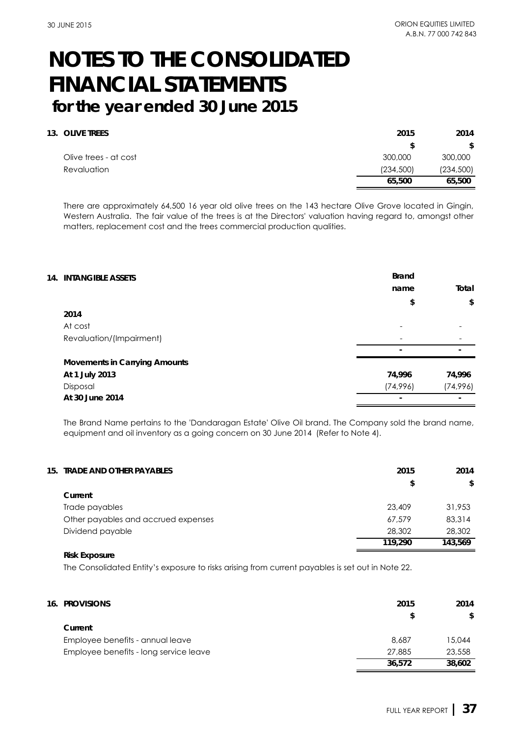| 2015       | 2014       |
|------------|------------|
|            | \$         |
| 300,000    | 300,000    |
| (234, 500) | (234, 500) |
| 65,500     | 65,500     |
|            |            |

There are approximately 64,500 16 year old olive trees on the 143 hectare Olive Grove located in Gingin, Western Australia. The fair value of the trees is at the Directors' valuation having regard to, amongst other matters, replacement cost and the trees commercial production qualities.

| <b>14. INTANGIBLE ASSETS</b> |                                      | <b>Brand</b><br>name | Total    |
|------------------------------|--------------------------------------|----------------------|----------|
|                              |                                      | \$                   | \$       |
| 2014                         |                                      |                      |          |
| At cost                      |                                      |                      |          |
| Revaluation/(Impairment)     |                                      |                      |          |
|                              |                                      |                      |          |
|                              | <b>Movements in Carrying Amounts</b> |                      |          |
| At 1 July 2013               |                                      | 74,996               | 74,996   |
| Disposal                     |                                      | (74,996)             | (74,996) |
| At 30 June 2014              |                                      |                      |          |

The Brand Name pertains to the 'Dandaragan Estate' Olive Oil brand. The Company sold the brand name, equipment and oil inventory as a going concern on 30 June 2014 (Refer to Note 4).

| 15. TRADE AND OTHER PAYABLES        | 2015    | 2014    |
|-------------------------------------|---------|---------|
|                                     | \$      | \$      |
| Current                             |         |         |
| Trade payables                      | 23.409  | 31,953  |
| Other payables and accrued expenses | 67,579  | 83,314  |
| Dividend payable                    | 28,302  | 28,302  |
|                                     | 119,290 | 143.569 |

### **Risk Exposure**

The Consolidated Entity's exposure to risks arising from current payables is set out in Note 22.

| <b>16. PROVISIONS</b>                  | 2015   | 2014   |
|----------------------------------------|--------|--------|
|                                        |        | \$     |
| Current                                |        |        |
| Employee benefits - annual leave       | 8,687  | 15.044 |
| Employee benefits - long service leave | 27,885 | 23,558 |
|                                        | 36,572 | 38,602 |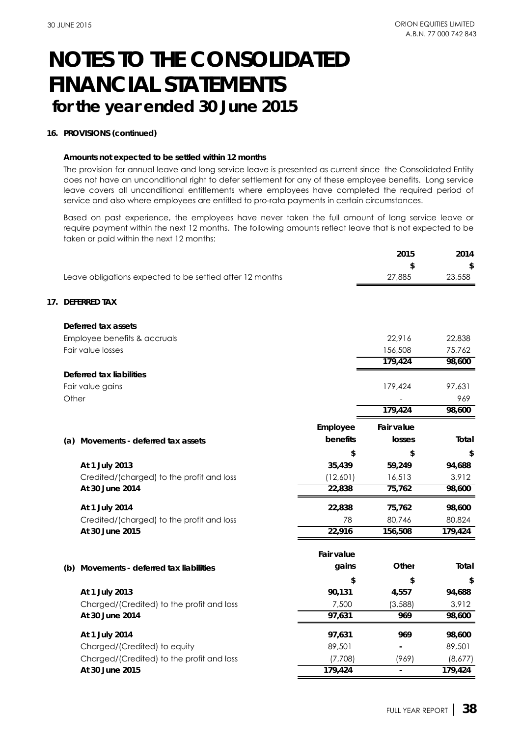### **16. PROVISIONS (continued)**

### **Amounts not expected to be settled within 12 months**

The provision for annual leave and long service leave is presented as current since the Consolidated Entity does not have an unconditional right to defer settlement for any of these employee benefits. Long service leave covers all unconditional entitlements where employees have completed the required period of service and also where employees are entitled to pro-rata payments in certain circumstances.

Based on past experience, the employees have never taken the full amount of long service leave or require payment within the next 12 months. The following amounts reflect leave that is not expected to be taken or paid within the next 12 months:

|       |                                                          |                   | 2015              | 2014    |
|-------|----------------------------------------------------------|-------------------|-------------------|---------|
|       |                                                          |                   | \$                | \$      |
|       | Leave obligations expected to be settled after 12 months |                   | 27,885            | 23,558  |
|       | 17. DEFERRED TAX                                         |                   |                   |         |
|       | Deferred tax assets                                      |                   |                   |         |
|       | Employee benefits & accruals                             |                   | 22,916            | 22,838  |
|       | Fair value losses                                        |                   | 156,508           | 75,762  |
|       |                                                          |                   | 179,424           | 98,600  |
|       | Deferred tax liabilities                                 |                   |                   |         |
|       | Fair value gains                                         |                   | 179,424           | 97,631  |
| Other |                                                          |                   |                   | 969     |
|       |                                                          |                   | 179,424           | 98,600  |
|       |                                                          | Employee          | <b>Fair value</b> |         |
|       | (a) Movements - deferred tax assets                      | benefits          | losses            | Total   |
|       |                                                          | \$                | \$                | \$      |
|       | At 1 July 2013                                           | 35,439            | 59,249            | 94,688  |
|       | Credited/(charged) to the profit and loss                | (12,601)          | 16,513            | 3,912   |
|       | At 30 June 2014                                          | 22,838            | 75,762            | 98,600  |
|       | At 1 July 2014                                           | 22,838            | 75,762            | 98,600  |
|       | Credited/(charged) to the profit and loss                | 78                | 80,746            | 80,824  |
|       | At 30 June 2015                                          | 22,916            | 156,508           | 179,424 |
|       |                                                          | <b>Fair value</b> |                   |         |
| (b)   | Movements - deferred tax liabilities                     | gains             | Other             | Total   |
|       |                                                          | \$                | \$                | \$      |
|       | At 1 July 2013                                           | 90,131            | 4,557             | 94,688  |
|       | Charged/(Credited) to the profit and loss                | 7,500             | (3,588)           | 3,912   |
|       | At 30 June 2014                                          | 97,631            | 969               | 98,600  |
|       | At 1 July 2014                                           | 97,631            | 969               | 98,600  |
|       | Charged/(Credited) to equity                             | 89,501            |                   | 89,501  |
|       | Charged/(Credited) to the profit and loss                | (7,708)           | (969)             | (8,677) |
|       | At 30 June 2015                                          | 179,424           |                   | 179,424 |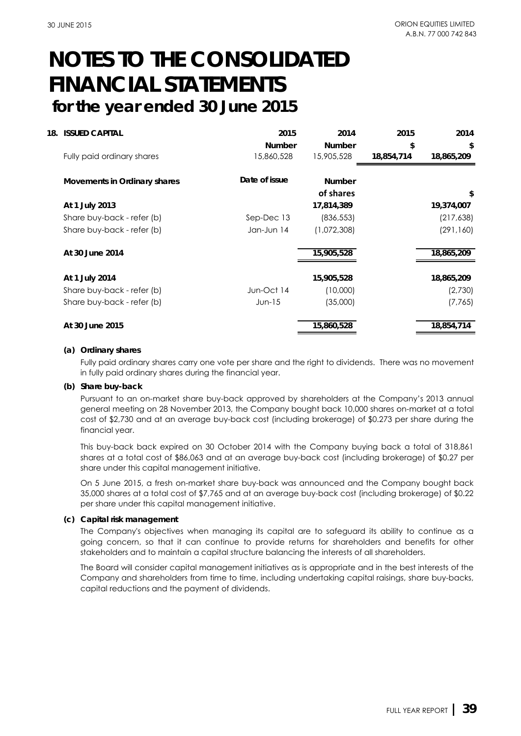| 18. | <b>ISSUED CAPITAL</b>        | 2015          | 2014          | 2015       | 2014       |
|-----|------------------------------|---------------|---------------|------------|------------|
|     |                              | <b>Number</b> | <b>Number</b> | \$         | \$         |
|     | Fully paid ordinary shares   | 15,860,528    | 15,905,528    | 18,854,714 | 18,865,209 |
|     | Movements in Ordinary shares | Date of issue | <b>Number</b> |            |            |
|     |                              |               | of shares     |            | \$         |
|     | At 1 July 2013               |               | 17,814,389    |            | 19,374,007 |
|     | Share buy-back - refer (b)   | Sep-Dec 13    | (836, 553)    |            | (217, 638) |
|     | Share buy-back - refer (b)   | Jan-Jun 14    | (1,072,308)   |            | (291, 160) |
|     | At 30 June 2014              |               | 15,905,528    |            | 18,865,209 |
|     | At 1 July 2014               |               | 15,905,528    |            | 18,865,209 |
|     | Share buy-back - refer (b)   | Jun-Oct 14    | (10,000)      |            | (2,730)    |
|     | Share buy-back - refer (b)   | $Jun-15$      | (35,000)      |            | (7, 765)   |
|     | At 30 June 2015              |               | 15,860,528    |            | 18,854,714 |
|     |                              |               |               |            |            |

### **(a) Ordinary shares**

Fully paid ordinary shares carry one vote per share and the right to dividends. There was no movement in fully paid ordinary shares during the financial year.

### **(b) Share buy-back**

Pursuant to an on-market share buy-back approved by shareholders at the Company's 2013 annual general meeting on 28 November 2013, the Company bought back 10,000 shares on-market at a total cost of \$2,730 and at an average buy-back cost (including brokerage) of \$0.273 per share during the financial year.

This buy-back back expired on 30 October 2014 with the Company buying back a total of 318,861 shares at a total cost of \$86,063 and at an average buy-back cost (including brokerage) of \$0.27 per share under this capital management initiative.

On 5 June 2015, a fresh on-market share buy-back was announced and the Company bought back 35,000 shares at a total cost of \$7,765 and at an average buy-back cost (including brokerage) of \$0.22 per share under this capital management initiative.

### **(c) Capital risk management**

The Company's objectives when managing its capital are to safeguard its ability to continue as a going concern, so that it can continue to provide returns for shareholders and benefits for other stakeholders and to maintain a capital structure balancing the interests of all shareholders.

The Board will consider capital management initiatives as is appropriate and in the best interests of the Company and shareholders from time to time, including undertaking capital raisings, share buy-backs, capital reductions and the payment of dividends.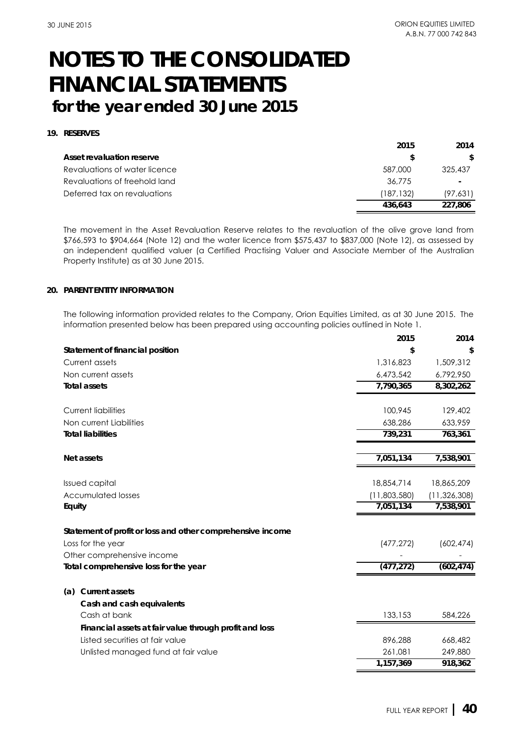## **19. RESERVES**

|                               | 2015       | 2014     |
|-------------------------------|------------|----------|
| Asset revaluation reserve     |            | S.       |
| Revaluations of water licence | 587,000    | 325,437  |
| Revaluations of freehold land | 36,775     |          |
| Deferred tax on revaluations  | (187, 132) | (97,631) |
|                               | 436.643    | 227,806  |

The movement in the Asset Revaluation Reserve relates to the revaluation of the olive grove land from \$766,593 to \$904,664 (Note 12) and the water licence from \$575,437 to \$837,000 (Note 12), as assessed by an independent qualified valuer (a Certified Practising Valuer and Associate Member of the Australian Property Institute) as at 30 June 2015.

### **20. PARENT ENTITY INFORMATION**

The following information provided relates to the Company, Orion Equities Limited, as at 30 June 2015. The information presented below has been prepared using accounting policies outlined in Note 1.

|                                                            | 2015         | 2014           |
|------------------------------------------------------------|--------------|----------------|
| Statement of financial position                            | \$           | \$             |
| Current assets                                             | 1,316,823    | 1,509,312      |
| Non current assets                                         | 6,473,542    | 6,792,950      |
| <b>Total assets</b>                                        | 7,790,365    | 8,302,262      |
| <b>Current liabilities</b>                                 | 100,945      | 129,402        |
| Non current Liabilities                                    | 638,286      | 633,959        |
| <b>Total liabilities</b>                                   | 739,231      | 763,361        |
| Net assets                                                 | 7,051,134    | 7,538,901      |
| <b>Issued capital</b>                                      | 18,854,714   | 18,865,209     |
| <b>Accumulated losses</b>                                  | (11,803,580) | (11, 326, 308) |
| Equity                                                     | 7,051,134    | 7,538,901      |
| Statement of profit or loss and other comprehensive income |              |                |
| Loss for the year                                          | (477, 272)   | (602, 474)     |
| Other comprehensive income                                 |              |                |
| Total comprehensive loss for the year                      | (477, 272)   | (602, 474)     |
| <b>Current assets</b><br>(a)                               |              |                |
| Cash and cash equivalents                                  |              |                |
| Cash at bank                                               | 133,153      | 584,226        |
| Financial assets at fair value through profit and loss     |              |                |
| Listed securities at fair value                            | 896,288      | 668,482        |
| Unlisted managed fund at fair value                        | 261,081      | 249,880        |
|                                                            | 1,157,369    | 918,362        |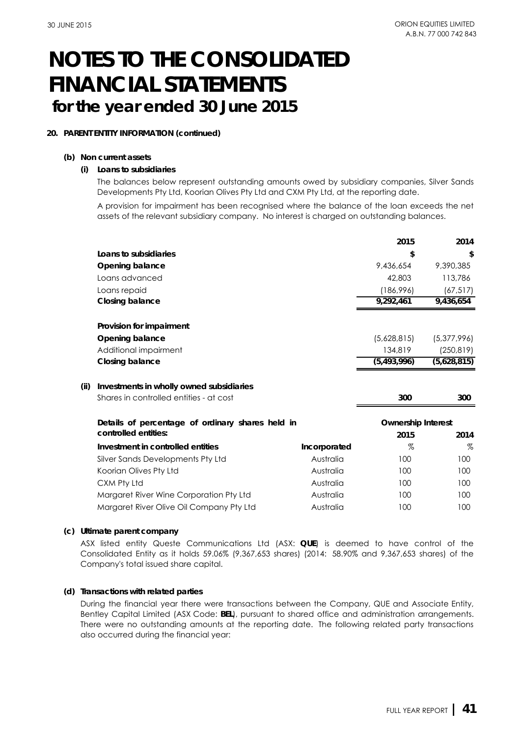### **20. PARENT ENTITY INFORMATION (continued)**

### **(b) Non current assets**

### **(i) Loans to subsidiaries**

The balances below represent outstanding amounts owed by subsidiary companies, Silver Sands Developments Pty Ltd, Koorian Olives Pty Ltd and CXM Pty Ltd, at the reporting date.

A provision for impairment has been recognised where the balance of the loan exceeds the net assets of the relevant subsidiary company. No interest is charged on outstanding balances.

|      |                                                  |              | 2015                      | 2014        |
|------|--------------------------------------------------|--------------|---------------------------|-------------|
|      | Loans to subsidiaries                            |              | \$                        | \$          |
|      | Opening balance                                  |              | 9,436,654                 | 9,390,385   |
|      | Loans advanced                                   |              | 42,803                    | 113,786     |
|      | Loans repaid                                     |              | (186,996)                 | (67, 517)   |
|      | Closing balance                                  |              | 9,292,461                 | 9,436,654   |
|      | Provision for impairment                         |              |                           |             |
|      | Opening balance                                  |              | (5,628,815)               | (5,377,996) |
|      | Additional impairment                            |              | 134,819                   | (250, 819)  |
|      | Closing balance                                  |              | (5, 493, 996)             | (5,628,815) |
| (ii) | Investments in wholly owned subsidiaries         |              |                           |             |
|      | Shares in controlled entities - at cost          |              | 300                       | 300         |
|      | Details of percentage of ordinary shares held in |              | <b>Ownership Interest</b> |             |
|      | controlled entities:                             |              | 2015                      | 2014        |
|      | Investment in controlled entities                | Incorporated | %                         | $\%$        |
|      | Silver Sands Developments Pty Ltd                | Australia    | 100                       | 100         |
|      | Koorian Olives Pty Ltd                           | Australia    | 100                       | 100         |
|      | CXM Pty Ltd                                      | Australia    | 100                       | 100         |
|      | Margaret River Wine Corporation Pty Ltd          | Australia    | 100                       | 100         |
|      | Margaret River Olive Oil Company Pty Ltd         | Australia    | 100                       | 100         |
|      |                                                  |              |                           |             |

## **(c) Ultimate parent company**

ASX listed entity Queste Communications Ltd (ASX: **QUE**) is deemed to have control of the Consolidated Entity as it holds 59.06% (9,367,653 shares) (2014: 58.90% and 9,367,653 shares) of the Company's total issued share capital.

## **(d) Transactions with related parties**

During the financial year there were transactions between the Company, QUE and Associate Entity, Bentley Capital Limited (ASX Code: **BEL**), pursuant to shared office and administration arrangements. There were no outstanding amounts at the reporting date. The following related party transactions also occurred during the financial year: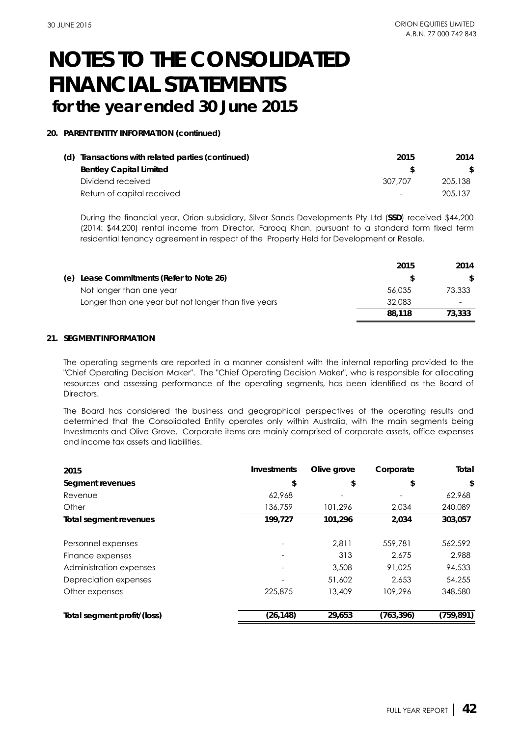### **20. PARENT ENTITY INFORMATION (continued)**

| (d) Transactions with related parties (continued) | 2015                     | 2014    |
|---------------------------------------------------|--------------------------|---------|
| <b>Bentley Capital Limited</b>                    |                          |         |
| Dividend received                                 | 307.707                  | 205,138 |
| Return of capital received                        | $\overline{\phantom{0}}$ | 205.137 |
|                                                   |                          |         |

During the financial year, Orion subsidiary, Silver Sands Developments Pty Ltd (**SSD**) received \$44,200 (2014: \$44,200) rental income from Director, Farooq Khan, pursuant to a standard form fixed term residential tenancy agreement in respect of the Property Held for Development or Resale.

|                                                     | 2015   | 2014   |
|-----------------------------------------------------|--------|--------|
| (e) Lease Commitments (Refer to Note 26)            |        | S.     |
| Not longer than one year                            | 56,035 | 73,333 |
| Longer than one year but not longer than five years | 32,083 |        |
|                                                     | 88.118 | 73,333 |

### **21. SEGMENT INFORMATION**

The operating segments are reported in a manner consistent with the internal reporting provided to the "Chief Operating Decision Maker". The "Chief Operating Decision Maker", who is responsible for allocating resources and assessing performance of the operating segments, has been identified as the Board of Directors.

The Board has considered the business and geographical perspectives of the operating results and determined that the Consolidated Entity operates only within Australia, with the main segments being Investments and Olive Grove. Corporate items are mainly comprised of corporate assets, office expenses and income tax assets and liabilities.

| 2015                        | Investments | Olive grove | Corporate  | Total      |
|-----------------------------|-------------|-------------|------------|------------|
| Segment revenues            | \$          | \$          | \$         | \$         |
| Revenue                     | 62,968      |             |            | 62,968     |
| Other                       | 136,759     | 101,296     | 2.034      | 240,089    |
| Total segment revenues      | 199,727     | 101,296     | 2,034      | 303,057    |
| Personnel expenses          |             | 2,811       | 559,781    | 562,592    |
| Finance expenses            |             | 313         | 2.675      | 2.988      |
| Administration expenses     |             | 3,508       | 91.025     | 94,533     |
| Depreciation expenses       |             | 51,602      | 2.653      | 54,255     |
| Other expenses              | 225,875     | 13,409      | 109,296    | 348,580    |
| Total segment profit/(loss) | (26,148)    | 29,653      | (763, 396) | (759, 891) |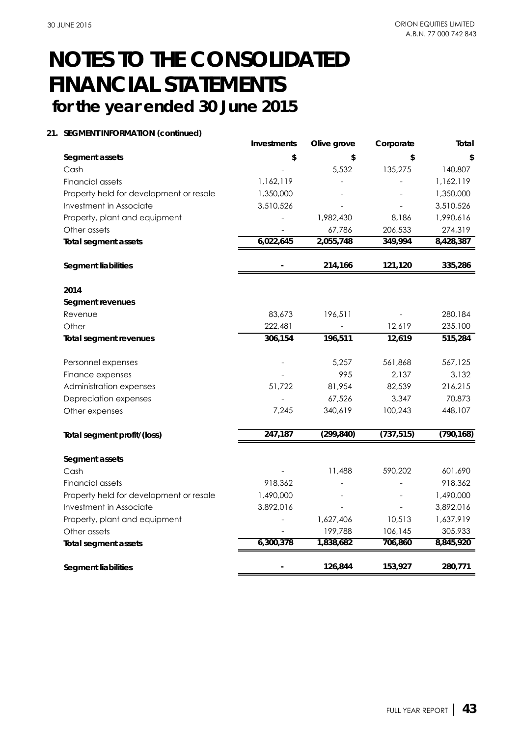### **21. SEGMENT INFORMATION (continued)**

|                                         | <b>Investments</b> | Olive grove | Corporate  | Total      |
|-----------------------------------------|--------------------|-------------|------------|------------|
| Segment assets                          | \$                 | \$          | \$         | \$         |
| Cash                                    |                    | 5,532       | 135,275    | 140,807    |
| <b>Financial assets</b>                 | 1,162,119          |             |            | 1,162,119  |
| Property held for development or resale | 1,350,000          |             |            | 1,350,000  |
| Investment in Associate                 | 3,510,526          |             |            | 3,510,526  |
| Property, plant and equipment           |                    | 1,982,430   | 8,186      | 1,990,616  |
| Other assets                            |                    | 67,786      | 206,533    | 274,319    |
| <b>Total segment assets</b>             | 6,022,645          | 2,055,748   | 349,994    | 8,428,387  |
| <b>Segment liabilities</b>              |                    | 214,166     | 121,120    | 335,286    |
| 2014                                    |                    |             |            |            |
| Segment revenues                        |                    |             |            |            |
| Revenue                                 | 83,673             | 196,511     |            | 280,184    |
| Other                                   | 222,481            |             | 12,619     | 235,100    |
| <b>Total segment revenues</b>           | 306,154            | 196,511     | 12,619     | 515,284    |
| Personnel expenses                      |                    | 5,257       | 561,868    | 567,125    |
| Finance expenses                        |                    | 995         | 2,137      | 3,132      |
| Administration expenses                 | 51,722             | 81,954      | 82,539     | 216,215    |
| Depreciation expenses                   |                    | 67,526      | 3,347      | 70,873     |
| Other expenses                          | 7.245              | 340,619     | 100,243    | 448,107    |
| Total segment profit/(loss)             | 247,187            | (299, 840)  | (737, 515) | (790, 168) |
| Segment assets                          |                    |             |            |            |
| Cash                                    |                    | 11,488      | 590,202    | 601,690    |
| Financial assets                        | 918,362            |             |            | 918,362    |
| Property held for development or resale | 1,490,000          |             |            | 1,490,000  |
| Investment in Associate                 | 3,892,016          |             |            | 3,892,016  |
| Property, plant and equipment           |                    | 1,627,406   | 10,513     | 1,637,919  |
| Other assets                            |                    | 199,788     | 106,145    | 305,933    |
| <b>Total segment assets</b>             | 6,300,378          | 1,838,682   | 706,860    | 8,845,920  |
| <b>Segment liabilities</b>              |                    | 126,844     | 153,927    | 280,771    |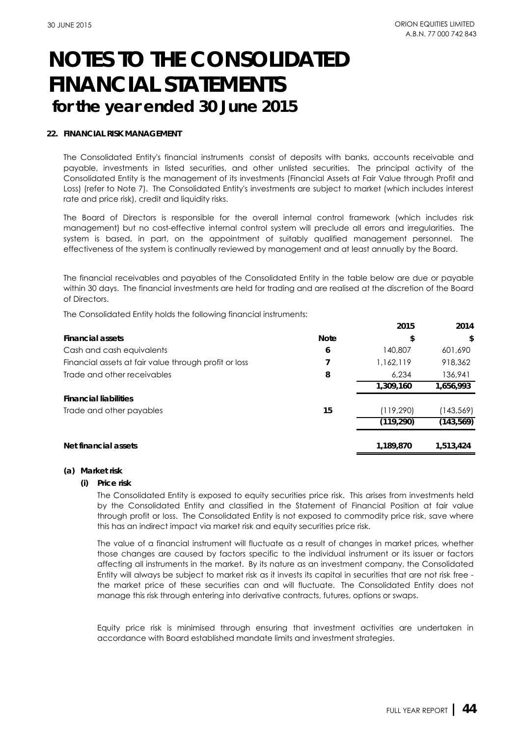### **22. FINANCIAL RISK MANAGEMENT**

The Consolidated Entity's financial instruments consist of deposits with banks, accounts receivable and payable, investments in listed securities, and other unlisted securities. The principal activity of the Consolidated Entity is the management of its investments (Financial Assets at Fair Value through Profit and Loss) (refer to Note 7). The Consolidated Entity's investments are subject to market (which includes interest rate and price risk), credit and liquidity risks.

The Board of Directors is responsible for the overall internal control framework (which includes risk management) but no cost-effective internal control system will preclude all errors and irregularities. The system is based, in part, on the appointment of suitably qualified management personnel. The effectiveness of the system is continually reviewed by management and at least annually by the Board.

The financial receivables and payables of the Consolidated Entity in the table below are due or payable within 30 days. The financial investments are held for trading and are realised at the discretion of the Board of Directors.

The Consolidated Entity holds the following financial instruments:

|                                                       |             | 2015       | 2014       |
|-------------------------------------------------------|-------------|------------|------------|
| <b>Financial assets</b>                               | <b>Note</b> | \$         | \$         |
| Cash and cash equivalents                             | 6           | 140,807    | 601,690    |
| Financial assets at fair value through profit or loss |             | 1,162,119  | 918,362    |
| Trade and other receivables                           | 8           | 6.234      | 136,941    |
|                                                       |             | 1,309,160  | 1,656,993  |
| <b>Financial liabilities</b>                          |             |            |            |
| Trade and other payables                              | 15          | (119,290)  | (143,569)  |
|                                                       |             | (119, 290) | (143, 569) |
|                                                       |             |            |            |
| Net financial assets                                  |             | 1,189,870  | 1,513,424  |

#### **(a) Market risk**

*(i) Price risk*

The Consolidated Entity is exposed to equity securities price risk. This arises from investments held by the Consolidated Entity and classified in the Statement of Financial Position at fair value through profit or loss. The Consolidated Entity is not exposed to commodity price risk, save where this has an indirect impact via market risk and equity securities price risk.

The value of a financial instrument will fluctuate as a result of changes in market prices, whether those changes are caused by factors specific to the individual instrument or its issuer or factors affecting all instruments in the market. By its nature as an investment company, the Consolidated Entity will always be subject to market risk as it invests its capital in securities that are not risk free the market price of these securities can and will fluctuate. The Consolidated Entity does not manage this risk through entering into derivative contracts, futures, options or swaps.

Equity price risk is minimised through ensuring that investment activities are undertaken in accordance with Board established mandate limits and investment strategies.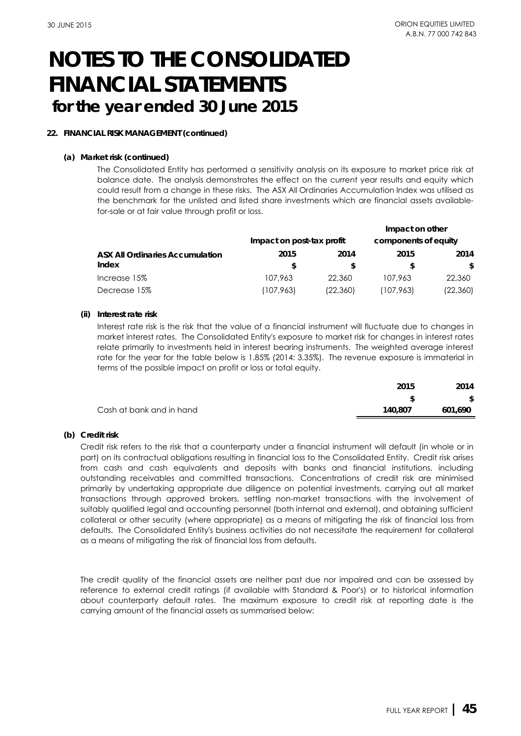### **22. FINANCIAL RISK MANAGEMENT (continued)**

### **(a) Market risk (continued)**

The Consolidated Entity has performed a sensitivity analysis on its exposure to market price risk at balance date. The analysis demonstrates the effect on the current year results and equity which could result from a change in these risks. The ASX All Ordinaries Accumulation Index was utilised as the benchmark for the unlisted and listed share investments which are financial assets availablefor-sale or at fair value through profit or loss.

|                                        |                           |           | Impact on other      |           |
|----------------------------------------|---------------------------|-----------|----------------------|-----------|
|                                        | Impact on post-tax profit |           | components of equity |           |
| <b>ASX All Ordinaries Accumulation</b> | 2015                      | 2014      | 2015                 | 2014      |
| Index                                  | S                         | S         |                      | \$        |
| Increase 15%                           | 107.963                   | 22,360    | 107,963              | 22,360    |
| Decrease 15%                           | (107,963)                 | (22, 360) | (107,963)            | (22, 360) |

### *(ii) Interest rate risk*

Interest rate risk is the risk that the value of a financial instrument will fluctuate due to changes in market interest rates. The Consolidated Entity's exposure to market risk for changes in interest rates relate primarily to investments held in interest bearing instruments. The weighted average interest rate for the year for the table below is 1.85% (2014: 3.35%). The revenue exposure is immaterial in terms of the possible impact on profit or loss or total equity.

|                          | 2015    | 2014    |
|--------------------------|---------|---------|
|                          |         | \$      |
| Cash at bank and in hand | 140.807 | 601.690 |
|                          |         |         |

### **(b) Credit risk**

Credit risk refers to the risk that a counterparty under a financial instrument will default (in whole or in part) on its contractual obligations resulting in financial loss to the Consolidated Entity. Credit risk arises from cash and cash equivalents and deposits with banks and financial institutions, including outstanding receivables and committed transactions. Concentrations of credit risk are minimised primarily by undertaking appropriate due diligence on potential investments, carrying out all market transactions through approved brokers, settling non-market transactions with the involvement of suitably qualified legal and accounting personnel (both internal and external), and obtaining sufficient collateral or other security (where appropriate) as a means of mitigating the risk of financial loss from defaults. The Consolidated Entity's business activities do not necessitate the requirement for collateral as a means of mitigating the risk of financial loss from defaults.

The credit quality of the financial assets are neither past due nor impaired and can be assessed by reference to external credit ratings (if available with Standard & Poor's) or to historical information about counterparty default rates. The maximum exposure to credit risk at reporting date is the carrying amount of the financial assets as summarised below: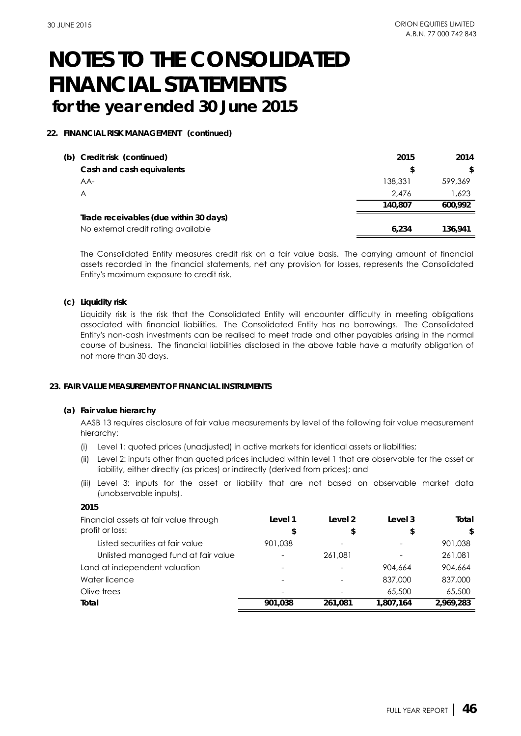### **22. FINANCIAL RISK MANAGEMENT (continued)**

| (b) | Credit risk (continued)                | 2015    | 2014    |
|-----|----------------------------------------|---------|---------|
|     | Cash and cash equivalents              | \$      | \$      |
|     | AA-                                    | 138,331 | 599,369 |
|     | A                                      | 2.476   | 1.623   |
|     |                                        | 140.807 | 600.992 |
|     | Trade receivables (due within 30 days) |         |         |
|     | No external credit rating available    | 6.234   | 136.941 |

The Consolidated Entity measures credit risk on a fair value basis. The carrying amount of financial assets recorded in the financial statements, net any provision for losses, represents the Consolidated Entity's maximum exposure to credit risk.

### **(c) Liquidity risk**

Liquidity risk is the risk that the Consolidated Entity will encounter difficulty in meeting obligations associated with financial liabilities. The Consolidated Entity has no borrowings. The Consolidated Entity's non-cash investments can be realised to meet trade and other payables arising in the normal course of business. The financial liabilities disclosed in the above table have a maturity obligation of not more than 30 days.

### **23. FAIR VALUE MEASUREMENT OF FINANCIAL INSTRUMENTS**

### **(a) Fair value hierarchy**

**2015**

AASB 13 requires disclosure of fair value measurements by level of the following fair value measurement hierarchy:

- (i) Level 1: quoted prices (unadjusted) in active markets for identical assets or liabilities;
- (ii) Level 2: inputs other than quoted prices included within level 1 that are observable for the asset or liability, either directly (as prices) or indirectly (derived from prices); and
- (iii) Level 3: inputs for the asset or liability that are not based on observable market data (unobservable inputs).

| <b>2015</b>                            |                          |                          |           |           |
|----------------------------------------|--------------------------|--------------------------|-----------|-----------|
| Financial assets at fair value through | Level 1                  | Level 2                  | Level 3   | Total     |
| profit or loss:                        | \$                       | \$                       | \$        | \$        |
| Listed securities at fair value        | 901.038                  | $\overline{\phantom{0}}$ |           | 901.038   |
| Unlisted managed fund at fair value    | ۰                        | 261.081                  |           | 261.081   |
| Land at independent valuation          |                          |                          | 904,664   | 904,664   |
| Water licence                          |                          |                          | 837,000   | 837,000   |
| Olive trees                            | $\overline{\phantom{0}}$ |                          | 65,500    | 65,500    |
| Total                                  | 901.038                  | 261.081                  | 1,807,164 | 2.969.283 |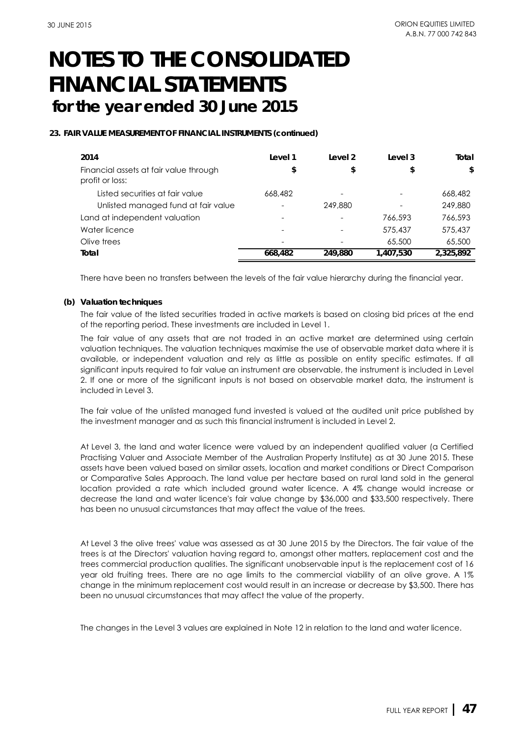### **23. FAIR VALUE MEASUREMENT OF FINANCIAL INSTRUMENTS (continued)**

| 2014                                                      | Level 1                  | Level 2 | Level 3   | Total     |
|-----------------------------------------------------------|--------------------------|---------|-----------|-----------|
| Financial assets at fair value through<br>profit or loss: | \$                       | \$      | \$        | \$        |
| Listed securities at fair value                           | 668,482                  |         |           | 668,482   |
| Unlisted managed fund at fair value                       | $\overline{\phantom{0}}$ | 249,880 |           | 249,880   |
| Land at independent valuation                             |                          |         | 766,593   | 766,593   |
| Water licence                                             | $\overline{\phantom{0}}$ |         | 575,437   | 575,437   |
| Olive trees                                               | $\overline{\phantom{a}}$ |         | 65,500    | 65,500    |
| Total                                                     | 668,482                  | 249.880 | 1,407,530 | 2,325,892 |

There have been no transfers between the levels of the fair value hierarchy during the financial year.

### **(b) Valuation techniques**

The fair value of the listed securities traded in active markets is based on closing bid prices at the end of the reporting period. These investments are included in Level 1.

The fair value of any assets that are not traded in an active market are determined using certain valuation techniques. The valuation techniques maximise the use of observable market data where it is available, or independent valuation and rely as little as possible on entity specific estimates. If all significant inputs required to fair value an instrument are observable, the instrument is included in Level 2. If one or more of the significant inputs is not based on observable market data, the instrument is included in Level 3.

The fair value of the unlisted managed fund invested is valued at the audited unit price published by the investment manager and as such this financial instrument is included in Level 2.

At Level 3, the land and water licence were valued by an independent qualified valuer (a Certified Practising Valuer and Associate Member of the Australian Property Institute) as at 30 June 2015. These assets have been valued based on similar assets, location and market conditions or Direct Comparison or Comparative Sales Approach. The land value per hectare based on rural land sold in the general location provided a rate which included ground water licence. A 4% change would increase or decrease the land and water licence's fair value change by \$36,000 and \$33,500 respectively. There has been no unusual circumstances that may affect the value of the trees.

At Level 3 the olive trees' value was assessed as at 30 June 2015 by the Directors. The fair value of the trees is at the Directors' valuation having regard to, amongst other matters, replacement cost and the trees commercial production qualities. The significant unobservable input is the replacement cost of 16 year old fruiting trees. There are no age limits to the commercial viability of an olive grove. A 1% change in the minimum replacement cost would result in an increase or decrease by \$3,500. There has been no unusual circumstances that may affect the value of the property.

The changes in the Level 3 values are explained in Note 12 in relation to the land and water licence.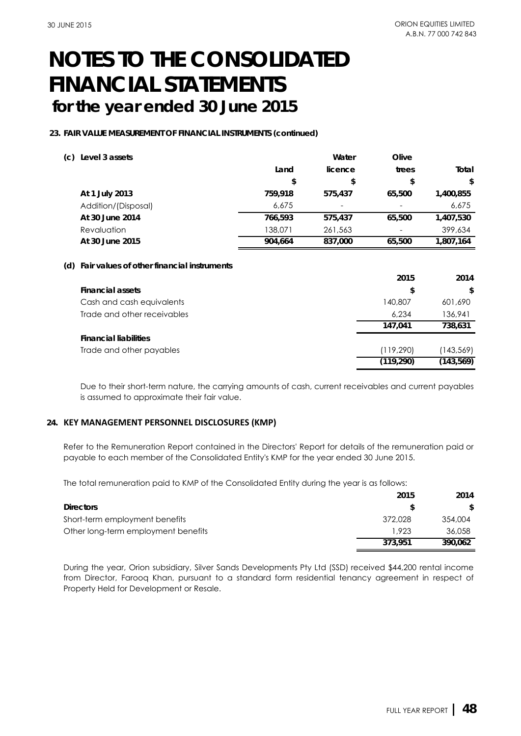### **23. FAIR VALUE MEASUREMENT OF FINANCIAL INSTRUMENTS (continued)**

| (c)<br>Level 3 assets |         | Water                    | Olive                    |           |
|-----------------------|---------|--------------------------|--------------------------|-----------|
|                       | Land    | licence                  | trees                    | Total     |
|                       | \$      | \$                       | \$                       | \$        |
| At 1 July 2013        | 759,918 | 575.437                  | 65,500                   | 1,400,855 |
| Addition/(Disposal)   | 6,675   | $\overline{\phantom{a}}$ | $\overline{\phantom{0}}$ | 6,675     |
| At 30 June 2014       | 766,593 | 575,437                  | 65,500                   | 1,407,530 |
| Revaluation           | 138,071 | 261,563                  | $\overline{\phantom{0}}$ | 399,634   |
| At 30 June 2015       | 904.664 | 837,000                  | 65,500                   | 1,807,164 |
|                       |         |                          |                          |           |

### **(d) Fair values of other financial instruments**

|                              | 2015       | 2014       |
|------------------------------|------------|------------|
| <b>Financial assets</b>      | \$         | \$         |
| Cash and cash equivalents    | 140,807    | 601,690    |
| Trade and other receivables  | 6.234      | 136,941    |
|                              | 147.041    | 738.631    |
| <b>Financial liabilities</b> |            |            |
| Trade and other payables     | (119, 290) | (143,569)  |
|                              | (119, 290) | (143, 569) |

Due to their short-term nature, the carrying amounts of cash, current receivables and current payables is assumed to approximate their fair value.

## **24. KEY MANAGEMENT PERSONNEL DISCLOSURES (KMP)**

Refer to the Remuneration Report contained in the Directors' Report for details of the remuneration paid or payable to each member of the Consolidated Entity's KMP for the year ended 30 June 2015.

The total remuneration paid to KMP of the Consolidated Entity during the year is as follows:

|                                     | 2015    | 2014    |
|-------------------------------------|---------|---------|
| <b>Directors</b>                    |         | S.      |
| Short-term employment benefits      | 372,028 | 354,004 |
| Other long-term employment benefits | 1.923   | 36,058  |
|                                     | 373.951 | 390.062 |

During the year, Orion subsidiary, Silver Sands Developments Pty Ltd (SSD) received \$44,200 rental income from Director, Farooq Khan, pursuant to a standard form residential tenancy agreement in respect of Property Held for Development or Resale.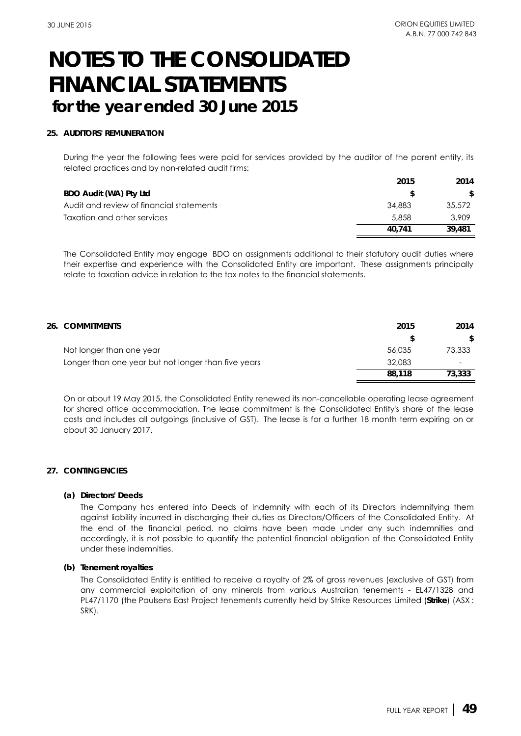### **25. AUDITORS' REMUNERATION**

During the year the following fees were paid for services provided by the auditor of the parent entity, its related practices and by non-related audit firms:

|                                          | 2015   | 2014   |
|------------------------------------------|--------|--------|
| BDO Audit (WA) Pty Ltd                   |        | S.     |
| Audit and review of financial statements | 34.883 | 35,572 |
| Taxation and other services              | 5.858  | 3,909  |
|                                          | 40.741 | 39,481 |

The Consolidated Entity may engage BDO on assignments additional to their statutory audit duties where their expertise and experience with the Consolidated Entity are important. These assignments principally relate to taxation advice in relation to the tax notes to the financial statements.

| 26. COMMITMENTS                                     | 2015   | 2014                     |
|-----------------------------------------------------|--------|--------------------------|
|                                                     | S      | \$                       |
| Not longer than one year                            | 56,035 | 73,333                   |
| Longer than one year but not longer than five years | 32,083 | $\overline{\phantom{0}}$ |
|                                                     | 88,118 | 73,333                   |

On or about 19 May 2015, the Consolidated Entity renewed its non-cancellable operating lease agreement for shared office accommodation. The lease commitment is the Consolidated Entity's share of the lease costs and includes all outgoings (inclusive of GST). The lease is for a further 18 month term expiring on or about 30 January 2017.

### **27. CONTINGENCIES**

#### **(a) Directors' Deeds**

The Company has entered into Deeds of Indemnity with each of its Directors indemnifying them against liability incurred in discharging their duties as Directors/Officers of the Consolidated Entity. At the end of the financial period, no claims have been made under any such indemnities and accordingly, it is not possible to quantify the potential financial obligation of the Consolidated Entity under these indemnities.

### **(b) Tenement royalties**

The Consolidated Entity is entitled to receive a royalty of 2% of gross revenues (exclusive of GST) from any commercial exploitation of any minerals from various Australian tenements - EL47/1328 and PL47/1170 (the Paulsens East Project tenements currently held by Strike Resources Limited (**Strike**) (ASX : SRK).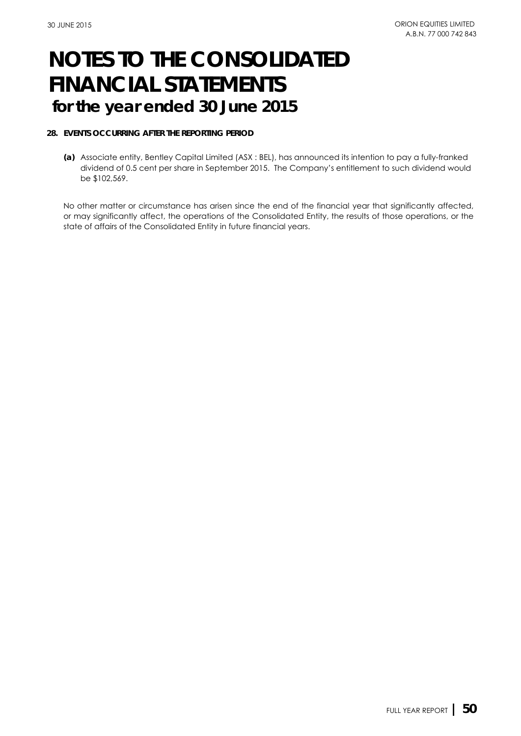### **28. EVENTS OCCURRING AFTER THE REPORTING PERIOD**

**(a)** Associate entity, Bentley Capital Limited (ASX : BEL), has announced its intention to pay a fully-franked dividend of 0.5 cent per share in September 2015. The Company's entitlement to such dividend would be \$102,569.

No other matter or circumstance has arisen since the end of the financial year that significantly affected, or may significantly affect, the operations of the Consolidated Entity, the results of those operations, or the state of affairs of the Consolidated Entity in future financial years.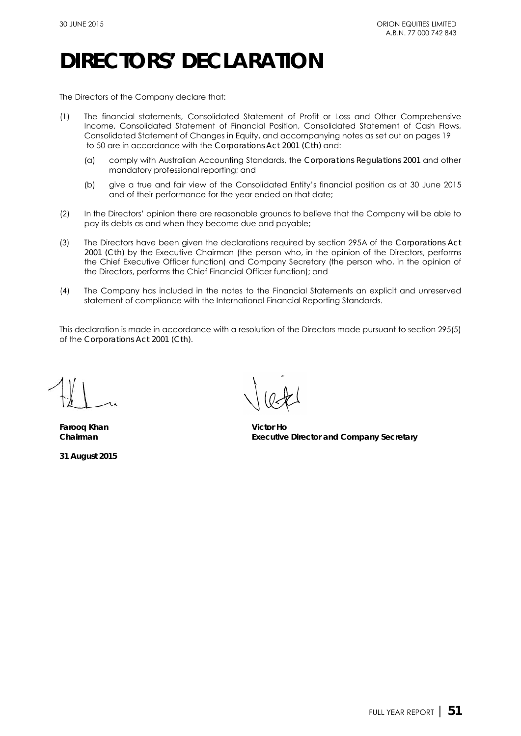## **DIRECTORS' DECLARATION**

The Directors of the Company declare that:

- (1) The financial statements, Consolidated Statement of Profit or Loss and Other Comprehensive Income, Consolidated Statement of Financial Position, Consolidated Statement of Cash Flows, Consolidated Statement of Changes in Equity, and accompanying notes as set out on pages 19 to 50 are in accordance with the *Corporations Act 2001 (Cth)* and:
	- (a) comply with Australian Accounting Standards, the *Corporations Regulations 2001* and other mandatory professional reporting; and
	- (b) give a true and fair view of the Consolidated Entity's financial position as at 30 June 2015 and of their performance for the year ended on that date;
- (2) In the Directors' opinion there are reasonable grounds to believe that the Company will be able to pay its debts as and when they become due and payable;
- (3) The Directors have been given the declarations required by section 295A of the *Corporations Act 2001 (Cth)* by the Executive Chairman (the person who, in the opinion of the Directors, performs the Chief Executive Officer function) and Company Secretary (the person who, in the opinion of the Directors, performs the Chief Financial Officer function); and
- (4) The Company has included in the notes to the Financial Statements an explicit and unreserved statement of compliance with the International Financial Reporting Standards.

This declaration is made in accordance with a resolution of the Directors made pursuant to section 295(5) of the *Corporations Act 2001 (Cth)*.

**Farooq Khan Victor Ho**

**31 August 2015**

**Chairman Executive Director and Company Secretary** Victor Ho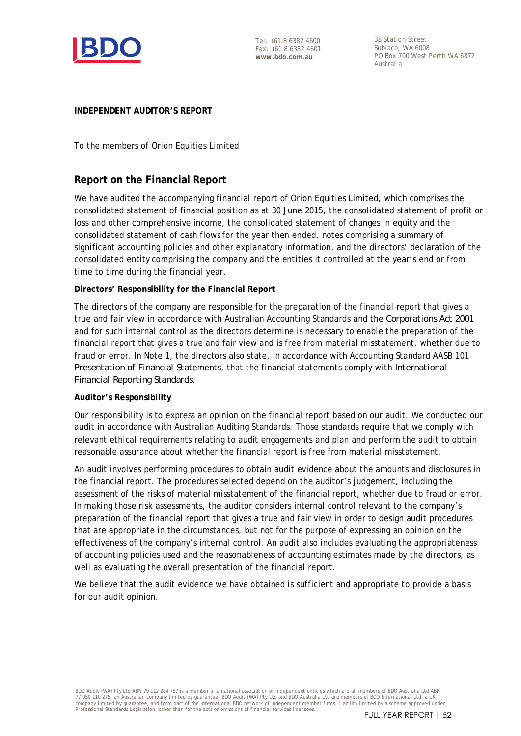

Tel: +61 8 6382 4600 Fax: +61 8 6382 4601 **www.bdo.com.au**

38 Station Street Subiaco, WA 6008 PO Box 700 West Perth WA 6872 Australia

## **INDEPENDENT AUDITOR'S REPORT**

To the members of Orion Equities Limited

## **Report on the Financial Report**

We have audited the accompanying financial report of Orion Equities Limited, which comprises the consolidated statement of financial position as at 30 June 2015, the consolidated statement of profit or loss and other comprehensive income, the consolidated statement of changes in equity and the consolidated statement of cash flows for the year then ended, notes comprising a summary of significant accounting policies and other explanatory information, and the directors' declaration of the consolidated entity comprising the company and the entities it controlled at the year's end or from time to time during the financial year.

## **Directors' Responsibility for the Financial Report**

The directors of the company are responsible for the preparation of the financial report that gives a true and fair view in accordance with Australian Accounting Standards and the *Corporations Act 2001* and for such internal control as the directors determine is necessary to enable the preparation of the financial report that gives a true and fair view and is free from material misstatement, whether due to fraud or error. In Note 1, the directors also state, in accordance with Accounting Standard AASB 101 *Presentation of Financial Stat*ements, that the financial statements comply with *International Financial Reporting Standards*.

## **Auditor's Responsibility**

Our responsibility is to express an opinion on the financial report based on our audit. We conducted our audit in accordance with Australian Auditing Standards. Those standards require that we comply with relevant ethical requirements relating to audit engagements and plan and perform the audit to obtain reasonable assurance about whether the financial report is free from material misstatement.

An audit involves performing procedures to obtain audit evidence about the amounts and disclosures in the financial report. The procedures selected depend on the auditor's judgement, including the assessment of the risks of material misstatement of the financial report, whether due to fraud or error. In making those risk assessments, the auditor considers internal control relevant to the company's preparation of the financial report that gives a true and fair view in order to design audit procedures that are appropriate in the circumstances, but not for the purpose of expressing an opinion on the effectiveness of the company's internal control. An audit also includes evaluating the appropriateness of accounting policies used and the reasonableness of accounting estimates made by the directors, as well as evaluating the overall presentation of the financial report.

We believe that the audit evidence we have obtained is sufficient and appropriate to provide a basis for our audit opinion.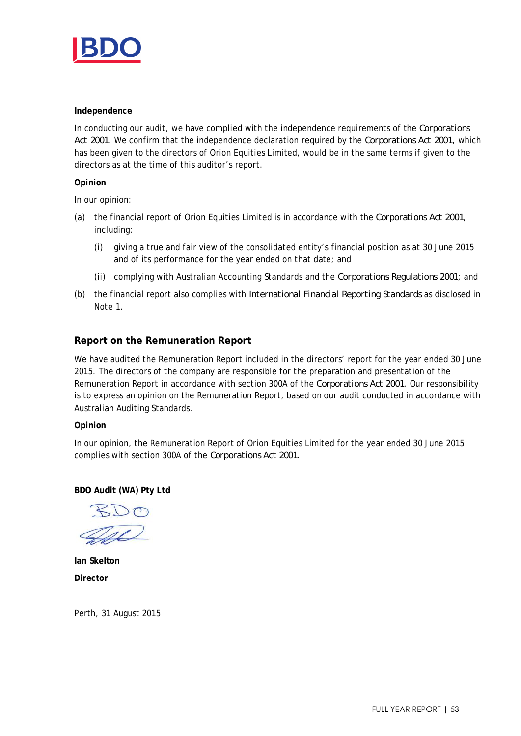

### **Independence**

In conducting our audit, we have complied with the independence requirements of the *Corporations Act 2001*. We confirm that the independence declaration required by the *Corporations Act 2001*, which has been given to the directors of Orion Equities Limited, would be in the same terms if given to the directors as at the time of this auditor's report.

### **Opinion**

In our opinion:

- (a) the financial report of Orion Equities Limited is in accordance with the *Corporations Act 2001*, including:
	- (i) giving a true and fair view of the consolidated entity's financial position as at 30 June 2015 and of its performance for the year ended on that date; and
	- (ii) complying with Australian Accounting Standards and the *Corporations Regulations 2001*; and
- (b) the financial report also complies with *International Financial Reporting Standards* as disclosed in Note 1.

## **Report on the Remuneration Report**

We have audited the Remuneration Report included in the directors' report for the year ended 30 June 2015. The directors of the company are responsible for the preparation and presentation of the Remuneration Report in accordance with section 300A of the *Corporations Act 2001*. Our responsibility is to express an opinion on the Remuneration Report, based on our audit conducted in accordance with Australian Auditing Standards.

## **Opinion**

In our opinion, the Remuneration Report of Orion Equities Limited for the year ended 30 June 2015 complies with section 300A of the *Corporations Act 2001*.

**BDO Audit (WA) Pty Ltd**

**Ian Skelton Director**

Perth, 31 August 2015